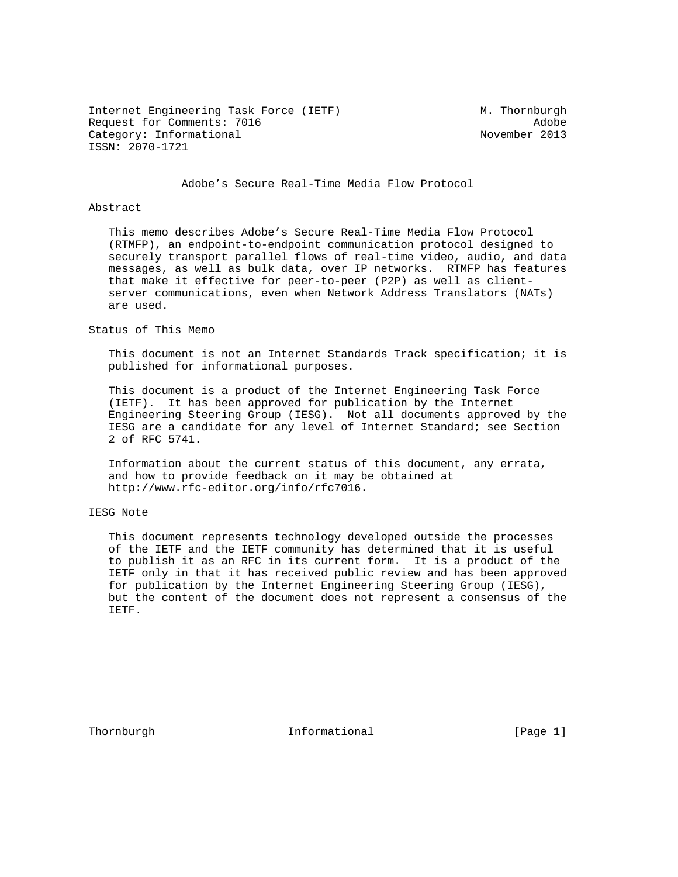Internet Engineering Task Force (IETF) M. Thornburgh Request for Comments: 7016 Adobe Category: Informational November 2013 ISSN: 2070-1721

Adobe's Secure Real-Time Media Flow Protocol

#### Abstract

 This memo describes Adobe's Secure Real-Time Media Flow Protocol (RTMFP), an endpoint-to-endpoint communication protocol designed to securely transport parallel flows of real-time video, audio, and data messages, as well as bulk data, over IP networks. RTMFP has features that make it effective for peer-to-peer (P2P) as well as client server communications, even when Network Address Translators (NATs) are used.

Status of This Memo

 This document is not an Internet Standards Track specification; it is published for informational purposes.

 This document is a product of the Internet Engineering Task Force (IETF). It has been approved for publication by the Internet Engineering Steering Group (IESG). Not all documents approved by the IESG are a candidate for any level of Internet Standard; see Section 2 of RFC 5741.

 Information about the current status of this document, any errata, and how to provide feedback on it may be obtained at http://www.rfc-editor.org/info/rfc7016.

# IESG Note

 This document represents technology developed outside the processes of the IETF and the IETF community has determined that it is useful to publish it as an RFC in its current form. It is a product of the IETF only in that it has received public review and has been approved for publication by the Internet Engineering Steering Group (IESG), but the content of the document does not represent a consensus of the IETF.

Thornburgh 111 Informational 111 [Page 1]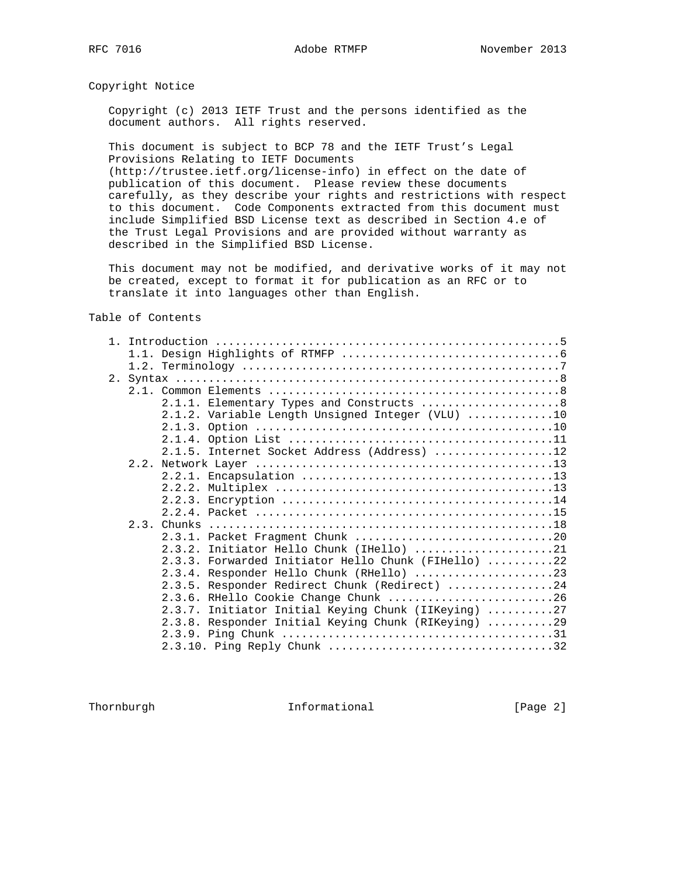Copyright Notice

 Copyright (c) 2013 IETF Trust and the persons identified as the document authors. All rights reserved.

 This document is subject to BCP 78 and the IETF Trust's Legal Provisions Relating to IETF Documents (http://trustee.ietf.org/license-info) in effect on the date of publication of this document. Please review these documents carefully, as they describe your rights and restrictions with respect to this document. Code Components extracted from this document must include Simplified BSD License text as described in Section 4.e of the Trust Legal Provisions and are provided without warranty as described in the Simplified BSD License.

 This document may not be modified, and derivative works of it may not be created, except to format it for publication as an RFC or to translate it into languages other than English.

Table of Contents

|  | 2.1.1. Elementary Types and Constructs  8           |
|--|-----------------------------------------------------|
|  | 2.1.2. Variable Length Unsigned Integer (VLU) 10    |
|  |                                                     |
|  |                                                     |
|  | 2.1.5. Internet Socket Address (Address) 12         |
|  |                                                     |
|  |                                                     |
|  |                                                     |
|  |                                                     |
|  |                                                     |
|  |                                                     |
|  |                                                     |
|  | 2.3.2. Initiator Hello Chunk (IHello) 21            |
|  | 2.3.3. Forwarded Initiator Hello Chunk (FIHello) 22 |
|  | 2.3.4. Responder Hello Chunk (RHello) 23            |
|  | 2.3.5. Responder Redirect Chunk (Redirect) 24       |
|  | 2.3.6. RHello Cookie Change Chunk 26                |
|  | 2.3.7. Initiator Initial Keying Chunk (IIKeying) 27 |
|  | 2.3.8. Responder Initial Keying Chunk (RIKeying) 29 |
|  |                                                     |
|  |                                                     |
|  |                                                     |

Thornburgh 10 Informational 11 [Page 2]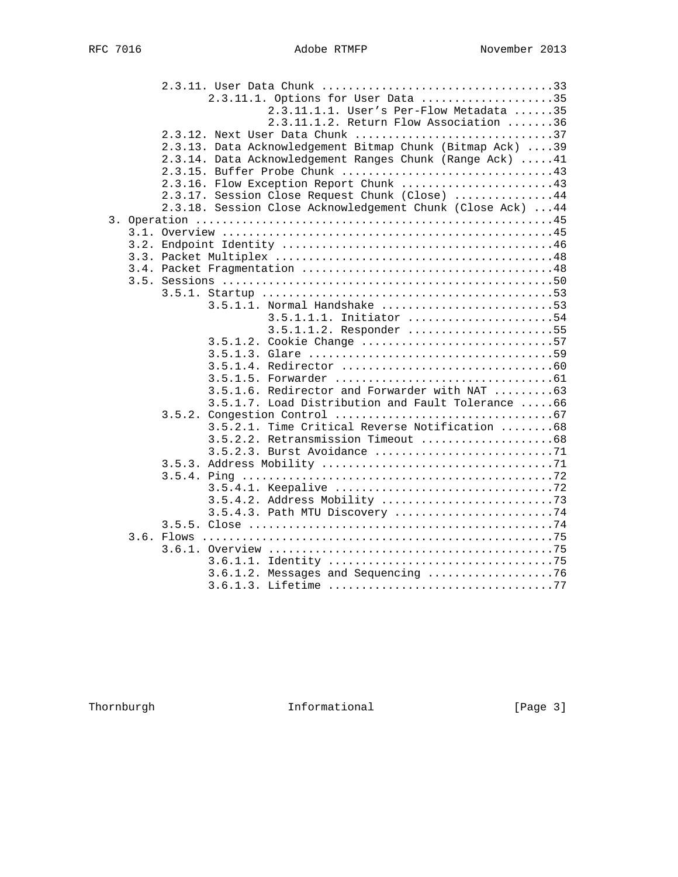| 2.3.11.1. Options for User Data 35                          |
|-------------------------------------------------------------|
| 2.3.11.1.1. User's Per-Flow Metadata 35                     |
| 2.3.11.1.2. Return Flow Association 36                      |
| 2.3.12. Next User Data Chunk 37                             |
| 2.3.13. Data Acknowledgement Bitmap Chunk (Bitmap Ack) 39   |
| 2.3.14. Data Acknowledgement Ranges Chunk (Range Ack)  41   |
|                                                             |
| 2.3.16. Flow Exception Report Chunk 43                      |
| 2.3.17. Session Close Request Chunk (Close) 44              |
| 2.3.18. Session Close Acknowledgement Chunk (Close Ack)  44 |
|                                                             |
|                                                             |
|                                                             |
|                                                             |
|                                                             |
|                                                             |
|                                                             |
| $3.5.1.1.$ Normal Handshake 53                              |
| $3.5.1.1.1.$ Initiator 54                                   |
| 3.5.1.1.2. Responder 55                                     |
| 3.5.1.2. Cookie Change 57                                   |
|                                                             |
|                                                             |
|                                                             |
| 3.5.1.6. Redirector and Forwarder with NAT 63               |
| 3.5.1.7. Load Distribution and Fault Tolerance 66           |
|                                                             |
| 3.5.2.1. Time Critical Reverse Notification 68              |
| 3.5.2.2. Retransmission Timeout 68                          |
| 3.5.2.3. Burst Avoidance 71                                 |
|                                                             |
|                                                             |
|                                                             |
| 3.5.4.2. Address Mobility 73                                |
| 3.5.4.3. Path MTU Discovery 74                              |
|                                                             |
|                                                             |
|                                                             |
|                                                             |
| 3.6.1.2. Messages and Sequencing 76                         |
|                                                             |

Thornburgh 1nformational [Page 3]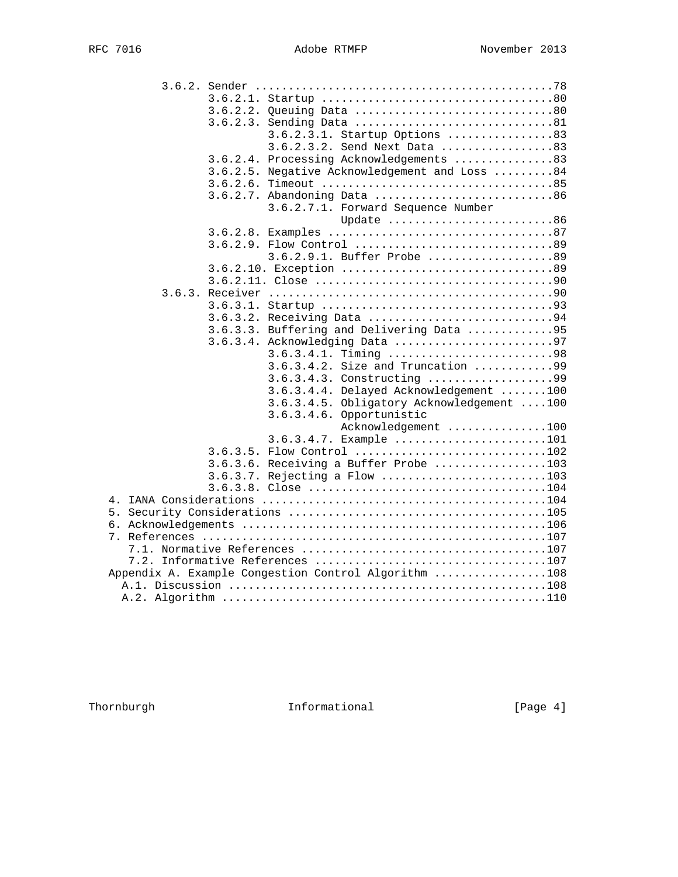|          | 3.6.2.2. Queuing Data 80                             |
|----------|------------------------------------------------------|
|          | 3.6.2.3. Sending Data 81                             |
|          | 3.6.2.3.1. Startup Options 83                        |
|          | 3.6.2.3.2. Send Next Data 83                         |
|          | 3.6.2.4. Processing Acknowledgements 83              |
|          | 3.6.2.5. Negative Acknowledgement and Loss 84        |
|          |                                                      |
|          | 3.6.2.7. Abandoning Data 86                          |
|          | 3.6.2.7.1. Forward Sequence Number                   |
|          | Update 86                                            |
|          |                                                      |
|          |                                                      |
|          | 3.6.2.9.1. Buffer Probe 89                           |
|          |                                                      |
|          |                                                      |
|          |                                                      |
|          |                                                      |
|          | 3.6.3.2. Receiving Data 94                           |
|          | 3.6.3.3. Buffering and Delivering Data 95            |
| 3.6.3.4. | Acknowledging Data 97                                |
|          | 3.6.3.4.1. Timing 98                                 |
|          | 3.6.3.4.2. Size and Truncation 99                    |
|          | 3.6.3.4.3. Constructing 99                           |
|          | 3.6.3.4.4. Delayed Acknowledgement 100               |
|          | 3.6.3.4.5. Obligatory Acknowledgement 100            |
|          | 3.6.3.4.6. Opportunistic<br>Acknowledgement 100      |
|          | 3.6.3.4.7. Example 101                               |
|          | 3.6.3.5. Flow Control 102                            |
|          | 3.6.3.6. Receiving a Buffer Probe 103                |
|          | 3.6.3.7. Rejecting a Flow 103                        |
|          |                                                      |
|          |                                                      |
|          |                                                      |
|          |                                                      |
|          |                                                      |
|          |                                                      |
|          |                                                      |
|          | Appendix A. Example Conqestion Control Algorithm 108 |
|          |                                                      |
|          |                                                      |

Thornburgh 1nformational [Page 4]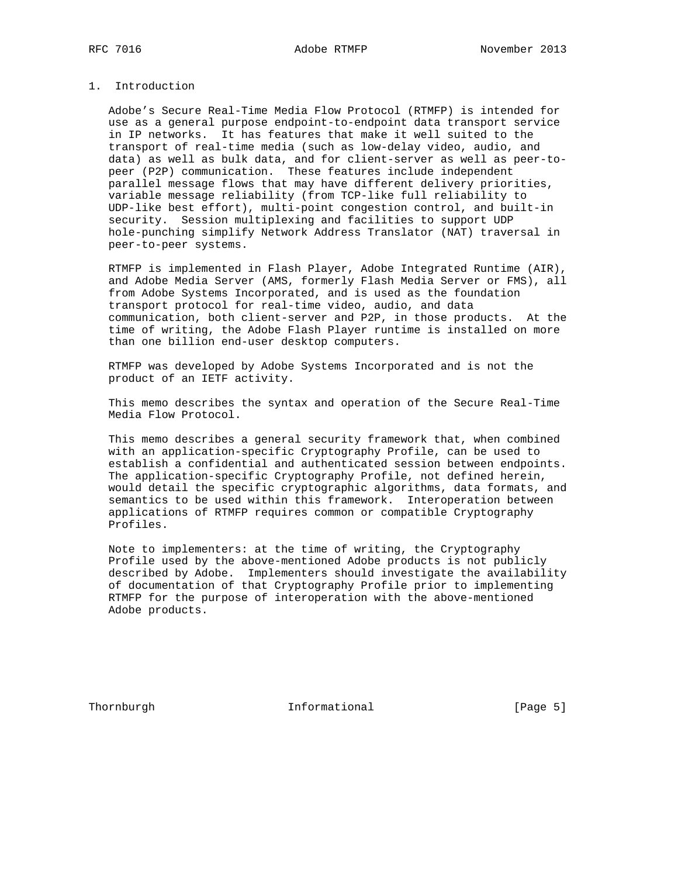# 1. Introduction

 Adobe's Secure Real-Time Media Flow Protocol (RTMFP) is intended for use as a general purpose endpoint-to-endpoint data transport service in IP networks. It has features that make it well suited to the transport of real-time media (such as low-delay video, audio, and data) as well as bulk data, and for client-server as well as peer-to peer (P2P) communication. These features include independent parallel message flows that may have different delivery priorities, variable message reliability (from TCP-like full reliability to UDP-like best effort), multi-point congestion control, and built-in security. Session multiplexing and facilities to support UDP hole-punching simplify Network Address Translator (NAT) traversal in peer-to-peer systems.

 RTMFP is implemented in Flash Player, Adobe Integrated Runtime (AIR), and Adobe Media Server (AMS, formerly Flash Media Server or FMS), all from Adobe Systems Incorporated, and is used as the foundation transport protocol for real-time video, audio, and data communication, both client-server and P2P, in those products. At the time of writing, the Adobe Flash Player runtime is installed on more than one billion end-user desktop computers.

 RTMFP was developed by Adobe Systems Incorporated and is not the product of an IETF activity.

 This memo describes the syntax and operation of the Secure Real-Time Media Flow Protocol.

 This memo describes a general security framework that, when combined with an application-specific Cryptography Profile, can be used to establish a confidential and authenticated session between endpoints. The application-specific Cryptography Profile, not defined herein, would detail the specific cryptographic algorithms, data formats, and semantics to be used within this framework. Interoperation between applications of RTMFP requires common or compatible Cryptography Profiles.

 Note to implementers: at the time of writing, the Cryptography Profile used by the above-mentioned Adobe products is not publicly described by Adobe. Implementers should investigate the availability of documentation of that Cryptography Profile prior to implementing RTMFP for the purpose of interoperation with the above-mentioned Adobe products.

Thornburgh 10 Informational 11 [Page 5]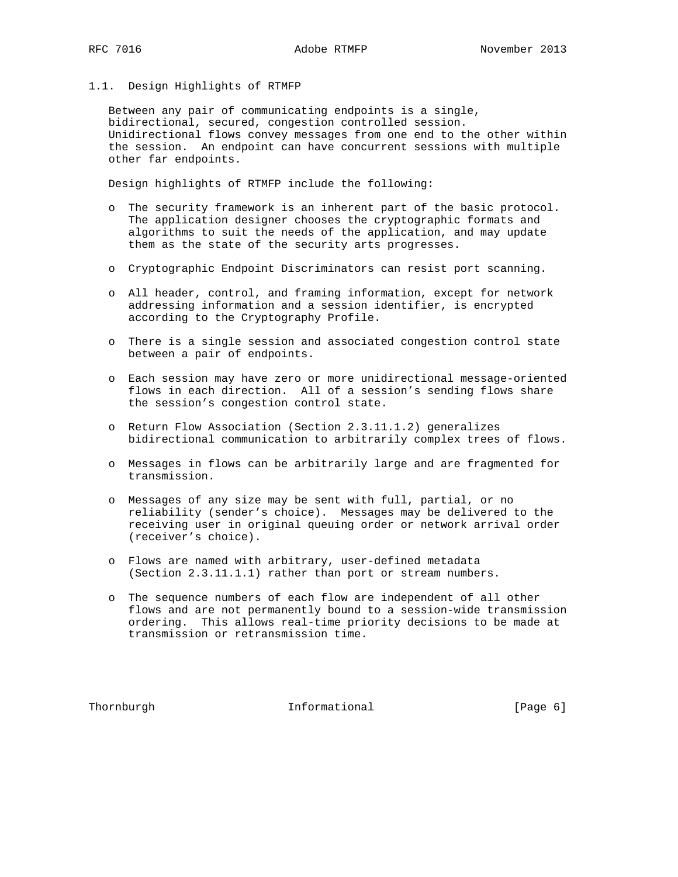#### 1.1. Design Highlights of RTMFP

 Between any pair of communicating endpoints is a single, bidirectional, secured, congestion controlled session. Unidirectional flows convey messages from one end to the other within the session. An endpoint can have concurrent sessions with multiple other far endpoints.

Design highlights of RTMFP include the following:

- o The security framework is an inherent part of the basic protocol. The application designer chooses the cryptographic formats and algorithms to suit the needs of the application, and may update them as the state of the security arts progresses.
- o Cryptographic Endpoint Discriminators can resist port scanning.
- o All header, control, and framing information, except for network addressing information and a session identifier, is encrypted according to the Cryptography Profile.
- o There is a single session and associated congestion control state between a pair of endpoints.
- o Each session may have zero or more unidirectional message-oriented flows in each direction. All of a session's sending flows share the session's congestion control state.
- o Return Flow Association (Section 2.3.11.1.2) generalizes bidirectional communication to arbitrarily complex trees of flows.
- o Messages in flows can be arbitrarily large and are fragmented for transmission.
- o Messages of any size may be sent with full, partial, or no reliability (sender's choice). Messages may be delivered to the receiving user in original queuing order or network arrival order (receiver's choice).
- o Flows are named with arbitrary, user-defined metadata (Section 2.3.11.1.1) rather than port or stream numbers.
- o The sequence numbers of each flow are independent of all other flows and are not permanently bound to a session-wide transmission ordering. This allows real-time priority decisions to be made at transmission or retransmission time.

Thornburgh 10 Informational 11 (Page 6)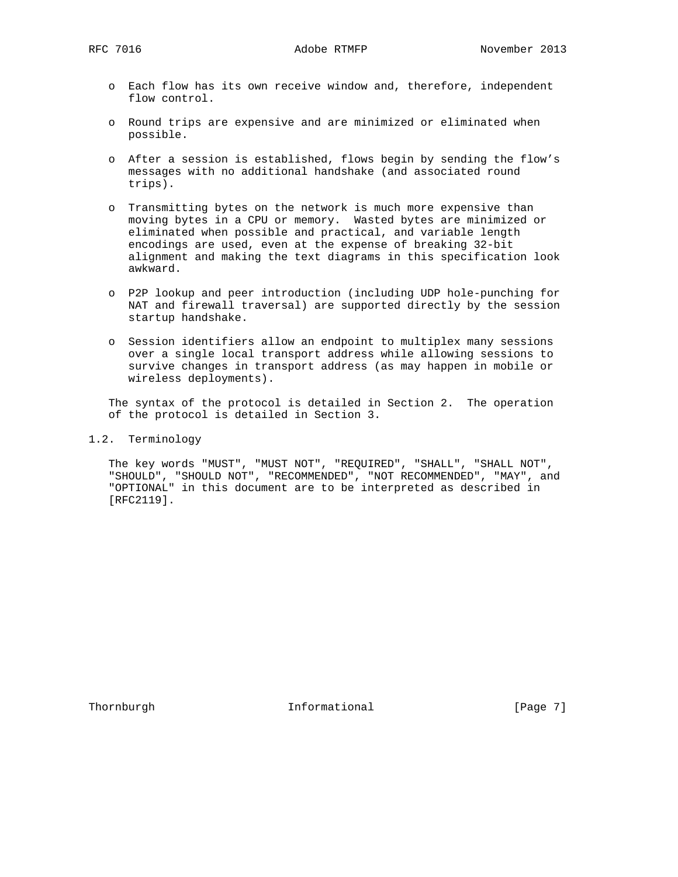- o Each flow has its own receive window and, therefore, independent flow control.
- o Round trips are expensive and are minimized or eliminated when possible.
- o After a session is established, flows begin by sending the flow's messages with no additional handshake (and associated round trips).
- o Transmitting bytes on the network is much more expensive than moving bytes in a CPU or memory. Wasted bytes are minimized or eliminated when possible and practical, and variable length encodings are used, even at the expense of breaking 32-bit alignment and making the text diagrams in this specification look awkward.
- o P2P lookup and peer introduction (including UDP hole-punching for NAT and firewall traversal) are supported directly by the session startup handshake.
- o Session identifiers allow an endpoint to multiplex many sessions over a single local transport address while allowing sessions to survive changes in transport address (as may happen in mobile or wireless deployments).

 The syntax of the protocol is detailed in Section 2. The operation of the protocol is detailed in Section 3.

1.2. Terminology

 The key words "MUST", "MUST NOT", "REQUIRED", "SHALL", "SHALL NOT", "SHOULD", "SHOULD NOT", "RECOMMENDED", "NOT RECOMMENDED", "MAY", and "OPTIONAL" in this document are to be interpreted as described in [RFC2119].

Thornburgh 10 Informational 11 [Page 7]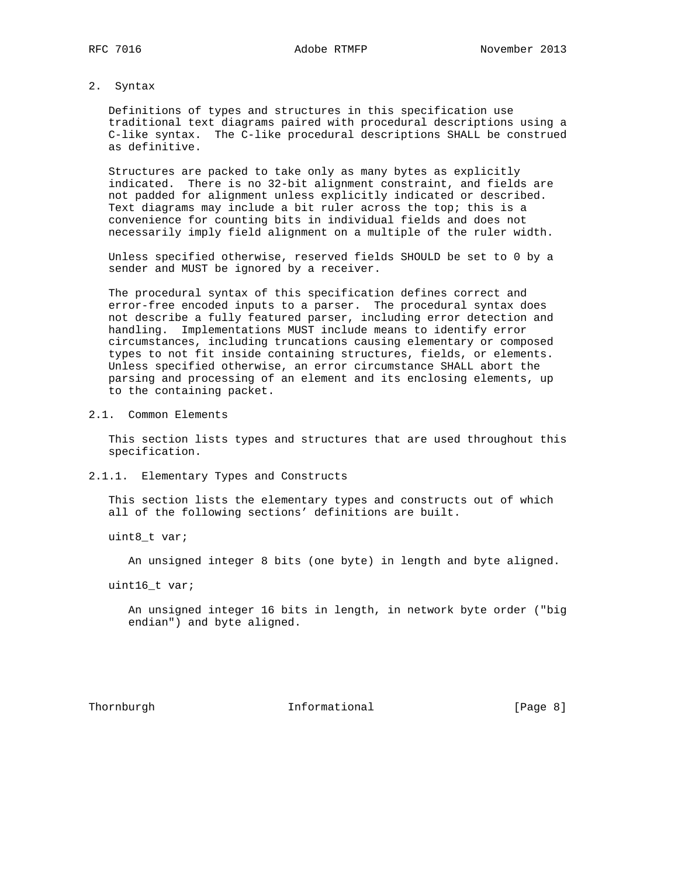2. Syntax

 Definitions of types and structures in this specification use traditional text diagrams paired with procedural descriptions using a C-like syntax. The C-like procedural descriptions SHALL be construed as definitive.

 Structures are packed to take only as many bytes as explicitly indicated. There is no 32-bit alignment constraint, and fields are not padded for alignment unless explicitly indicated or described. Text diagrams may include a bit ruler across the top; this is a convenience for counting bits in individual fields and does not necessarily imply field alignment on a multiple of the ruler width.

 Unless specified otherwise, reserved fields SHOULD be set to 0 by a sender and MUST be ignored by a receiver.

 The procedural syntax of this specification defines correct and error-free encoded inputs to a parser. The procedural syntax does not describe a fully featured parser, including error detection and handling. Implementations MUST include means to identify error circumstances, including truncations causing elementary or composed types to not fit inside containing structures, fields, or elements. Unless specified otherwise, an error circumstance SHALL abort the parsing and processing of an element and its enclosing elements, up to the containing packet.

2.1. Common Elements

 This section lists types and structures that are used throughout this specification.

2.1.1. Elementary Types and Constructs

 This section lists the elementary types and constructs out of which all of the following sections' definitions are built.

uint8\_t var;

An unsigned integer 8 bits (one byte) in length and byte aligned.

uint16\_t var;

 An unsigned integer 16 bits in length, in network byte order ("big endian") and byte aligned.

Thornburgh 10 Informational 11 [Page 8]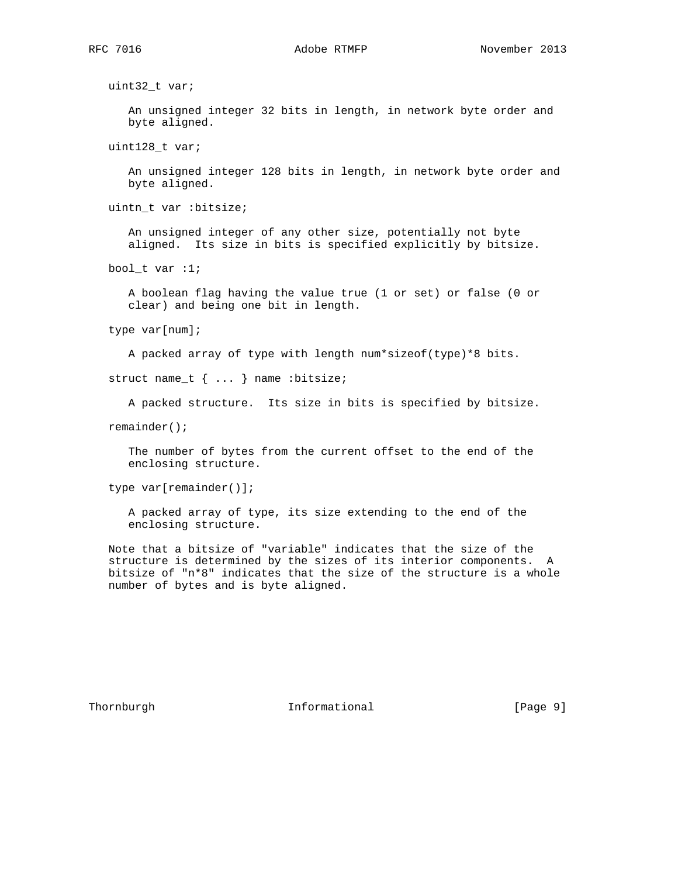uint32\_t var;

 An unsigned integer 32 bits in length, in network byte order and byte aligned.

uint128\_t var;

 An unsigned integer 128 bits in length, in network byte order and byte aligned.

uintn\_t var :bitsize;

 An unsigned integer of any other size, potentially not byte aligned. Its size in bits is specified explicitly by bitsize.

bool\_t var :1;

 A boolean flag having the value true (1 or set) or false (0 or clear) and being one bit in length.

type var[num];

A packed array of type with length num\*sizeof(type)\*8 bits.

struct name\_t { ... } name :bitsize;

A packed structure. Its size in bits is specified by bitsize.

remainder();

 The number of bytes from the current offset to the end of the enclosing structure.

type var[remainder()];

 A packed array of type, its size extending to the end of the enclosing structure.

 Note that a bitsize of "variable" indicates that the size of the structure is determined by the sizes of its interior components. A bitsize of "n\*8" indicates that the size of the structure is a whole number of bytes and is byte aligned.

Thornburgh 10 Informational 11 Page 9]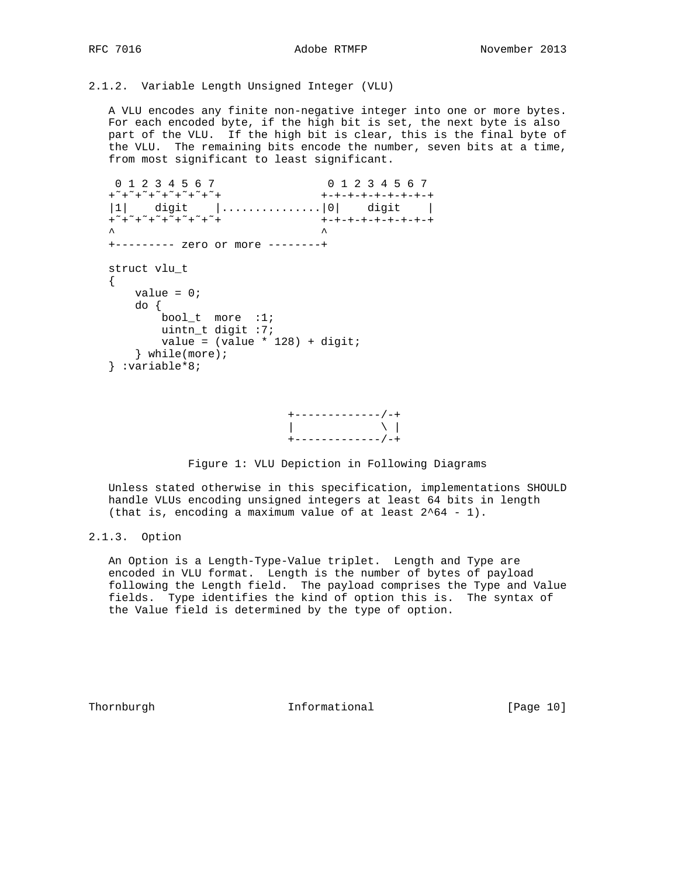2.1.2. Variable Length Unsigned Integer (VLU)

 A VLU encodes any finite non-negative integer into one or more bytes. For each encoded byte, if the high bit is set, the next byte is also part of the VLU. If the high bit is clear, this is the final byte of the VLU. The remaining bits encode the number, seven bits at a time, from most significant to least significant.

```
 0 1 2 3 4 5 6 7 0 1 2 3 4 5 6 7
 +˜+˜+˜+˜+˜+˜+˜+˜+ +-+-+-+-+-+-+-+-+
 |1| digit |...............|0| digit |
 +˜+˜+˜+˜+˜+˜+˜+˜+ +-+-+-+-+-+-+-+-+
\lambda \lambda +--------- zero or more --------+
   struct vlu_t
  \{value = 0;
      do {
        bool_t more :1;
        uintn_t digit :7;
        value = (value * 128) + digit; } while(more);
   } :variable*8;
```


Figure 1: VLU Depiction in Following Diagrams

 Unless stated otherwise in this specification, implementations SHOULD handle VLUs encoding unsigned integers at least 64 bits in length (that is, encoding a maximum value of at least 2^64 - 1).

# 2.1.3. Option

 An Option is a Length-Type-Value triplet. Length and Type are encoded in VLU format. Length is the number of bytes of payload following the Length field. The payload comprises the Type and Value fields. Type identifies the kind of option this is. The syntax of the Value field is determined by the type of option.

Thornburgh 10 Informational [Page 10]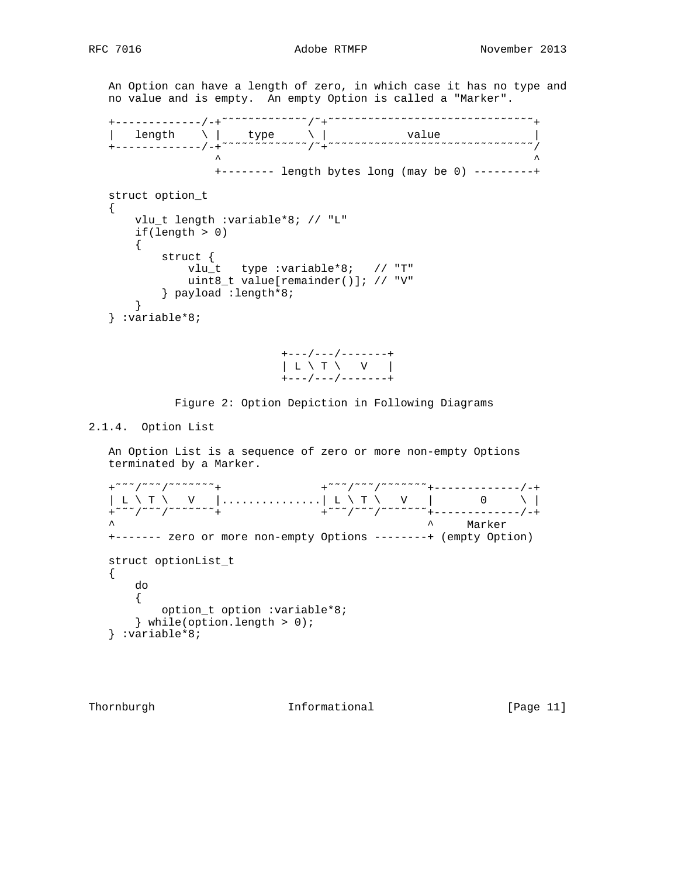An Option can have a length of zero, in which case it has no type and no value and is empty. An empty Option is called a "Marker". +-------------/-+˜˜˜˜˜˜˜˜˜˜˜˜˜/˜+˜˜˜˜˜˜˜˜˜˜˜˜˜˜˜˜˜˜˜˜˜˜˜˜˜˜˜˜˜˜˜+  $\vert$  length  $\setminus$  | type  $\setminus$  | value | +-------------/-+˜˜˜˜˜˜˜˜˜˜˜˜˜/˜+˜˜˜˜˜˜˜˜˜˜˜˜˜˜˜˜˜˜˜˜˜˜˜˜˜˜˜˜˜˜˜/ ^ ^ +-------- length bytes long (may be 0) ---------+ struct option\_t { vlu\_t length :variable\*8; // "L" if(length > 0)  $\{$  struct { vlu\_t type :variable\*8; // "T" uint8\_t value[remainder()]; // "V" } payload :length\*8; } } :variable\*8;



Figure 2: Option Depiction in Following Diagrams

# 2.1.4. Option List

 An Option List is a sequence of zero or more non-empty Options terminated by a Marker.

 +˜˜˜/˜˜˜/˜˜˜˜˜˜˜+ +˜˜˜/˜˜˜/˜˜˜˜˜˜˜+-------------/-+  $\vert$  L \ T \  $\quad$  V  $\vert$  .....................| L \ T \  $\quad$  V  $\vert$  0 \ \  $\vert$  +˜˜˜/˜˜˜/˜˜˜˜˜˜˜+ +˜˜˜/˜˜˜/˜˜˜˜˜˜˜+-------------/-+  $\land$  Marker  $\land$  Marker  $\land$  Marker  $\land$  Marker  $\land$  +------- zero or more non-empty Options --------+ (empty Option) struct optionList t { do { option\_t option :variable\*8; } while(option.length > 0); } :variable\*8;

Thornburgh 10 Informational [Page 11]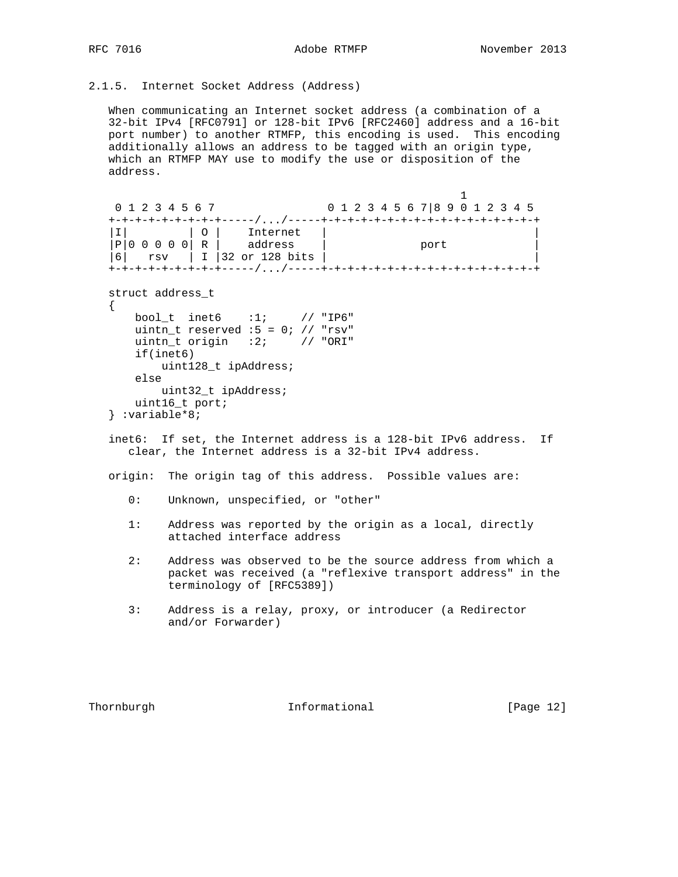2.1.5. Internet Socket Address (Address)

 When communicating an Internet socket address (a combination of a 32-bit IPv4 [RFC0791] or 128-bit IPv6 [RFC2460] address and a 16-bit port number) to another RTMFP, this encoding is used. This encoding additionally allows an address to be tagged with an origin type, which an RTMFP MAY use to modify the use or disposition of the address.

```
 1
   0 1 2 3 4 5 6 7 0 1 2 3 4 5 6 7|8 9 0 1 2 3 4 5
   +-+-+-+-+-+-+-+-+-----/.../-----+-+-+-+-+-+-+-+-+-+-+-+-+-+-+-+-+
|I| |O| Internet ||P|0 \t0 \t0 \t0 \tR address | port |P| |6| rsv | I |32 or 128 bits | |
   +-+-+-+-+-+-+-+-+-----/.../-----+-+-+-+-+-+-+-+-+-+-+-+-+-+-+-+-+
  struct address_t
   {
     bool_t inet6 :1; // "IP6"
    uintn_t reserved :5 = 0; // "rsv"uintn_t origin :2; // "ORI"
     if(inet6)
        uint128_t ipAddress;
     else
        uint32_t ipAddress;
     uint16_t port;
   } :variable*8;
```
 inet6: If set, the Internet address is a 128-bit IPv6 address. If clear, the Internet address is a 32-bit IPv4 address.

origin: The origin tag of this address. Possible values are:

- 0: Unknown, unspecified, or "other"
- 1: Address was reported by the origin as a local, directly attached interface address
- 2: Address was observed to be the source address from which a packet was received (a "reflexive transport address" in the terminology of [RFC5389])
- 3: Address is a relay, proxy, or introducer (a Redirector and/or Forwarder)

Thornburgh **Informational Informational** [Page 12]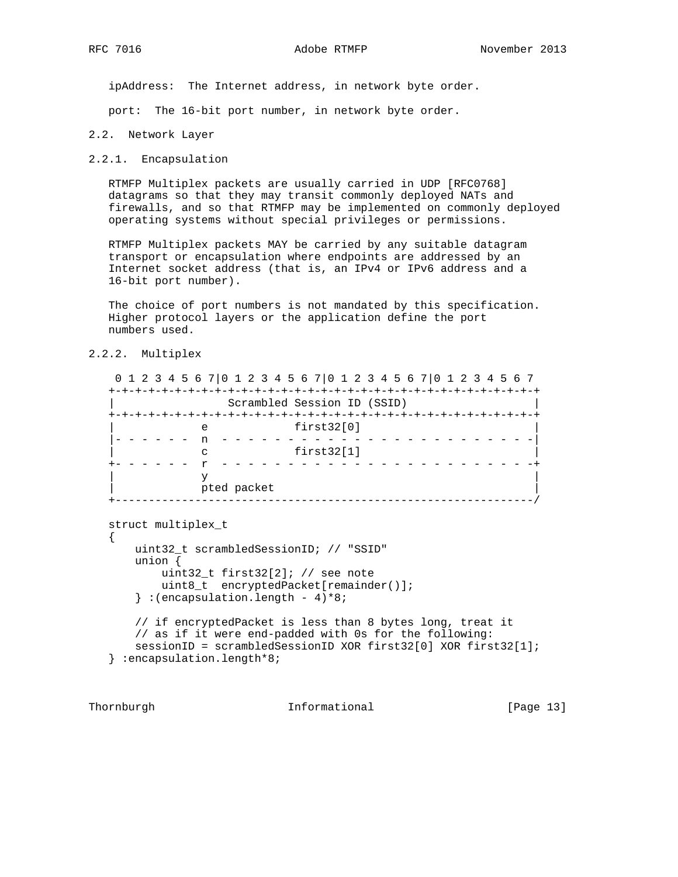ipAddress: The Internet address, in network byte order.

port: The 16-bit port number, in network byte order.

#### 2.2. Network Layer

#### 2.2.1. Encapsulation

 RTMFP Multiplex packets are usually carried in UDP [RFC0768] datagrams so that they may transit commonly deployed NATs and firewalls, and so that RTMFP may be implemented on commonly deployed operating systems without special privileges or permissions.

 RTMFP Multiplex packets MAY be carried by any suitable datagram transport or encapsulation where endpoints are addressed by an Internet socket address (that is, an IPv4 or IPv6 address and a 16-bit port number).

 The choice of port numbers is not mandated by this specification. Higher protocol layers or the application define the port numbers used.

# 2.2.2. Multiplex

 0 1 2 3 4 5 6 7|0 1 2 3 4 5 6 7|0 1 2 3 4 5 6 7|0 1 2 3 4 5 6 7 +-+-+-+-+-+-+-+-+-+-+-+-+-+-+-+-+-+-+-+-+-+-+-+-+-+-+-+-+-+-+-+-+ | Scrambled Session ID (SSID) | +-+-+-+-+-+-+-+-+-+-+-+-+-+-+-+-+-+-+-+-+-+-+-+-+-+-+-+-+-+-+-+-+ | e first32[0] | |- - - - - - n - - - - - - - - - - - - - - - - - - - - - - - -| | c first32[1] | +- - - - - - r - - - - - - - - - - - - - - - - - - - - - - - -+  $\mathbf y$  and  $\mathbf y$  and  $\mathbf y$  and  $\mathbf y$  and  $\mathbf y$  and  $\mathbf y$  and  $\mathbf y$  and  $\mathbf y$  and  $\mathbf y$  and  $\mathbf y$  and  $\mathbf y$  and  $\mathbf y$  and  $\mathbf y$  and  $\mathbf y$  and  $\mathbf y$  and  $\mathbf y$  and  $\mathbf y$  and  $\mathbf y$  and  $\mathbf y$  and  $\mathbf y$  and pted packet +---------------------------------------------------------------/

```
 struct multiplex_t
\left\{ \right. uint32_t scrambledSessionID; // "SSID"
     union {
         uint32_t first32[2]; // see note
        uint8_t encryptedPacket[remainder()];
    \} : (encapsulation.length - 4)*8;
     // if encryptedPacket is less than 8 bytes long, treat it
     // as if it were end-padded with 0s for the following:
     sessionID = scrambledSessionID XOR first32[0] XOR first32[1];
 } :encapsulation.length*8;
```
Thornburgh 10 Informational [Page 13]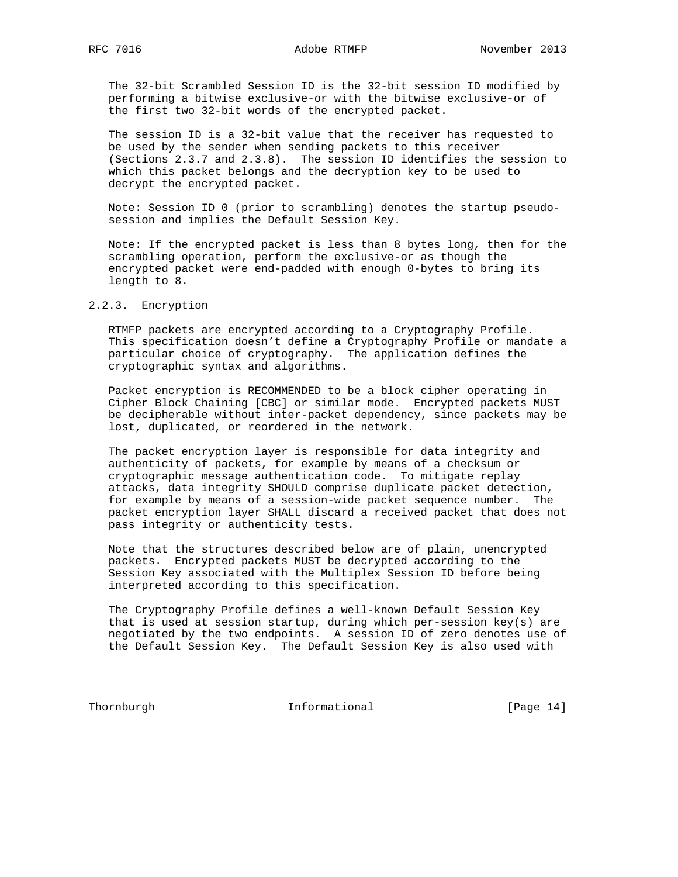The 32-bit Scrambled Session ID is the 32-bit session ID modified by performing a bitwise exclusive-or with the bitwise exclusive-or of the first two 32-bit words of the encrypted packet.

 The session ID is a 32-bit value that the receiver has requested to be used by the sender when sending packets to this receiver (Sections 2.3.7 and 2.3.8). The session ID identifies the session to which this packet belongs and the decryption key to be used to decrypt the encrypted packet.

 Note: Session ID 0 (prior to scrambling) denotes the startup pseudo session and implies the Default Session Key.

 Note: If the encrypted packet is less than 8 bytes long, then for the scrambling operation, perform the exclusive-or as though the encrypted packet were end-padded with enough 0-bytes to bring its length to 8.

# 2.2.3. Encryption

 RTMFP packets are encrypted according to a Cryptography Profile. This specification doesn't define a Cryptography Profile or mandate a particular choice of cryptography. The application defines the cryptographic syntax and algorithms.

 Packet encryption is RECOMMENDED to be a block cipher operating in Cipher Block Chaining [CBC] or similar mode. Encrypted packets MUST be decipherable without inter-packet dependency, since packets may be lost, duplicated, or reordered in the network.

 The packet encryption layer is responsible for data integrity and authenticity of packets, for example by means of a checksum or cryptographic message authentication code. To mitigate replay attacks, data integrity SHOULD comprise duplicate packet detection, for example by means of a session-wide packet sequence number. The packet encryption layer SHALL discard a received packet that does not pass integrity or authenticity tests.

 Note that the structures described below are of plain, unencrypted packets. Encrypted packets MUST be decrypted according to the Session Key associated with the Multiplex Session ID before being interpreted according to this specification.

 The Cryptography Profile defines a well-known Default Session Key that is used at session startup, during which per-session key(s) are negotiated by the two endpoints. A session ID of zero denotes use of the Default Session Key. The Default Session Key is also used with

Thornburgh 10 Informational [Page 14]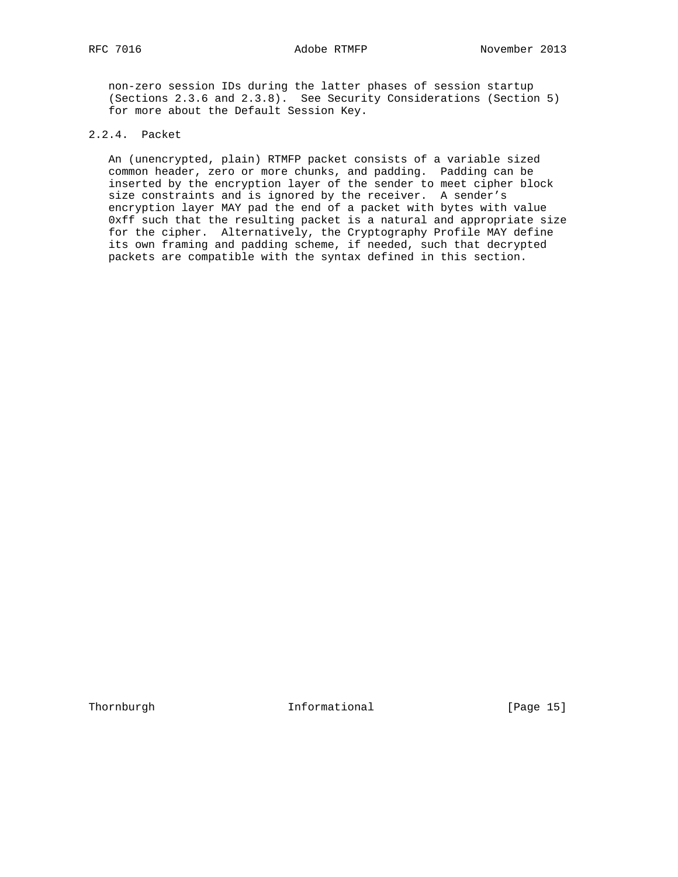non-zero session IDs during the latter phases of session startup (Sections 2.3.6 and 2.3.8). See Security Considerations (Section 5) for more about the Default Session Key.

# 2.2.4. Packet

 An (unencrypted, plain) RTMFP packet consists of a variable sized common header, zero or more chunks, and padding. Padding can be inserted by the encryption layer of the sender to meet cipher block size constraints and is ignored by the receiver. A sender's encryption layer MAY pad the end of a packet with bytes with value 0xff such that the resulting packet is a natural and appropriate size for the cipher. Alternatively, the Cryptography Profile MAY define its own framing and padding scheme, if needed, such that decrypted packets are compatible with the syntax defined in this section.

Thornburgh 10 Informational [Page 15]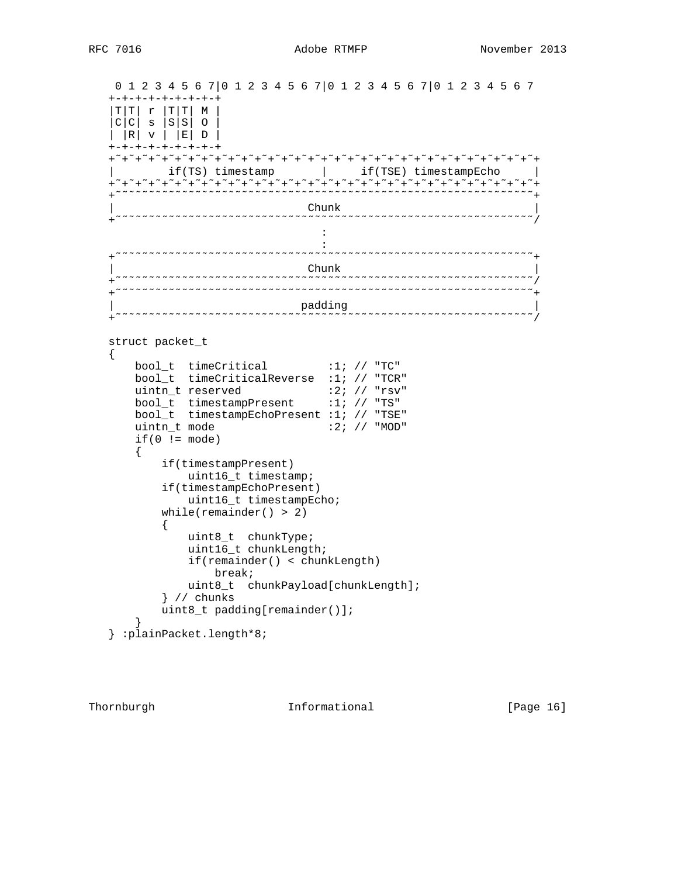```
 0 1 2 3 4 5 6 7|0 1 2 3 4 5 6 7|0 1 2 3 4 5 6 7|0 1 2 3 4 5 6 7
    +-+-+-+-+-+-+-+-+
   |T|T| r |T|T| M |
    |C|C| s |S|S| O |
    | |R| v | |E| D |
   +-+-+-+-+-+-+-+-+
     +˜+˜+˜+˜+˜+˜+˜+˜+˜+˜+˜+˜+˜+˜+˜+˜+˜+˜+˜+˜+˜+˜+˜+˜+˜+˜+˜+˜+˜+˜+˜+˜+
        if(TS) timestamp | if(TSE) timestampEcho
     +˜+˜+˜+˜+˜+˜+˜+˜+˜+˜+˜+˜+˜+˜+˜+˜+˜+˜+˜+˜+˜+˜+˜+˜+˜+˜+˜+˜+˜+˜+˜+˜+
       +˜˜˜˜˜˜˜˜˜˜˜˜˜˜˜˜˜˜˜˜˜˜˜˜˜˜˜˜˜˜˜˜˜˜˜˜˜˜˜˜˜˜˜˜˜˜˜˜˜˜˜˜˜˜˜˜˜˜˜˜˜˜˜+
 | Chunk |
 +˜˜˜˜˜˜˜˜˜˜˜˜˜˜˜˜˜˜˜˜˜˜˜˜˜˜˜˜˜˜˜˜˜˜˜˜˜˜˜˜˜˜˜˜˜˜˜˜˜˜˜˜˜˜˜˜˜˜˜˜˜˜˜/
the contract of the contract of the contract of the contract of the contract of
the contract of the contract of the contract of the contract of the contract of
 +˜˜˜˜˜˜˜˜˜˜˜˜˜˜˜˜˜˜˜˜˜˜˜˜˜˜˜˜˜˜˜˜˜˜˜˜˜˜˜˜˜˜˜˜˜˜˜˜˜˜˜˜˜˜˜˜˜˜˜˜˜˜˜+
 | Chunk |
 +˜˜˜˜˜˜˜˜˜˜˜˜˜˜˜˜˜˜˜˜˜˜˜˜˜˜˜˜˜˜˜˜˜˜˜˜˜˜˜˜˜˜˜˜˜˜˜˜˜˜˜˜˜˜˜˜˜˜˜˜˜˜˜/
            +˜˜˜˜˜˜˜˜˜˜˜˜˜˜˜˜˜˜˜˜˜˜˜˜˜˜˜˜˜˜˜˜˜˜˜˜˜˜˜˜˜˜˜˜˜˜˜˜˜˜˜˜˜˜˜˜˜˜˜˜˜˜˜+
  | padding<br>+~~~~~~~~~~~~~~~~~~~~~~~~~~~~~~~~~~~
                                +˜˜˜˜˜˜˜˜˜˜˜˜˜˜˜˜˜˜˜˜˜˜˜˜˜˜˜˜˜˜˜˜˜˜˜˜˜˜˜˜˜˜˜˜˜˜˜˜˜˜˜˜˜˜˜˜˜˜˜˜˜˜˜/
   struct packet_t
   {
      bool_t timeCritical :1; // "TC"
       bool_t timeCriticalReverse :1; // "TCR"
uintn_t reserved :2; // "rsv"
 bool_t timestampPresent :1; // "TS"
 bool_t timestampEchoPresent :1; // "TSE"
      uintn_t mode :2; // "MOD"
      if(0 != mode) {
           if(timestampPresent)
              uint16_t timestamp;
           if(timestampEchoPresent)
              uint16_t timestampEcho;
          while(remainder() > 2)
\{ uint8_t chunkType;
               uint16_t chunkLength;
               if(remainder() < chunkLength)
                  break;
              uint8_t chunkPayload[chunkLength];
           } // chunks
           uint8_t padding[remainder()];
       }
   } :plainPacket.length*8;
```
Thornburgh 10 Informational [Page 16]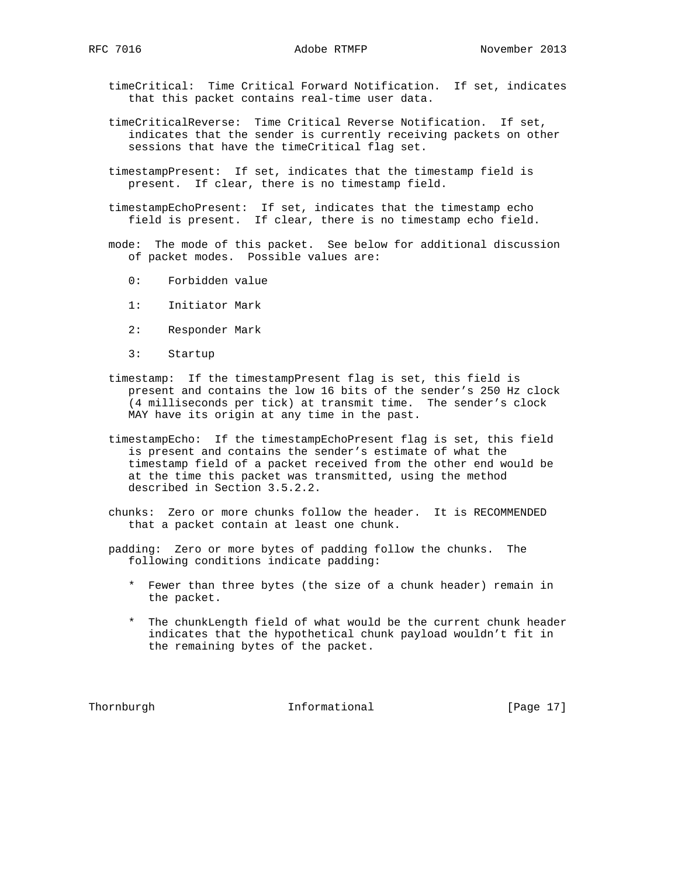timeCritical: Time Critical Forward Notification. If set, indicates that this packet contains real-time user data.

- timeCriticalReverse: Time Critical Reverse Notification. If set, indicates that the sender is currently receiving packets on other sessions that have the timeCritical flag set.
- timestampPresent: If set, indicates that the timestamp field is present. If clear, there is no timestamp field.
- timestampEchoPresent: If set, indicates that the timestamp echo field is present. If clear, there is no timestamp echo field.
- mode: The mode of this packet. See below for additional discussion of packet modes. Possible values are:
	- 0: Forbidden value
	- 1: Initiator Mark
	- 2: Responder Mark
	- 3: Startup
- timestamp: If the timestampPresent flag is set, this field is present and contains the low 16 bits of the sender's 250 Hz clock (4 milliseconds per tick) at transmit time. The sender's clock MAY have its origin at any time in the past.
- timestampEcho: If the timestampEchoPresent flag is set, this field is present and contains the sender's estimate of what the timestamp field of a packet received from the other end would be at the time this packet was transmitted, using the method described in Section 3.5.2.2.
- chunks: Zero or more chunks follow the header. It is RECOMMENDED that a packet contain at least one chunk.
- padding: Zero or more bytes of padding follow the chunks. The following conditions indicate padding:
	- \* Fewer than three bytes (the size of a chunk header) remain in the packet.
	- \* The chunkLength field of what would be the current chunk header indicates that the hypothetical chunk payload wouldn't fit in the remaining bytes of the packet.

Thornburgh 10 Informational [Page 17]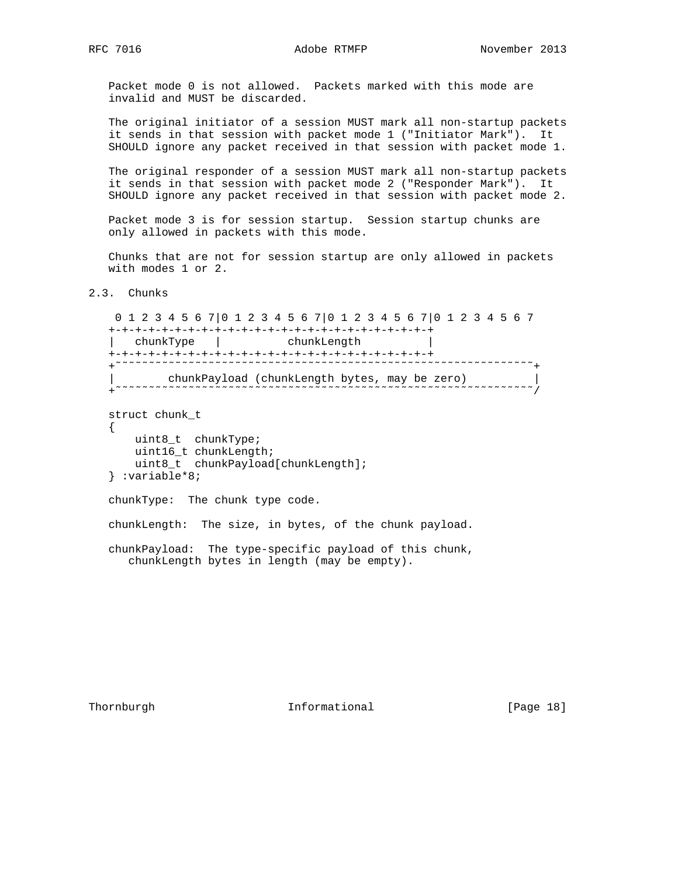Packet mode 0 is not allowed. Packets marked with this mode are invalid and MUST be discarded.

 The original initiator of a session MUST mark all non-startup packets it sends in that session with packet mode 1 ("Initiator Mark"). It SHOULD ignore any packet received in that session with packet mode 1.

 The original responder of a session MUST mark all non-startup packets it sends in that session with packet mode 2 ("Responder Mark"). It SHOULD ignore any packet received in that session with packet mode 2.

 Packet mode 3 is for session startup. Session startup chunks are only allowed in packets with this mode.

 Chunks that are not for session startup are only allowed in packets with modes 1 or 2.

2.3. Chunks

 0 1 2 3 4 5 6 7|0 1 2 3 4 5 6 7|0 1 2 3 4 5 6 7|0 1 2 3 4 5 6 7 +-+-+-+-+-+-+-+-+-+-+-+-+-+-+-+-+-+-+-+-+-+-+-+-+ | chunkType | chunkLength | +-+-+-+-+-+-+-+-+-+-+-+-+-+-+-+-+-+-+-+-+-+-+-+-+ +˜˜˜˜˜˜˜˜˜˜˜˜˜˜˜˜˜˜˜˜˜˜˜˜˜˜˜˜˜˜˜˜˜˜˜˜˜˜˜˜˜˜˜˜˜˜˜˜˜˜˜˜˜˜˜˜˜˜˜˜˜˜˜+ | chunkPayload (chunkLength bytes, may be zero) | +˜˜˜˜˜˜˜˜˜˜˜˜˜˜˜˜˜˜˜˜˜˜˜˜˜˜˜˜˜˜˜˜˜˜˜˜˜˜˜˜˜˜˜˜˜˜˜˜˜˜˜˜˜˜˜˜˜˜˜˜˜˜˜/ struct chunk\_t { uint8\_t chunkType; uint16\_t chunkLength; uint8\_t chunkPayload[chunkLength]; } :variable\*8; chunkType: The chunk type code. chunkLength: The size, in bytes, of the chunk payload. chunkPayload: The type-specific payload of this chunk,

chunkLength bytes in length (may be empty).

Thornburgh 10 Informational [Page 18]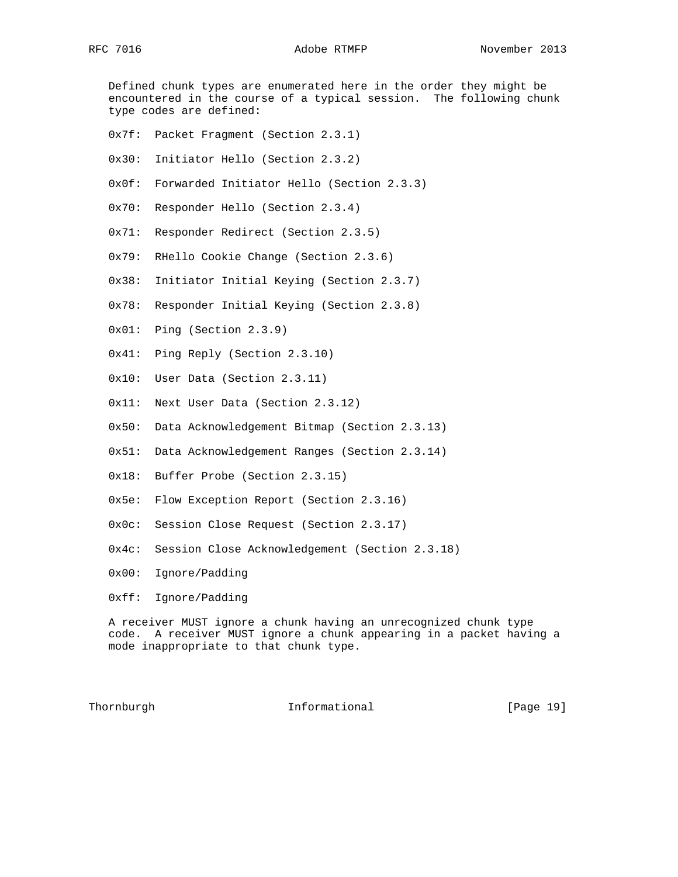Defined chunk types are enumerated here in the order they might be encountered in the course of a typical session. The following chunk type codes are defined:

- 0x7f: Packet Fragment (Section 2.3.1)
- 0x30: Initiator Hello (Section 2.3.2)
- 0x0f: Forwarded Initiator Hello (Section 2.3.3)
- 0x70: Responder Hello (Section 2.3.4)
- 0x71: Responder Redirect (Section 2.3.5)
- 0x79: RHello Cookie Change (Section 2.3.6)
- 0x38: Initiator Initial Keying (Section 2.3.7)
- 0x78: Responder Initial Keying (Section 2.3.8)
- 0x01: Ping (Section 2.3.9)
- 0x41: Ping Reply (Section 2.3.10)
- 0x10: User Data (Section 2.3.11)
- 0x11: Next User Data (Section 2.3.12)
- 0x50: Data Acknowledgement Bitmap (Section 2.3.13)
- 0x51: Data Acknowledgement Ranges (Section 2.3.14)
- 0x18: Buffer Probe (Section 2.3.15)
- 0x5e: Flow Exception Report (Section 2.3.16)
- 0x0c: Session Close Request (Section 2.3.17)
- 0x4c: Session Close Acknowledgement (Section 2.3.18)
- 0x00: Ignore/Padding
- 0xff: Ignore/Padding

 A receiver MUST ignore a chunk having an unrecognized chunk type code. A receiver MUST ignore a chunk appearing in a packet having a mode inappropriate to that chunk type.

Thornburgh **Informational** [Page 19]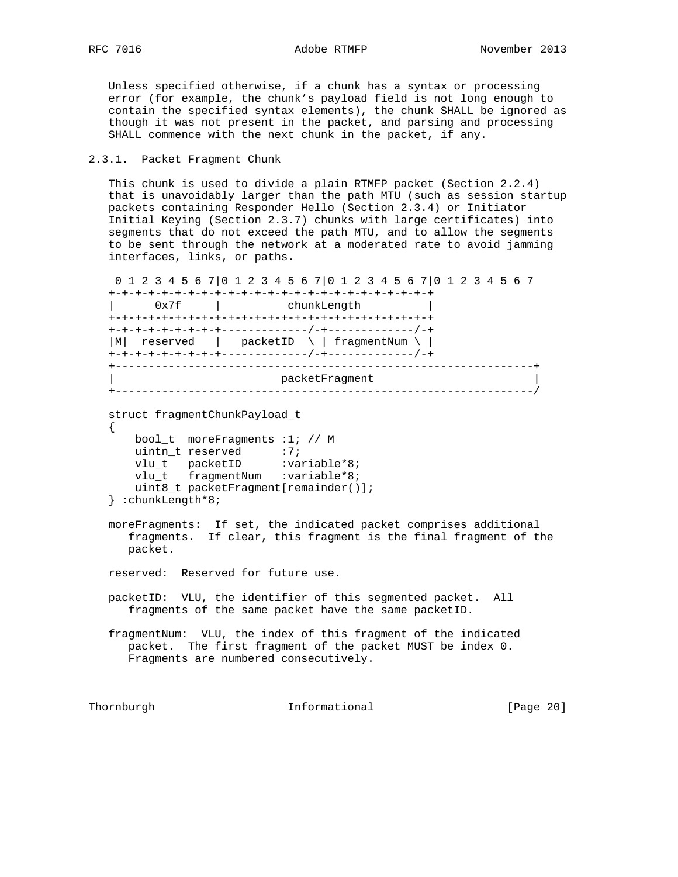Unless specified otherwise, if a chunk has a syntax or processing error (for example, the chunk's payload field is not long enough to contain the specified syntax elements), the chunk SHALL be ignored as though it was not present in the packet, and parsing and processing SHALL commence with the next chunk in the packet, if any.

# 2.3.1. Packet Fragment Chunk

 This chunk is used to divide a plain RTMFP packet (Section 2.2.4) that is unavoidably larger than the path MTU (such as session startup packets containing Responder Hello (Section 2.3.4) or Initiator Initial Keying (Section 2.3.7) chunks with large certificates) into segments that do not exceed the path MTU, and to allow the segments to be sent through the network at a moderated rate to avoid jamming interfaces, links, or paths.

 0 1 2 3 4 5 6 7|0 1 2 3 4 5 6 7|0 1 2 3 4 5 6 7|0 1 2 3 4 5 6 7 +-+-+-+-+-+-+-+-+-+-+-+-+-+-+-+-+-+-+-+-+-+-+-+-+ | 0x7f | chunkLength | +-+-+-+-+-+-+-+-+-+-+-+-+-+-+-+-+-+-+-+-+-+-+-+-+ +-+-+-+-+-+-+-+-+-------------/-+-------------/-+ |M| reserved | packetID \ | fragmentNum \ | +-+-+-+-+-+-+-+-+-------------/-+-------------/-+ +---------------------------------------------------------------+ packetFragment +---------------------------------------------------------------/

```
 struct fragmentChunkPayload_t
  \{ bool_t moreFragments :1; // M
     uintn_t reserved :7;
vlu_t packetID :variable*8;
vlu_t fragmentNum :variable*8;
```

```
 uint8_t packetFragment[remainder()];
 } :chunkLength*8;
```
 moreFragments: If set, the indicated packet comprises additional fragments. If clear, this fragment is the final fragment of the packet.

reserved: Reserved for future use.

 packetID: VLU, the identifier of this segmented packet. All fragments of the same packet have the same packetID.

 fragmentNum: VLU, the index of this fragment of the indicated packet. The first fragment of the packet MUST be index 0. Fragments are numbered consecutively.

Thornburgh 1nformational [Page 20]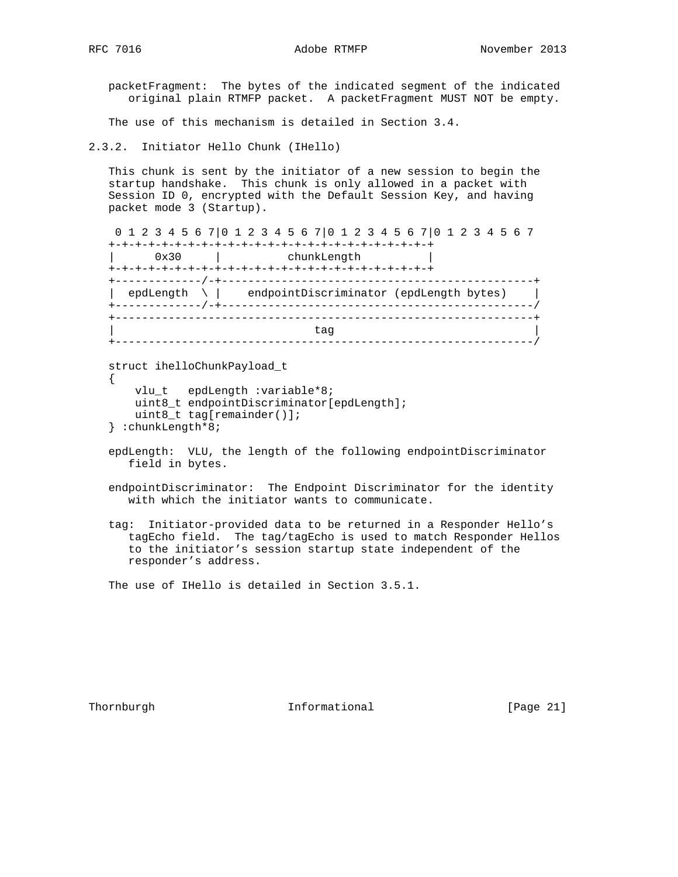{

 packetFragment: The bytes of the indicated segment of the indicated original plain RTMFP packet. A packetFragment MUST NOT be empty.

The use of this mechanism is detailed in Section 3.4.

2.3.2. Initiator Hello Chunk (IHello)

 This chunk is sent by the initiator of a new session to begin the startup handshake. This chunk is only allowed in a packet with Session ID 0, encrypted with the Default Session Key, and having packet mode 3 (Startup).

 0 1 2 3 4 5 6 7|0 1 2 3 4 5 6 7|0 1 2 3 4 5 6 7|0 1 2 3 4 5 6 7 +-+-+-+-+-+-+-+-+-+-+-+-+-+-+-+-+-+-+-+-+-+-+-+-+ 0x30 | chunkLength +-+-+-+-+-+-+-+-+-+-+-+-+-+-+-+-+-+-+-+-+-+-+-+-+ +-------------/-+-----------------------------------------------+ | epdLength \ | endpointDiscriminator (epdLength bytes) | +-------------/-+-----------------------------------------------/ +---------------------------------------------------------------+ | tag | +---------------------------------------------------------------/

struct ihelloChunkPayload\_t

```
 vlu_t epdLength :variable*8;
    uint8_t endpointDiscriminator[epdLength];
    uint8_t tag[remainder()];
 } :chunkLength*8;
```
- epdLength: VLU, the length of the following endpointDiscriminator field in bytes.
- endpointDiscriminator: The Endpoint Discriminator for the identity with which the initiator wants to communicate.
- tag: Initiator-provided data to be returned in a Responder Hello's tagEcho field. The tag/tagEcho is used to match Responder Hellos to the initiator's session startup state independent of the responder's address.

The use of IHello is detailed in Section 3.5.1.

Thornburgh **Informational** [Page 21]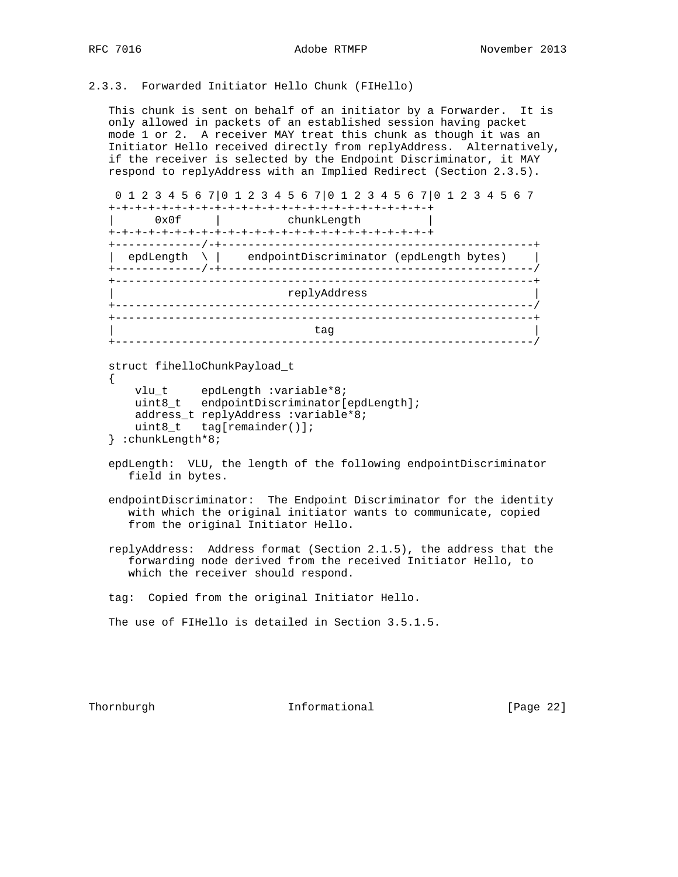```
2.3.3. Forwarded Initiator Hello Chunk (FIHello)
```
 This chunk is sent on behalf of an initiator by a Forwarder. It is only allowed in packets of an established session having packet mode 1 or 2. A receiver MAY treat this chunk as though it was an Initiator Hello received directly from replyAddress. Alternatively, if the receiver is selected by the Endpoint Discriminator, it MAY respond to replyAddress with an Implied Redirect (Section 2.3.5).

```
 0 1 2 3 4 5 6 7|0 1 2 3 4 5 6 7|0 1 2 3 4 5 6 7|0 1 2 3 4 5 6 7
```

```
 +-+-+-+-+-+-+-+-+-+-+-+-+-+-+-+-+-+-+-+-+-+-+-+-+
```

| 0x0f                                         | chunkLength                             |  |  |  |  |
|----------------------------------------------|-----------------------------------------|--|--|--|--|
| ------------<br>epdLength<br>------------ /- | endpointDiscriminator (epdLength bytes) |  |  |  |  |
| replyAddress<br>------------                 |                                         |  |  |  |  |
|                                              | tag                                     |  |  |  |  |

struct fihelloChunkPayload\_t

```
 {
 vlu_t epdLength :variable*8;
 uint8_t endpointDiscriminator[epdLength];
      address_t replyAddress :variable*8;
      uint8_t tag[remainder()];
   } :chunkLength*8;
```
- epdLength: VLU, the length of the following endpointDiscriminator field in bytes.
- endpointDiscriminator: The Endpoint Discriminator for the identity with which the original initiator wants to communicate, copied from the original Initiator Hello.
- replyAddress: Address format (Section 2.1.5), the address that the forwarding node derived from the received Initiator Hello, to which the receiver should respond.

tag: Copied from the original Initiator Hello.

```
 The use of FIHello is detailed in Section 3.5.1.5.
```
Thornburgh **Informational Informational** [Page 22]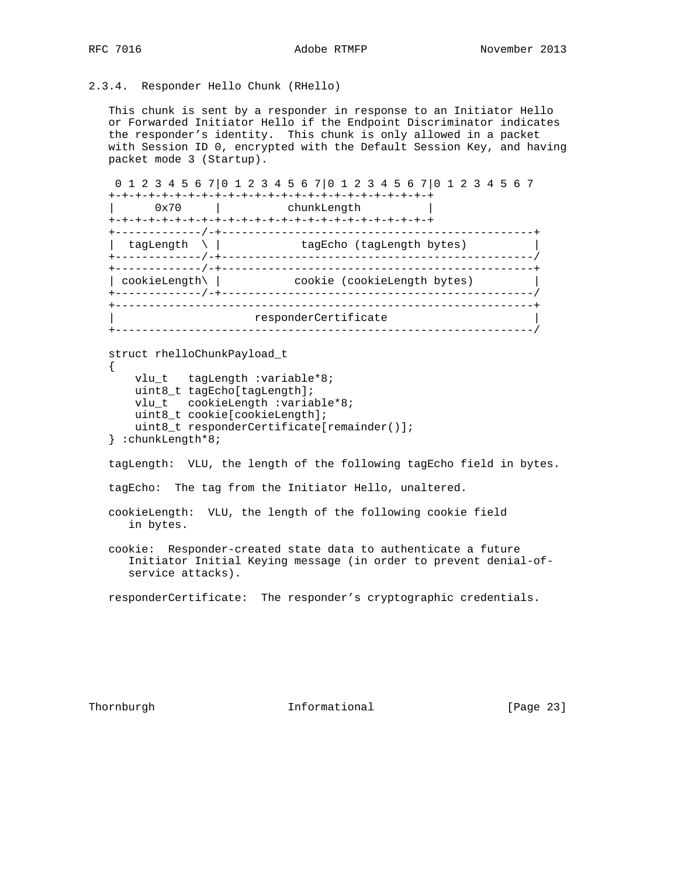2.3.4. Responder Hello Chunk (RHello)

 This chunk is sent by a responder in response to an Initiator Hello or Forwarded Initiator Hello if the Endpoint Discriminator indicates the responder's identity. This chunk is only allowed in a packet with Session ID 0, encrypted with the Default Session Key, and having packet mode 3 (Startup).

 0 1 2 3 4 5 6 7|0 1 2 3 4 5 6 7|0 1 2 3 4 5 6 7|0 1 2 3 4 5 6 7 +-+-+-+-+-+-+-+-+-+-+-+-+-+-+-+-+-+-+-+-+-+-+-+-+ | 0x70 | chunkLength | +-+-+-+-+-+-+-+-+-+-+-+-+-+-+-+-+-+-+-+-+-+-+-+-+ +-------------/-+-----------------------------------------------+ | tagLength \ | tagEcho (tagLength bytes) | +-------------/-+-----------------------------------------------/ +-------------/-+-----------------------------------------------+ | cookieLength\ | cookie (cookieLength bytes) | +-------------/-+-----------------------------------------------/ +---------------------------------------------------------------+ responderCertificate +---------------------------------------------------------------/

```
 struct rhelloChunkPayload_t
 {
```

```
 vlu_t tagLength :variable*8;
    uint8_t tagEcho[tagLength];
    vlu_t cookieLength :variable*8;
   uint8 t cookie[cookieLength];
    uint8_t responderCertificate[remainder()];
 } :chunkLength*8;
```
tagLength: VLU, the length of the following tagEcho field in bytes.

tagEcho: The tag from the Initiator Hello, unaltered.

```
 cookieLength: VLU, the length of the following cookie field
    in bytes.
```
 cookie: Responder-created state data to authenticate a future Initiator Initial Keying message (in order to prevent denial-of service attacks).

responderCertificate: The responder's cryptographic credentials.

Thornburgh 1nformational [Page 23]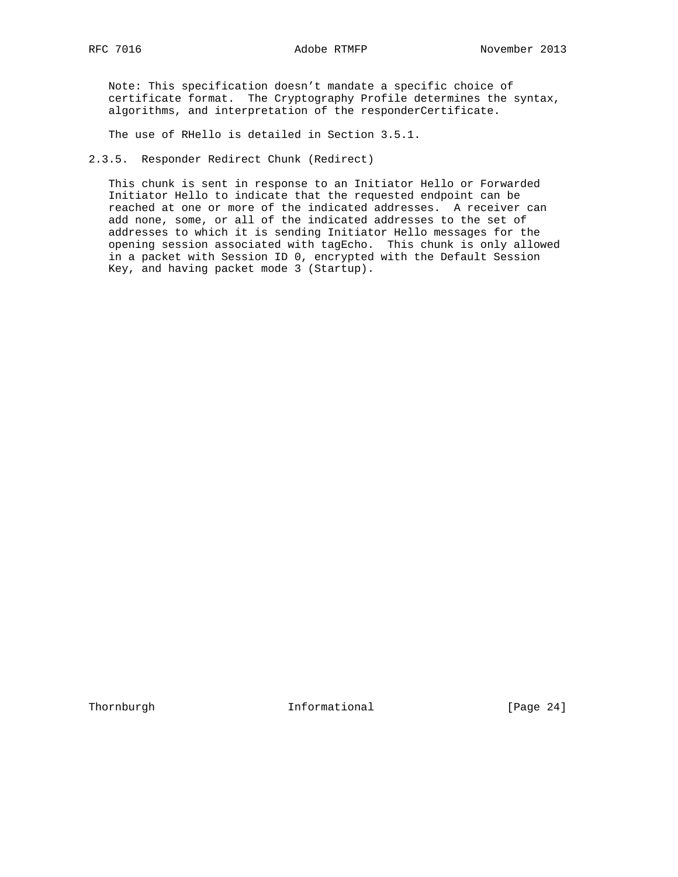Note: This specification doesn't mandate a specific choice of certificate format. The Cryptography Profile determines the syntax, algorithms, and interpretation of the responderCertificate.

The use of RHello is detailed in Section 3.5.1.

2.3.5. Responder Redirect Chunk (Redirect)

 This chunk is sent in response to an Initiator Hello or Forwarded Initiator Hello to indicate that the requested endpoint can be reached at one or more of the indicated addresses. A receiver can add none, some, or all of the indicated addresses to the set of addresses to which it is sending Initiator Hello messages for the opening session associated with tagEcho. This chunk is only allowed in a packet with Session ID 0, encrypted with the Default Session Key, and having packet mode 3 (Startup).

Thornburgh 1nformational [Page 24]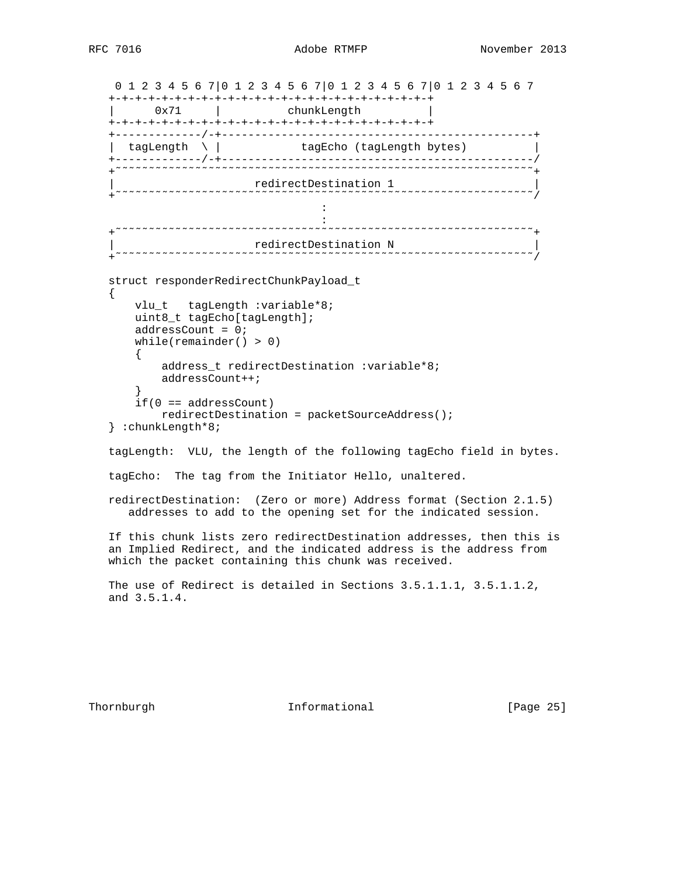```
 0 1 2 3 4 5 6 7|0 1 2 3 4 5 6 7|0 1 2 3 4 5 6 7|0 1 2 3 4 5 6 7
   +-+-+-+-+-+-+-+-+-+-+-+-+-+-+-+-+-+-+-+-+-+-+-+-+
   | 0x71 | chunkLength |
   +-+-+-+-+-+-+-+-+-+-+-+-+-+-+-+-+-+-+-+-+-+-+-+-+
   +-------------/-+-----------------------------------------------+
  | tagLength \ | tagEcho (tagLength bytes)
   +-------------/-+-----------------------------------------------/
   +˜˜˜˜˜˜˜˜˜˜˜˜˜˜˜˜˜˜˜˜˜˜˜˜˜˜˜˜˜˜˜˜˜˜˜˜˜˜˜˜˜˜˜˜˜˜˜˜˜˜˜˜˜˜˜˜˜˜˜˜˜˜˜+
 | redirectDestination 1 |
 +˜˜˜˜˜˜˜˜˜˜˜˜˜˜˜˜˜˜˜˜˜˜˜˜˜˜˜˜˜˜˜˜˜˜˜˜˜˜˜˜˜˜˜˜˜˜˜˜˜˜˜˜˜˜˜˜˜˜˜˜˜˜˜/
the contract of the contract of the contract of the contract of the contract of
the contract of the contract of the contract of the contract of the contract of the contract of the contract of
 +˜˜˜˜˜˜˜˜˜˜˜˜˜˜˜˜˜˜˜˜˜˜˜˜˜˜˜˜˜˜˜˜˜˜˜˜˜˜˜˜˜˜˜˜˜˜˜˜˜˜˜˜˜˜˜˜˜˜˜˜˜˜˜+
 | redirectDestination N |
 +˜˜˜˜˜˜˜˜˜˜˜˜˜˜˜˜˜˜˜˜˜˜˜˜˜˜˜˜˜˜˜˜˜˜˜˜˜˜˜˜˜˜˜˜˜˜˜˜˜˜˜˜˜˜˜˜˜˜˜˜˜˜˜/
   struct responderRedirectChunkPayload_t
 {
       vlu_t tagLength :variable*8;
       uint8_t tagEcho[tagLength];
       addressCount = 0;
       while(remainder() > 0)
\{ address_t redirectDestination :variable*8;
           addressCount++;
 }
       if(0 == addressCount)
           redirectDestination = packetSourceAddress();
   } :chunkLength*8;
   tagLength: VLU, the length of the following tagEcho field in bytes.
   tagEcho: The tag from the Initiator Hello, unaltered.
   redirectDestination: (Zero or more) Address format (Section 2.1.5)
      addresses to add to the opening set for the indicated session.
   If this chunk lists zero redirectDestination addresses, then this is
   an Implied Redirect, and the indicated address is the address from
   which the packet containing this chunk was received.
   The use of Redirect is detailed in Sections 3.5.1.1.1, 3.5.1.1.2,
   and 3.5.1.4.
```
Thornburgh **Informational Informational** [Page 25]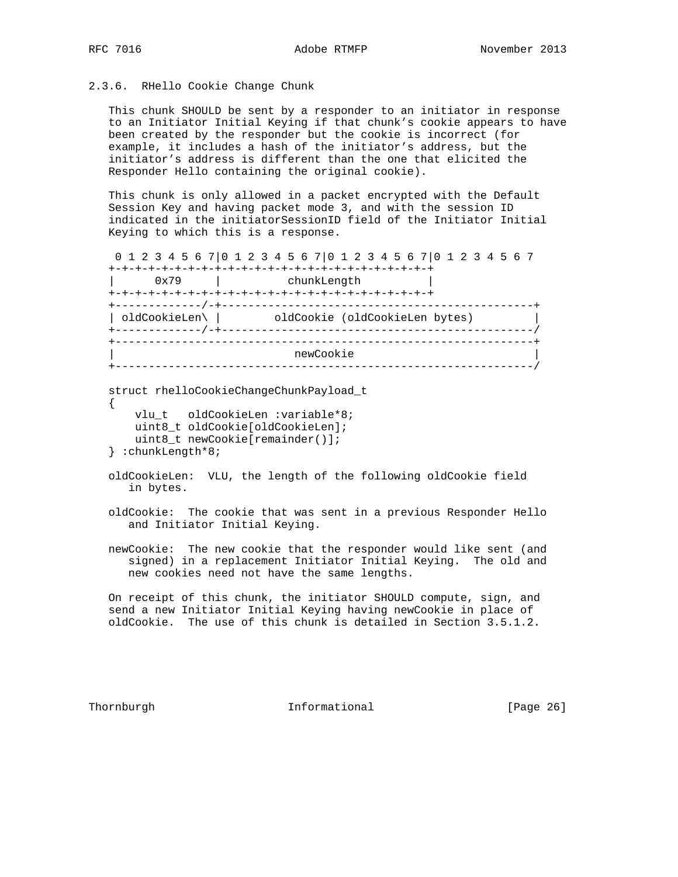# 2.3.6. RHello Cookie Change Chunk

 This chunk SHOULD be sent by a responder to an initiator in response to an Initiator Initial Keying if that chunk's cookie appears to have been created by the responder but the cookie is incorrect (for example, it includes a hash of the initiator's address, but the initiator's address is different than the one that elicited the Responder Hello containing the original cookie).

 This chunk is only allowed in a packet encrypted with the Default Session Key and having packet mode 3, and with the session ID indicated in the initiatorSessionID field of the Initiator Initial Keying to which this is a response.

0 1 2 3 4 5 6 7|0 1 2 3 4 5 6 7|0 1 2 3 4 5 6 7|0 1 2 3 4 5 6 7

| 0x79           | chunkLength                    |  |
|----------------|--------------------------------|--|
| ____________/_ |                                |  |
| oldCookieLen\  | oldCookie (oldCookieLen bytes) |  |
|                |                                |  |
|                | newCookie                      |  |

```
 struct rhelloCookieChangeChunkPayload_t
\left\{ \right. vlu_t oldCookieLen :variable*8;
```

```
 uint8_t oldCookie[oldCookieLen];
    uint8_t newCookie[remainder()];
 } :chunkLength*8;
```
 oldCookieLen: VLU, the length of the following oldCookie field in bytes.

 oldCookie: The cookie that was sent in a previous Responder Hello and Initiator Initial Keying.

 newCookie: The new cookie that the responder would like sent (and signed) in a replacement Initiator Initial Keying. The old and new cookies need not have the same lengths.

 On receipt of this chunk, the initiator SHOULD compute, sign, and send a new Initiator Initial Keying having newCookie in place of oldCookie. The use of this chunk is detailed in Section 3.5.1.2.

Thornburgh **Informational** [Page 26]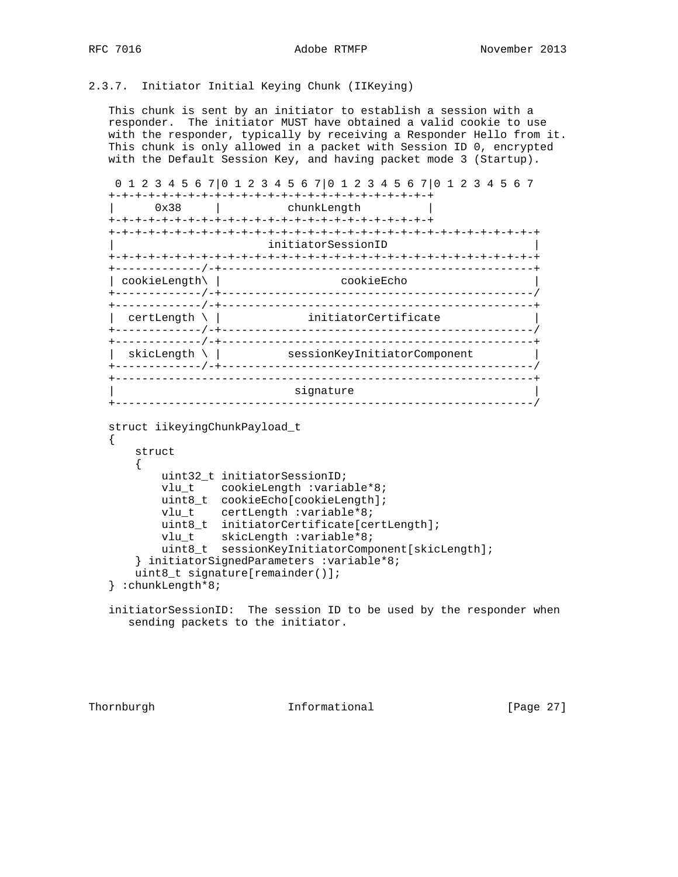# 2.3.7. Initiator Initial Keying Chunk (IIKeying)

 This chunk is sent by an initiator to establish a session with a responder. The initiator MUST have obtained a valid cookie to use with the responder, typically by receiving a Responder Hello from it. This chunk is only allowed in a packet with Session ID 0, encrypted with the Default Session Key, and having packet mode 3 (Startup).

```
 0 1 2 3 4 5 6 7|0 1 2 3 4 5 6 7|0 1 2 3 4 5 6 7|0 1 2 3 4 5 6 7
 +-+-+-+-+-+-+-+-+-+-+-+-+-+-+-+-+-+-+-+-+-+-+-+-+
       | 0x38 | chunkLength |
 +-+-+-+-+-+-+-+-+-+-+-+-+-+-+-+-+-+-+-+-+-+-+-+-+
 +-+-+-+-+-+-+-+-+-+-+-+-+-+-+-+-+-+-+-+-+-+-+-+-+-+-+-+-+-+-+-+-+
                         | initiatorSessionID |
 +-+-+-+-+-+-+-+-+-+-+-+-+-+-+-+-+-+-+-+-+-+-+-+-+-+-+-+-+-+-+-+-+
 +-------------/-+-----------------------------------------------+
| cookieLength\| +-------------/-+-----------------------------------------------/
 +-------------/-+-----------------------------------------------+
| certLength \ | initiatorCertificate
 +-------------/-+-----------------------------------------------/
 +-------------/-+-----------------------------------------------+
| skicLength \ | sessionKeyInitiatorComponent
 +-------------/-+-----------------------------------------------/
 +---------------------------------------------------------------+
                           signature
 +---------------------------------------------------------------/
```

```
 struct iikeyingChunkPayload_t
```

```
 {
       struct
      \left\{ \right. uint32_t initiatorSessionID;
          vlu t cookieLength :variable*8;
           uint8_t cookieEcho[cookieLength];
           vlu_t certLength :variable*8;
           uint8_t initiatorCertificate[certLength];
vlu_t skicLength :variable*8;
 uint8_t sessionKeyInitiatorComponent[skicLength];
       } initiatorSignedParameters :variable*8;
       uint8_t signature[remainder()];
   } :chunkLength*8;
```
 initiatorSessionID: The session ID to be used by the responder when sending packets to the initiator.

Thornburgh **Informational** [Page 27]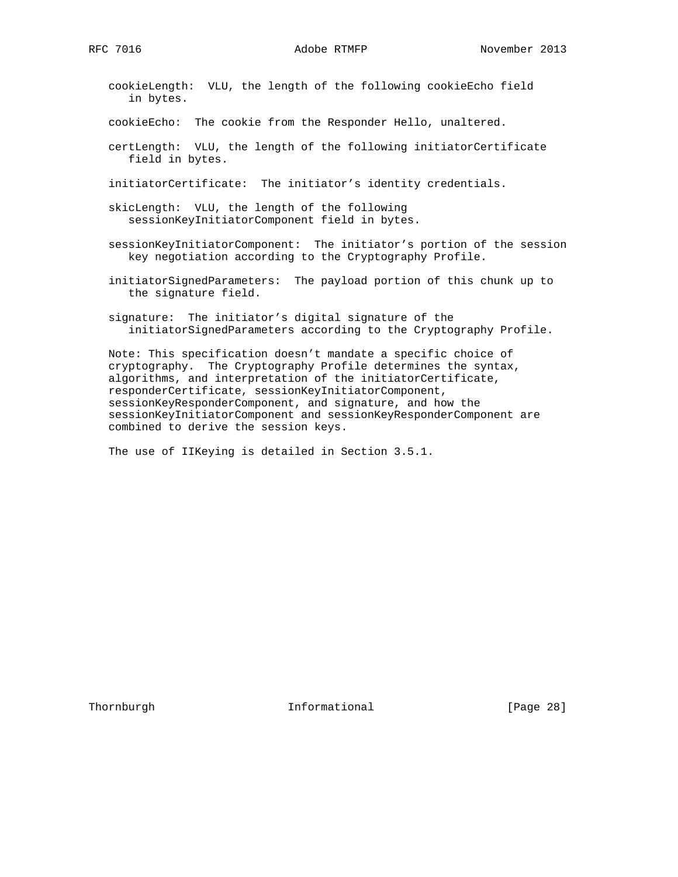cookieLength: VLU, the length of the following cookieEcho field in bytes.

cookieEcho: The cookie from the Responder Hello, unaltered.

 certLength: VLU, the length of the following initiatorCertificate field in bytes.

initiatorCertificate: The initiator's identity credentials.

- skicLength: VLU, the length of the following sessionKeyInitiatorComponent field in bytes.
- sessionKeyInitiatorComponent: The initiator's portion of the session key negotiation according to the Cryptography Profile.
- initiatorSignedParameters: The payload portion of this chunk up to the signature field.
- signature: The initiator's digital signature of the initiatorSignedParameters according to the Cryptography Profile.

 Note: This specification doesn't mandate a specific choice of cryptography. The Cryptography Profile determines the syntax, algorithms, and interpretation of the initiatorCertificate, responderCertificate, sessionKeyInitiatorComponent, sessionKeyResponderComponent, and signature, and how the sessionKeyInitiatorComponent and sessionKeyResponderComponent are combined to derive the session keys.

The use of IIKeying is detailed in Section 3.5.1.

Thornburgh **Informational Informational** [Page 28]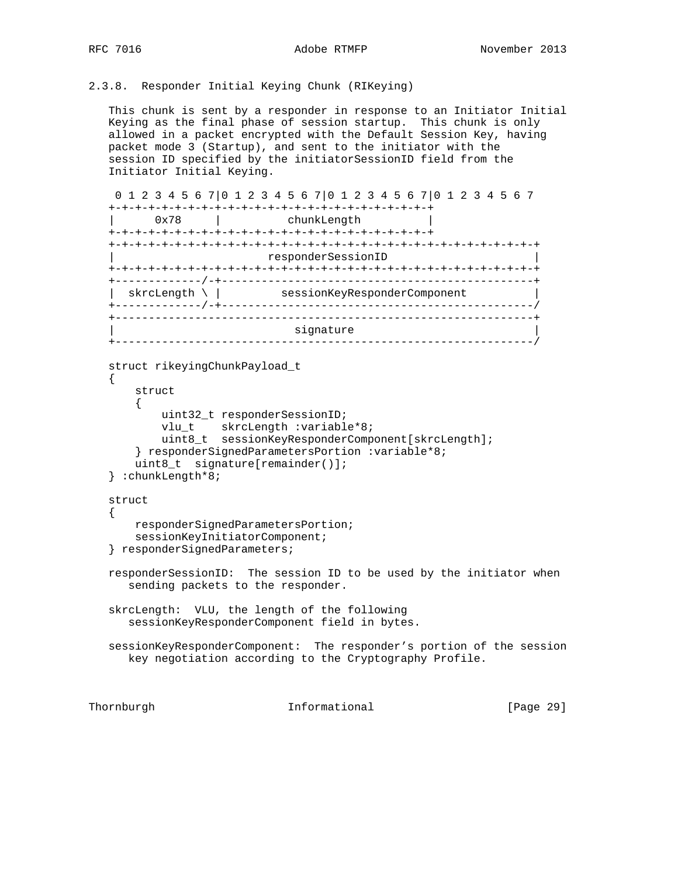# 2.3.8. Responder Initial Keying Chunk (RIKeying)

 This chunk is sent by a responder in response to an Initiator Initial Keying as the final phase of session startup. This chunk is only allowed in a packet encrypted with the Default Session Key, having packet mode 3 (Startup), and sent to the initiator with the session ID specified by the initiatorSessionID field from the Initiator Initial Keying.

```
 0 1 2 3 4 5 6 7|0 1 2 3 4 5 6 7|0 1 2 3 4 5 6 7|0 1 2 3 4 5 6 7
   +-+-+-+-+-+-+-+-+-+-+-+-+-+-+-+-+-+-+-+-+-+-+-+-+
       0x78 | chunkLength
   +-+-+-+-+-+-+-+-+-+-+-+-+-+-+-+-+-+-+-+-+-+-+-+-+
   +-+-+-+-+-+-+-+-+-+-+-+-+-+-+-+-+-+-+-+-+-+-+-+-+-+-+-+-+-+-+-+-+
                          | responderSessionID |
   +-+-+-+-+-+-+-+-+-+-+-+-+-+-+-+-+-+-+-+-+-+-+-+-+-+-+-+-+-+-+-+-+
   +-------------/-+-----------------------------------------------+
   | skrcLength \ | sessionKeyResponderComponent |
   +-------------/-+-----------------------------------------------/
   +---------------------------------------------------------------+
                            signature
   +---------------------------------------------------------------/
   struct rikeyingChunkPayload_t
   {
       struct
       {
           uint32_t responderSessionID;
vlu_t skrcLength :variable*8;
 uint8_t sessionKeyResponderComponent[skrcLength];
       } responderSignedParametersPortion :variable*8;
       uint8_t signature[remainder()];
   } :chunkLength*8;
   struct
 {
```

```
 responderSignedParametersPortion;
     sessionKeyInitiatorComponent;
 } responderSignedParameters;
```

```
 responderSessionID: The session ID to be used by the initiator when
   sending packets to the responder.
```
 skrcLength: VLU, the length of the following sessionKeyResponderComponent field in bytes.

 sessionKeyResponderComponent: The responder's portion of the session key negotiation according to the Cryptography Profile.

Thornburgh Informational [Page 29]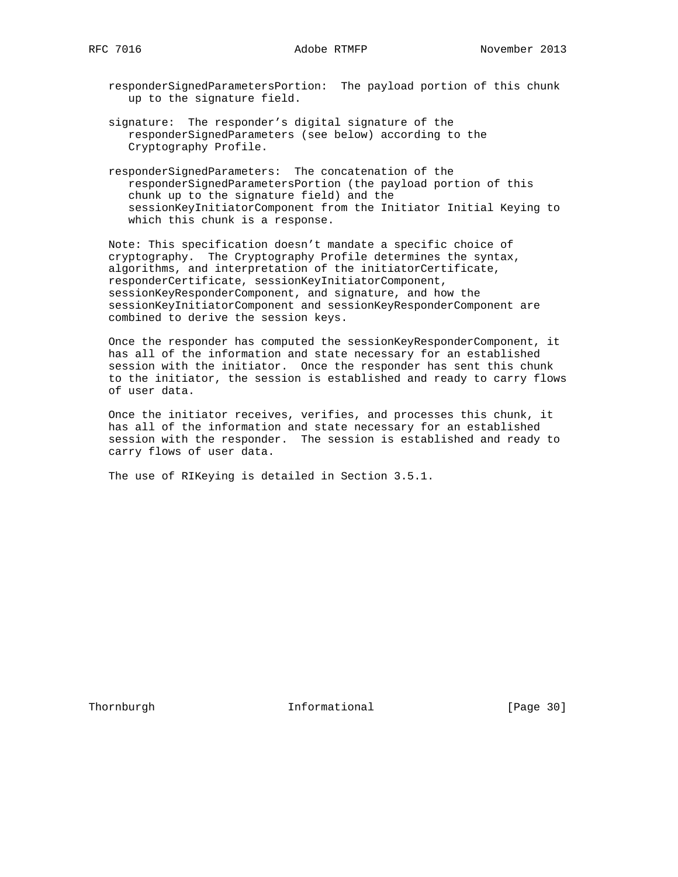responderSignedParametersPortion: The payload portion of this chunk up to the signature field.

- signature: The responder's digital signature of the responderSignedParameters (see below) according to the Cryptography Profile.
- responderSignedParameters: The concatenation of the responderSignedParametersPortion (the payload portion of this chunk up to the signature field) and the sessionKeyInitiatorComponent from the Initiator Initial Keying to which this chunk is a response.

 Note: This specification doesn't mandate a specific choice of cryptography. The Cryptography Profile determines the syntax, algorithms, and interpretation of the initiatorCertificate, responderCertificate, sessionKeyInitiatorComponent, sessionKeyResponderComponent, and signature, and how the sessionKeyInitiatorComponent and sessionKeyResponderComponent are combined to derive the session keys.

 Once the responder has computed the sessionKeyResponderComponent, it has all of the information and state necessary for an established session with the initiator. Once the responder has sent this chunk to the initiator, the session is established and ready to carry flows of user data.

 Once the initiator receives, verifies, and processes this chunk, it has all of the information and state necessary for an established session with the responder. The session is established and ready to carry flows of user data.

The use of RIKeying is detailed in Section 3.5.1.

Thornburgh 10 Informational [Page 30]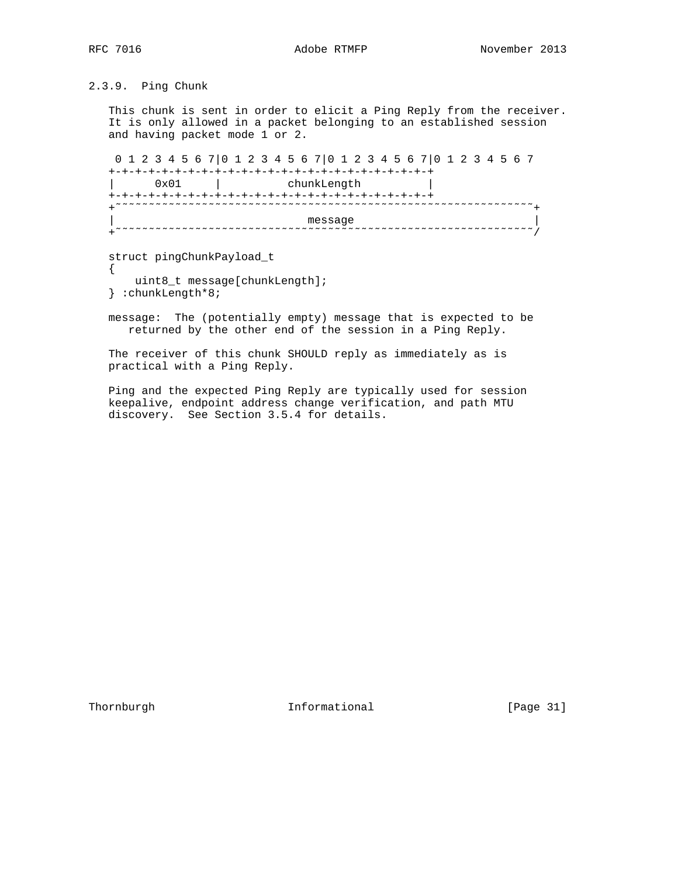{

2.3.9. Ping Chunk

 This chunk is sent in order to elicit a Ping Reply from the receiver. It is only allowed in a packet belonging to an established session and having packet mode 1 or 2.

 0 1 2 3 4 5 6 7|0 1 2 3 4 5 6 7|0 1 2 3 4 5 6 7|0 1 2 3 4 5 6 7 +-+-+-+-+-+-+-+-+-+-+-+-+-+-+-+-+-+-+-+-+-+-+-+-+ 0x01 | chunkLength +-+-+-+-+-+-+-+-+-+-+-+-+-+-+-+-+-+-+-+-+-+-+-+-+ +˜˜˜˜˜˜˜˜˜˜˜˜˜˜˜˜˜˜˜˜˜˜˜˜˜˜˜˜˜˜˜˜˜˜˜˜˜˜˜˜˜˜˜˜˜˜˜˜˜˜˜˜˜˜˜˜˜˜˜˜˜˜˜+ | message | message | message | message | message | message | message | message | message | message | message | +˜˜˜˜˜˜˜˜˜˜˜˜˜˜˜˜˜˜˜˜˜˜˜˜˜˜˜˜˜˜˜˜˜˜˜˜˜˜˜˜˜˜˜˜˜˜˜˜˜˜˜˜˜˜˜˜˜˜˜˜˜˜˜/

struct pingChunkPayload\_t

uint8\_t message[chunkLength];

} :chunkLength\*8;

 message: The (potentially empty) message that is expected to be returned by the other end of the session in a Ping Reply.

The receiver of this chunk SHOULD reply as immediately as is practical with a Ping Reply.

 Ping and the expected Ping Reply are typically used for session keepalive, endpoint address change verification, and path MTU discovery. See Section 3.5.4 for details.

Thornburgh 1nformational [Page 31]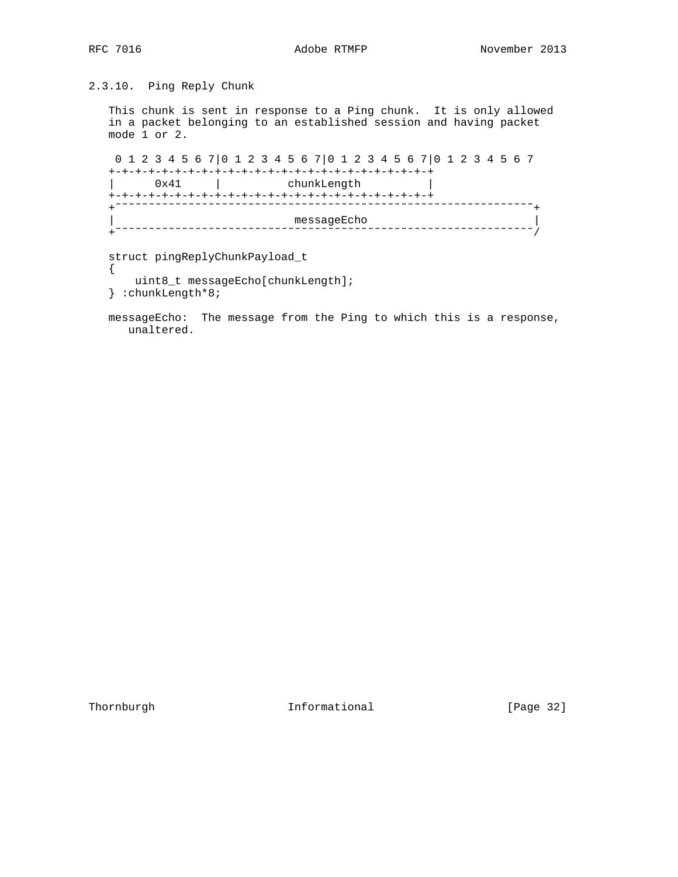$\left\{ \right.$ 

# 2.3.10. Ping Reply Chunk

 This chunk is sent in response to a Ping chunk. It is only allowed in a packet belonging to an established session and having packet mode 1 or 2.

 0 1 2 3 4 5 6 7|0 1 2 3 4 5 6 7|0 1 2 3 4 5 6 7|0 1 2 3 4 5 6 7 +-+-+-+-+-+-+-+-+-+-+-+-+-+-+-+-+-+-+-+-+-+-+-+-+ | 0x41 | chunkLength | +-+-+-+-+-+-+-+-+-+-+-+-+-+-+-+-+-+-+-+-+-+-+-+-+ +˜˜˜˜˜˜˜˜˜˜˜˜˜˜˜˜˜˜˜˜˜˜˜˜˜˜˜˜˜˜˜˜˜˜˜˜˜˜˜˜˜˜˜˜˜˜˜˜˜˜˜˜˜˜˜˜˜˜˜˜˜˜˜+ | messageEcho | messageEcho | messageEcho | messageEcho | messageEcho | messageEcho | messageEcho | messageEcho | messageEcho | messageEcho | messageEcho | messageEcho | messageEcho | messageEcho | messageEcho | messageEch +˜˜˜˜˜˜˜˜˜˜˜˜˜˜˜˜˜˜˜˜˜˜˜˜˜˜˜˜˜˜˜˜˜˜˜˜˜˜˜˜˜˜˜˜˜˜˜˜˜˜˜˜˜˜˜˜˜˜˜˜˜˜˜/

struct pingReplyChunkPayload\_t

- uint8\_t messageEcho[chunkLength];
- } :chunkLength\*8;

 messageEcho: The message from the Ping to which this is a response, unaltered.

Thornburgh 1nformational [Page 32]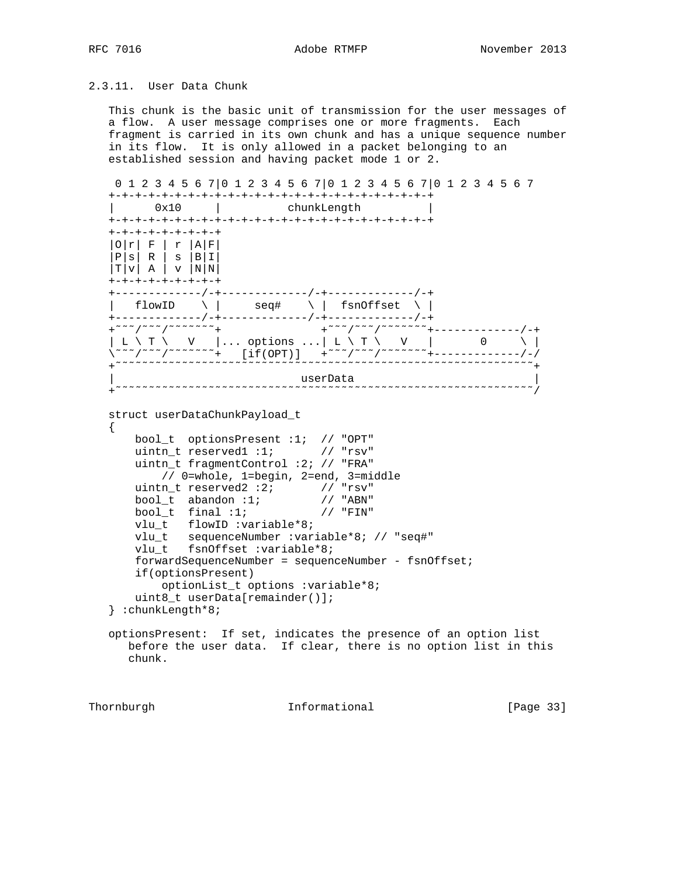# 2.3.11. User Data Chunk

 This chunk is the basic unit of transmission for the user messages of a flow. A user message comprises one or more fragments. Each fragment is carried in its own chunk and has a unique sequence number in its flow. It is only allowed in a packet belonging to an established session and having packet mode 1 or 2.

```
 0 1 2 3 4 5 6 7|0 1 2 3 4 5 6 7|0 1 2 3 4 5 6 7|0 1 2 3 4 5 6 7
   +-+-+-+-+-+-+-+-+-+-+-+-+-+-+-+-+-+-+-+-+-+-+-+-+
                           {\rm chunkLength} +-+-+-+-+-+-+-+-+-+-+-+-+-+-+-+-+-+-+-+-+-+-+-+-+
   +-+-+-+-+-+-+-+-+
 |O|r| F | r |A|F|
 |P|s| R | s |B|I|
  |T|V| A |V|N|N| +-+-+-+-+-+-+-+-+
   +-------------/-+-------------/-+-------------/-+
   | flowID \ | seq# \ | fsnOffset \ |
   +-------------/-+-------------/-+-------------/-+
   +˜˜˜/˜˜˜/˜˜˜˜˜˜˜+ +˜˜˜/˜˜˜/˜˜˜˜˜˜˜+-------------/-+
\vert L \setminus T \setminus \quad V \quad \vert \ldots options \ldots \vert L \setminus T \setminus \quad V \quad \vert \quad \quad \quad 0 \quad \quad \setminus \vert \˜˜˜/˜˜˜/˜˜˜˜˜˜˜+ [if(OPT)] +˜˜˜/˜˜˜/˜˜˜˜˜˜˜+-------------/-/
   +˜˜˜˜˜˜˜˜˜˜˜˜˜˜˜˜˜˜˜˜˜˜˜˜˜˜˜˜˜˜˜˜˜˜˜˜˜˜˜˜˜˜˜˜˜˜˜˜˜˜˜˜˜˜˜˜˜˜˜˜˜˜˜+
 | userData |
 +˜˜˜˜˜˜˜˜˜˜˜˜˜˜˜˜˜˜˜˜˜˜˜˜˜˜˜˜˜˜˜˜˜˜˜˜˜˜˜˜˜˜˜˜˜˜˜˜˜˜˜˜˜˜˜˜˜˜˜˜˜˜˜/
   struct userDataChunkPayload_t
  \{ bool_t optionsPresent :1; // "OPT"
      uintn_t reserved1 :1; // "rsv"
       uintn_t fragmentControl :2; // "FRA"
          // 0=whole, 1=begin, 2=end, 3=middle
 uintn_t reserved2 :2; // "rsv"
 bool_t abandon :1; // "ABN"
bool_t final :1; // "FIN"
vlu_t flowID :variable*8;
 vlu_t sequenceNumber :variable*8; // "seq#"
 vlu_t fsnOffset :variable*8;
       forwardSequenceNumber = sequenceNumber - fsnOffset;
       if(optionsPresent)
           optionList_t options :variable*8;
       uint8_t userData[remainder()];
   } :chunkLength*8;
   optionsPresent: If set, indicates the presence of an option list
      before the user data. If clear, there is no option list in this
      chunk.
```
Thornburgh **Informational Informational** [Page 33]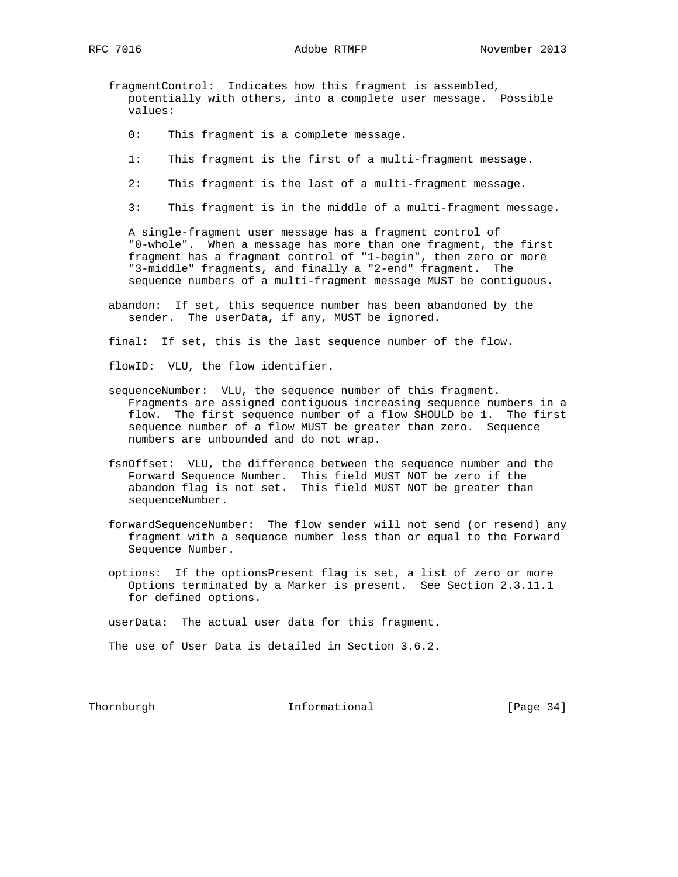- fragmentControl: Indicates how this fragment is assembled, potentially with others, into a complete user message. Possible values:
	- 0: This fragment is a complete message.
	- 1: This fragment is the first of a multi-fragment message.
	- 2: This fragment is the last of a multi-fragment message.
	- 3: This fragment is in the middle of a multi-fragment message.

 A single-fragment user message has a fragment control of "0-whole". When a message has more than one fragment, the first fragment has a fragment control of "1-begin", then zero or more "3-middle" fragments, and finally a "2-end" fragment. The sequence numbers of a multi-fragment message MUST be contiguous.

 abandon: If set, this sequence number has been abandoned by the sender. The userData, if any, MUST be ignored.

final: If set, this is the last sequence number of the flow.

flowID: VLU, the flow identifier.

- sequenceNumber: VLU, the sequence number of this fragment. Fragments are assigned contiguous increasing sequence numbers in a flow. The first sequence number of a flow SHOULD be 1. The first sequence number of a flow MUST be greater than zero. Sequence numbers are unbounded and do not wrap.
- fsnOffset: VLU, the difference between the sequence number and the Forward Sequence Number. This field MUST NOT be zero if the abandon flag is not set. This field MUST NOT be greater than sequenceNumber.
- forwardSequenceNumber: The flow sender will not send (or resend) any fragment with a sequence number less than or equal to the Forward Sequence Number.
- options: If the optionsPresent flag is set, a list of zero or more Options terminated by a Marker is present. See Section 2.3.11.1 for defined options.

userData: The actual user data for this fragment.

The use of User Data is detailed in Section 3.6.2.

Thornburgh 1nformational [Page 34]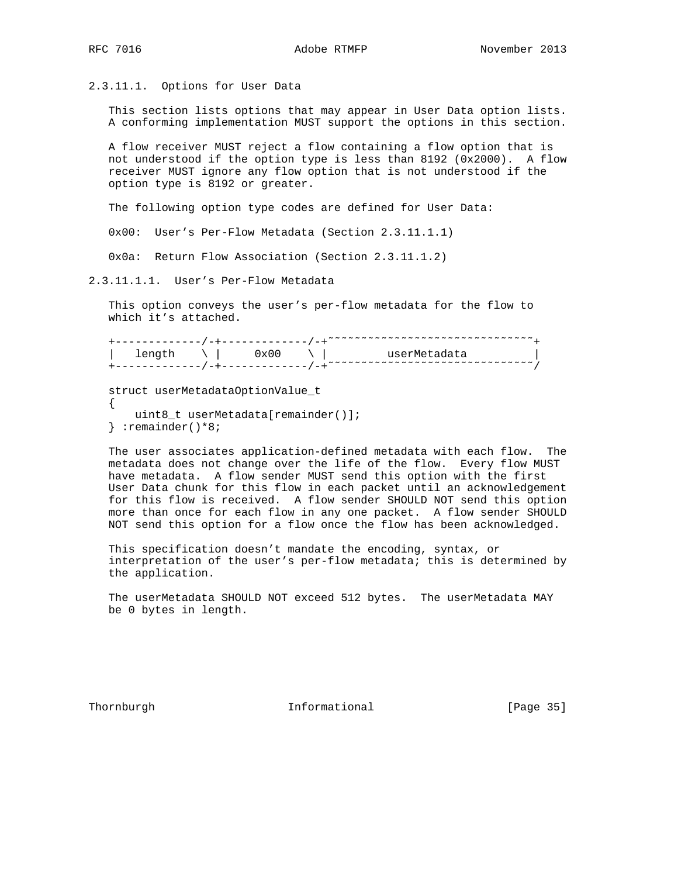2.3.11.1. Options for User Data

 This section lists options that may appear in User Data option lists. A conforming implementation MUST support the options in this section.

 A flow receiver MUST reject a flow containing a flow option that is not understood if the option type is less than 8192 (0x2000). A flow receiver MUST ignore any flow option that is not understood if the option type is 8192 or greater.

The following option type codes are defined for User Data:

0x00: User's Per-Flow Metadata (Section 2.3.11.1.1)

0x0a: Return Flow Association (Section 2.3.11.1.2)

2.3.11.1.1. User's Per-Flow Metadata

 This option conveys the user's per-flow metadata for the flow to which it's attached.

|     | ~~~~~~~~~~~~~~~~~~~~~~~~~~~~~~~~ |
|-----|----------------------------------|
| - ۱ | ne≙rM≙                           |
|     | ~~~~~~~~~~~~~~~~~~~~~~~~~~~~~~~~ |

 struct userMetadataOptionValue\_t { uint8\_t userMetadata[remainder()]; } :remainder()\*8;

 The user associates application-defined metadata with each flow. The metadata does not change over the life of the flow. Every flow MUST have metadata. A flow sender MUST send this option with the first User Data chunk for this flow in each packet until an acknowledgement for this flow is received. A flow sender SHOULD NOT send this option more than once for each flow in any one packet. A flow sender SHOULD NOT send this option for a flow once the flow has been acknowledged.

 This specification doesn't mandate the encoding, syntax, or interpretation of the user's per-flow metadata; this is determined by the application.

 The userMetadata SHOULD NOT exceed 512 bytes. The userMetadata MAY be 0 bytes in length.

Thornburgh **Informational** [Page 35]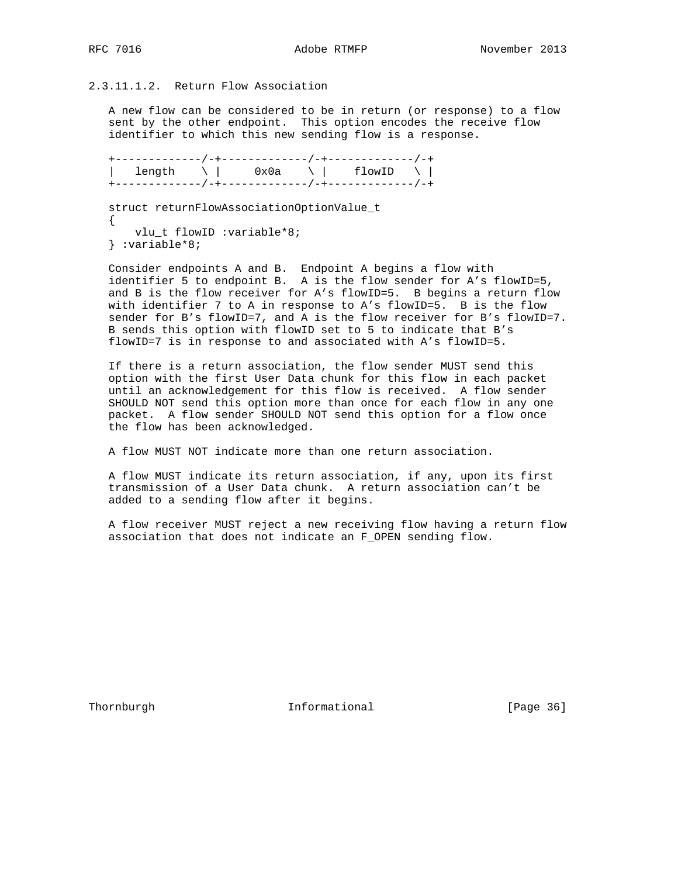# 2.3.11.1.2. Return Flow Association

 A new flow can be considered to be in return (or response) to a flow sent by the other endpoint. This option encodes the receive flow identifier to which this new sending flow is a response.

 +-------------/-+-------------/-+-------------/-+ | length \ | 0x0a \ | flowID \ | +-------------/-+-------------/-+-------------/-+

 struct returnFlowAssociationOptionValue\_t  $\left\{ \right.$  vlu\_t flowID :variable\*8; } :variable\*8;

 Consider endpoints A and B. Endpoint A begins a flow with identifier 5 to endpoint B. A is the flow sender for A's flowID=5, and B is the flow receiver for A's flowID=5. B begins a return flow with identifier 7 to A in response to A's flowID=5. B is the flow sender for B's flowID=7, and A is the flow receiver for B's flowID=7. B sends this option with flowID set to 5 to indicate that B's flowID=7 is in response to and associated with A's flowID=5.

 If there is a return association, the flow sender MUST send this option with the first User Data chunk for this flow in each packet until an acknowledgement for this flow is received. A flow sender SHOULD NOT send this option more than once for each flow in any one packet. A flow sender SHOULD NOT send this option for a flow once the flow has been acknowledged.

A flow MUST NOT indicate more than one return association.

 A flow MUST indicate its return association, if any, upon its first transmission of a User Data chunk. A return association can't be added to a sending flow after it begins.

 A flow receiver MUST reject a new receiving flow having a return flow association that does not indicate an F\_OPEN sending flow.

Thornburgh 10 Informational [Page 36]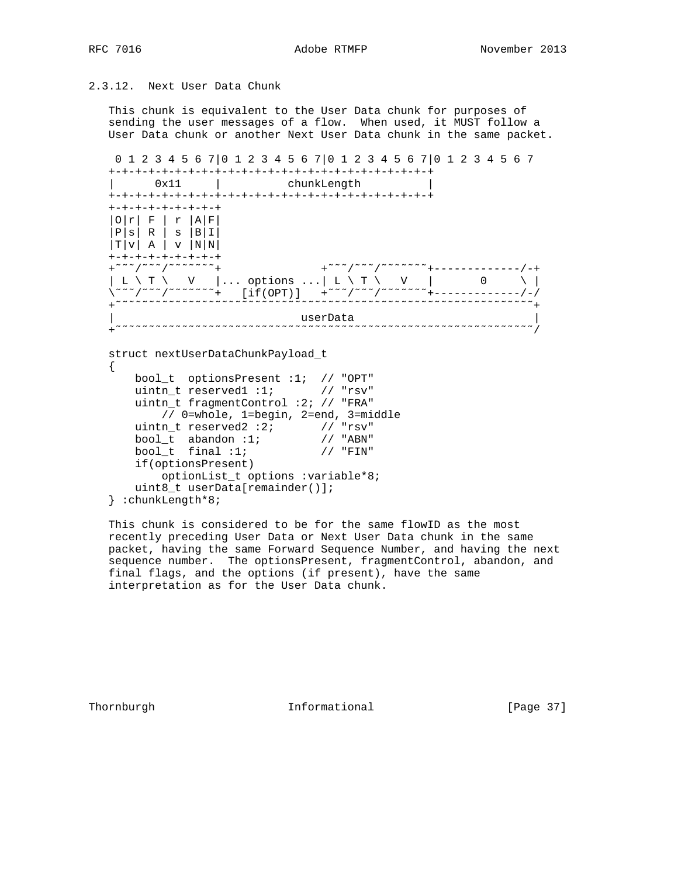# 2.3.12. Next User Data Chunk

 This chunk is equivalent to the User Data chunk for purposes of sending the user messages of a flow. When used, it MUST follow a User Data chunk or another Next User Data chunk in the same packet.

 0 1 2 3 4 5 6 7|0 1 2 3 4 5 6 7|0 1 2 3 4 5 6 7|0 1 2 3 4 5 6 7 +-+-+-+-+-+-+-+-+-+-+-+-+-+-+-+-+-+-+-+-+-+-+-+-+

| 0x11                                               |                             | chunkLength                                                  |   |  |
|----------------------------------------------------|-----------------------------|--------------------------------------------------------------|---|--|
| $+ \cdot$<br>$+-+$                                 |                             | -+-+-+-+-+-+-+                                               |   |  |
| +-+-+-+-+-+-+-+-+                                  |                             |                                                              |   |  |
| F<br>$\mathbf r$                                   | Α<br>F                      |                                                              |   |  |
| R I<br>$\mathbf{P}$<br>s  B I<br>S                 |                             |                                                              |   |  |
| Α<br>$\mathbf{T}$ )<br>$\mathbf{v}$<br>$\mathbf v$ | N   N                       |                                                              |   |  |
| +-+-+-+-+-+-+-+-+                                  |                             |                                                              |   |  |
| $^+$                                               |                             | $+^{\sim}$                                                   |   |  |
| т<br>V<br>L                                        | $\ldots$ options $\ldots$ L | $\lambda$ T $\lambda$                                        | V |  |
|                                                    | [if(OPT)]<br>$^{+}$         | $+$ $\sim$ $\sim$ $/$ $\sim$ $\sim$ $/$ $\sim$ $\sim$ $\sim$ |   |  |
|                                                    |                             |                                                              |   |  |
|                                                    |                             | userData                                                     |   |  |
|                                                    |                             |                                                              |   |  |

```
 struct nextUserDataChunkPayload_t
\{ \cdot \cdot \cdot \cdot \cdot \cdot \cdot \cdot \cdot \cdot \cdot \cdot \cdot \cdot \cdot \cdot \cdot \cdot \cdot \cdot \cdot \cdot \cdot \cdot \cdot \cdot \cdot \cdot \cdot \cdot \cdot \cdot \cdot \cdot \cdot \cdot
```

```
 bool_t optionsPresent :1; // "OPT"
 uintn_t reserved1 :1; // "rsv"
 uintn_t fragmentControl :2; // "FRA"
          // 0=whole, 1=begin, 2=end, 3=middle
 uintn_t reserved2 :2; // "rsv"
 bool_t abandon :1; // "ABN"
bool_t final :1; // "FIN"
      if(optionsPresent)
          optionList_t options :variable*8;
      uint8_t userData[remainder()];
   } :chunkLength*8;
```
 This chunk is considered to be for the same flowID as the most recently preceding User Data or Next User Data chunk in the same packet, having the same Forward Sequence Number, and having the next sequence number. The optionsPresent, fragmentControl, abandon, and final flags, and the options (if present), have the same interpretation as for the User Data chunk.

Thornburgh **Informational** [Page 37]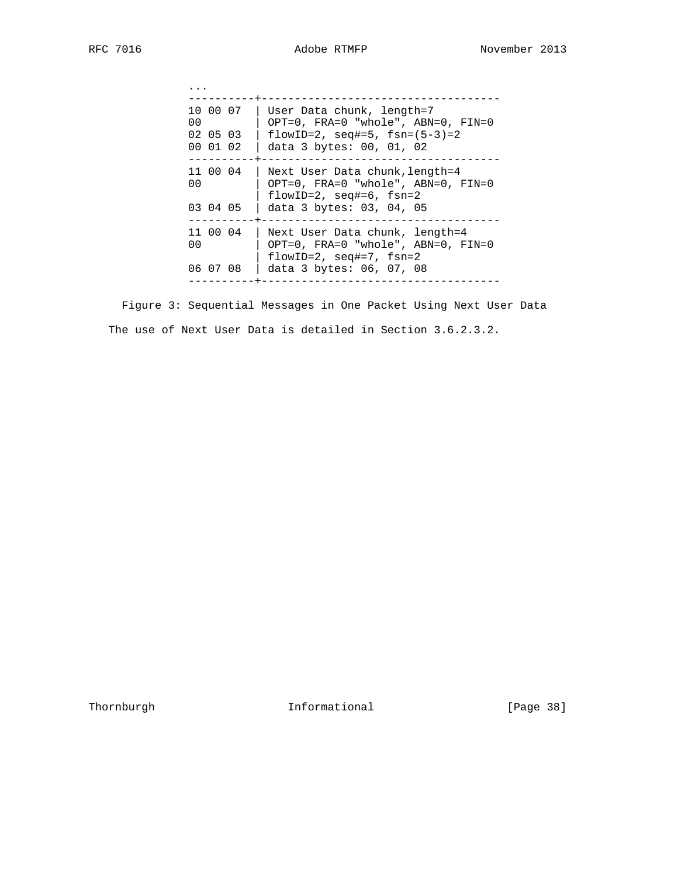| 10 00 07<br>00<br>02 05 03<br>00 01 02 | User Data chunk, length=7<br>OPT=0, $FRA=0$ "whole", $ABN=0$ , $FIN=0$<br>flowID=2, $seq#=5$ , $fsn=(5-3)=2$<br>data 3 bytes: 00, 01, 02   |
|----------------------------------------|--------------------------------------------------------------------------------------------------------------------------------------------|
| 11 00 04<br>0 <sub>0</sub><br>03 04 05 | Next User Data chunk, length=4<br>OPT=0, $FRA=0$ "whole", $ABN=0$ , $FIN=0$<br>$flowID=2$ , $seq#=6$ , $fsn=2$<br>data 3 bytes: 03, 04, 05 |
| 11 00 04<br>00<br>06 07 08             | Next User Data chunk, length=4<br>OPT=0, FRA=0 "whole", ABN=0, FIN=0<br>$flowID=2$ , $seq#=7$ , $fsn=2$<br>data 3 bytes: 06, 07, 08        |
|                                        |                                                                                                                                            |

 Figure 3: Sequential Messages in One Packet Using Next User Data The use of Next User Data is detailed in Section 3.6.2.3.2.

Thornburgh 1nformational [Page 38]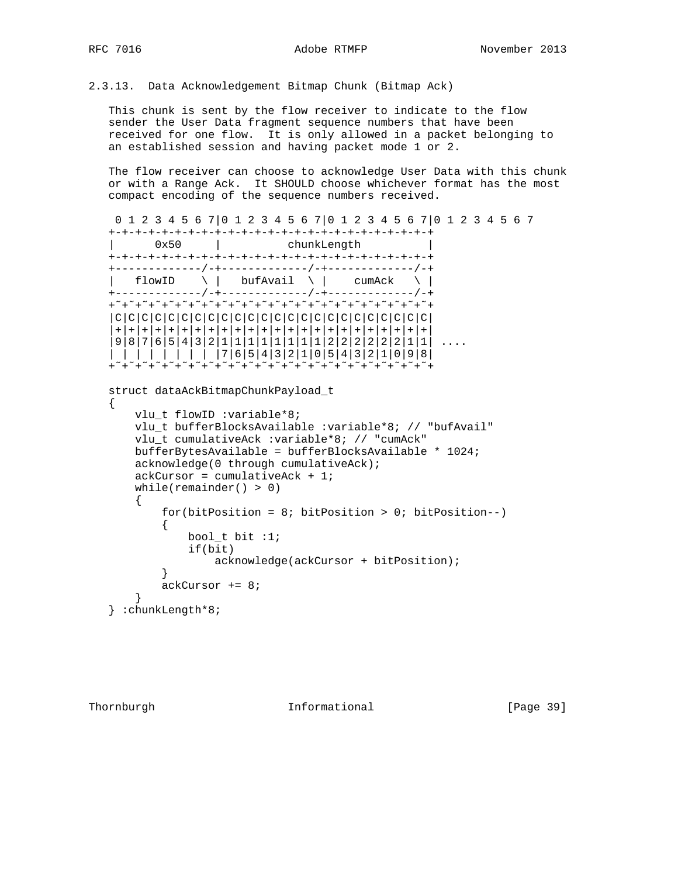```
2.3.13. Data Acknowledgement Bitmap Chunk (Bitmap Ack)
```
 This chunk is sent by the flow receiver to indicate to the flow sender the User Data fragment sequence numbers that have been received for one flow. It is only allowed in a packet belonging to an established session and having packet mode 1 or 2.

 The flow receiver can choose to acknowledge User Data with this chunk or with a Range Ack. It SHOULD choose whichever format has the most compact encoding of the sequence numbers received.

```
 0 1 2 3 4 5 6 7|0 1 2 3 4 5 6 7|0 1 2 3 4 5 6 7|0 1 2 3 4 5 6 7
   +-+-+-+-+-+-+-+-+-+-+-+-+-+-+-+-+-+-+-+-+-+-+-+-+
    | 0x50 | chunkLength |
   +-+-+-+-+-+-+-+-+-+-+-+-+-+-+-+-+-+-+-+-+-+-+-+-+
   +-------------/-+-------------/-+-------------/-+
   \vert flowID \ | bufAvail \ | cumAck \ |
   +-------------/-+-------------/-+-------------/-+
   +˜+˜+˜+˜+˜+˜+˜+˜+˜+˜+˜+˜+˜+˜+˜+˜+˜+˜+˜+˜+˜+˜+˜+˜+
    |C|C|C|C|C|C|C|C|C|C|C|C|C|C|C|C|C|C|C|C|C|C|C|C|
    |+|+|+|+|+|+|+|+|+|+|+|+|+|+|+|+|+|+|+|+|+|+|+|+|
    |9|8|7|6|5|4|3|2|1|1|1|1|1|1|1|1|2|2|2|2|2|2|1|1| ....
 | | | | | | | | |7|6|5|4|3|2|1|0|5|4|3|2|1|0|9|8|
 +˜+˜+˜+˜+˜+˜+˜+˜+˜+˜+˜+˜+˜+˜+˜+˜+˜+˜+˜+˜+˜+˜+˜+˜+
   struct dataAckBitmapChunkPayload_t
   {
       vlu_t flowID :variable*8;
       vlu_t bufferBlocksAvailable :variable*8; // "bufAvail"
       vlu_t cumulativeAck :variable*8; // "cumAck"
       bufferBytesAvailable = bufferBlocksAvailable * 1024;
       acknowledge(0 through cumulativeAck);
       ackCursor = cumulativeAck + 1;
       while(remainder() > 0)
       {
          for(bitPosition = 8; bitPosition > 0; bitPosition--)
\{ bool_t bit :1;
               if(bit)
                   acknowledge(ackCursor + bitPosition);
 }
           ackCursor += 8;
       }
   } :chunkLength*8;
```
Thornburgh **Informational** [Page 39]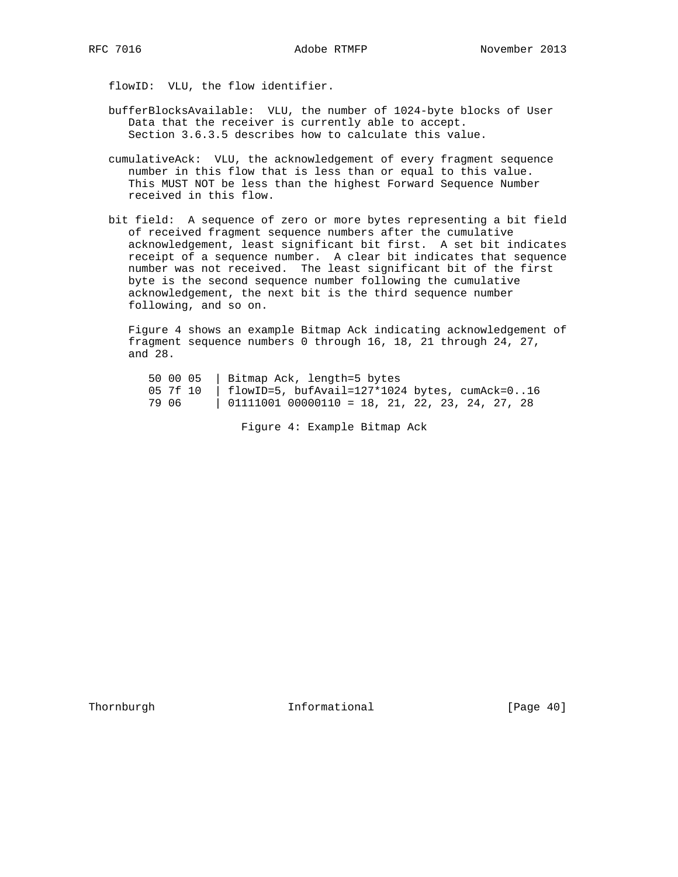flowID: VLU, the flow identifier.

- bufferBlocksAvailable: VLU, the number of 1024-byte blocks of User Data that the receiver is currently able to accept. Section 3.6.3.5 describes how to calculate this value.
- cumulativeAck: VLU, the acknowledgement of every fragment sequence number in this flow that is less than or equal to this value. This MUST NOT be less than the highest Forward Sequence Number received in this flow.
- bit field: A sequence of zero or more bytes representing a bit field of received fragment sequence numbers after the cumulative acknowledgement, least significant bit first. A set bit indicates receipt of a sequence number. A clear bit indicates that sequence number was not received. The least significant bit of the first byte is the second sequence number following the cumulative acknowledgement, the next bit is the third sequence number following, and so on.

 Figure 4 shows an example Bitmap Ack indicating acknowledgement of fragment sequence numbers 0 through 16, 18, 21 through 24, 27, and 28.

 50 00 05 | Bitmap Ack, length=5 bytes 05 7f 10 | flowID=5, bufAvail=127\*1024 bytes, cumAck=0..16 79 06 | 01111001 00000110 = 18, 21, 22, 23, 24, 27, 28

Figure 4: Example Bitmap Ack

Thornburgh 1nformational [Page 40]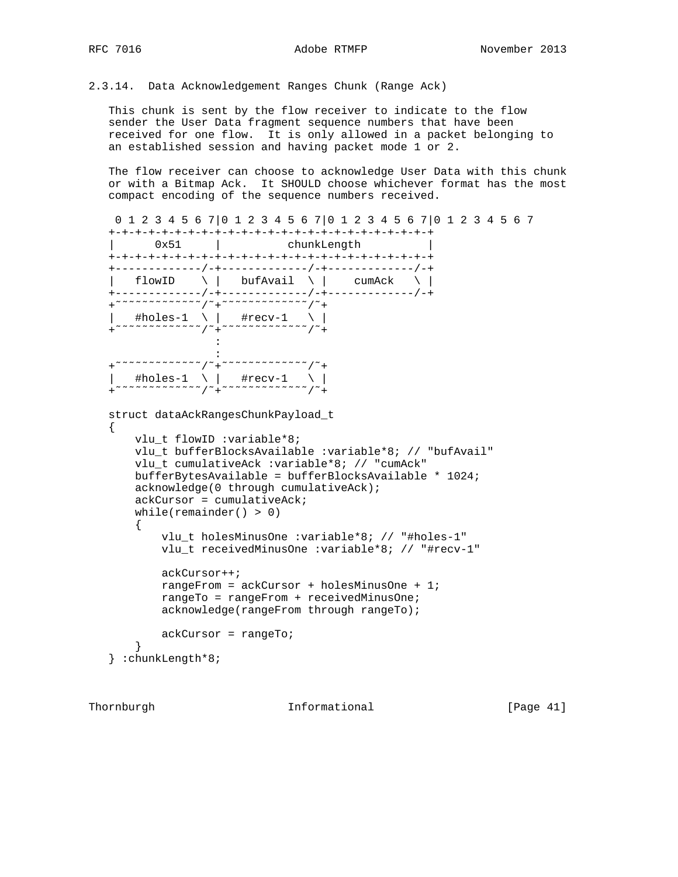```
2.3.14. Data Acknowledgement Ranges Chunk (Range Ack)
```
 This chunk is sent by the flow receiver to indicate to the flow sender the User Data fragment sequence numbers that have been received for one flow. It is only allowed in a packet belonging to an established session and having packet mode 1 or 2.

 The flow receiver can choose to acknowledge User Data with this chunk or with a Bitmap Ack. It SHOULD choose whichever format has the most compact encoding of the sequence numbers received.

```
 0 1 2 3 4 5 6 7|0 1 2 3 4 5 6 7|0 1 2 3 4 5 6 7|0 1 2 3 4 5 6 7
   +-+-+-+-+-+-+-+-+-+-+-+-+-+-+-+-+-+-+-+-+-+-+-+-+
    | 0x51 | chunkLength |
   +-+-+-+-+-+-+-+-+-+-+-+-+-+-+-+-+-+-+-+-+-+-+-+-+
    +-------------/-+-------------/-+-------------/-+
\vert flowID \setminus \vert bufAvail \setminus \vert cumAck \setminus \vert +-------------/-+-------------/-+-------------/-+
    +˜˜˜˜˜˜˜˜˜˜˜˜˜/˜+˜˜˜˜˜˜˜˜˜˜˜˜˜/˜+
 | #holes-1 \ | #recv-1 \ |
 +˜˜˜˜˜˜˜˜˜˜˜˜˜/˜+˜˜˜˜˜˜˜˜˜˜˜˜˜/˜+
Example 20 Section 20 and 20 Section
Example 20 Section 20 and 20 Section
 +˜˜˜˜˜˜˜˜˜˜˜˜˜/˜+˜˜˜˜˜˜˜˜˜˜˜˜˜/˜+
     | #holes-1 \ | #recv-1 \ |
     +˜˜˜˜˜˜˜˜˜˜˜˜˜/˜+˜˜˜˜˜˜˜˜˜˜˜˜˜/˜+
   struct dataAckRangesChunkPayload_t
   {
       vlu_t flowID :variable*8;
       vlu_t bufferBlocksAvailable :variable*8; // "bufAvail"
       vlu_t cumulativeAck :variable*8; // "cumAck"
       bufferBytesAvailable = bufferBlocksAvailable * 1024;
       acknowledge(0 through cumulativeAck);
       ackCursor = cumulativeAck;
      while(remainder() > 0)
        {
            vlu_t holesMinusOne :variable*8; // "#holes-1"
            vlu_t receivedMinusOne :variable*8; // "#recv-1"
            ackCursor++;
            rangeFrom = ackCursor + holesMinusOne + 1;
            rangeTo = rangeFrom + receivedMinusOne;
            acknowledge(rangeFrom through rangeTo);
           ackCursor = rangeTo;
 }
    } :chunkLength*8;
```
Thornburgh **Informational Informational** [Page 41]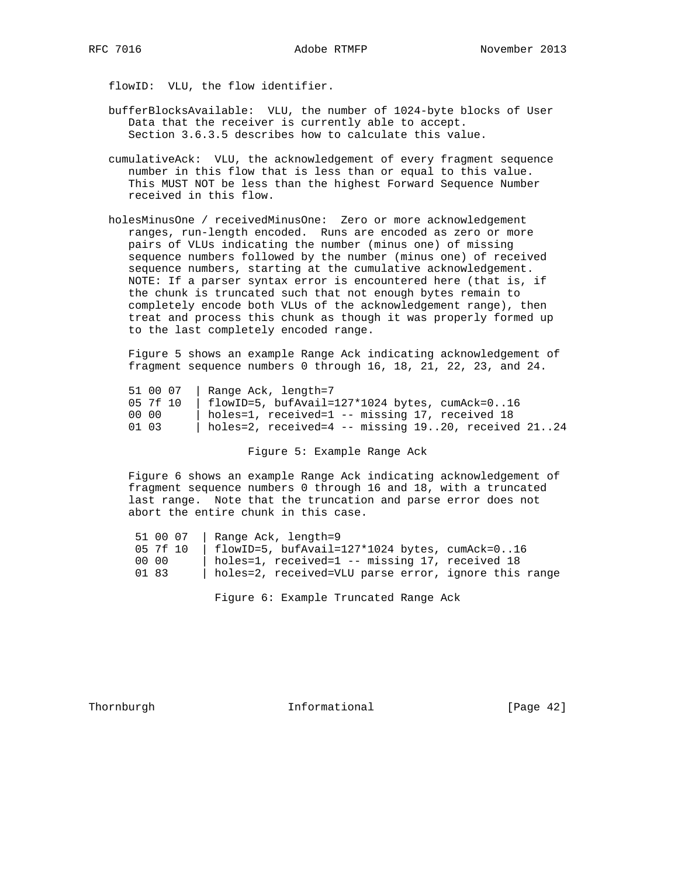flowID: VLU, the flow identifier.

- bufferBlocksAvailable: VLU, the number of 1024-byte blocks of User Data that the receiver is currently able to accept. Section 3.6.3.5 describes how to calculate this value.
- cumulativeAck: VLU, the acknowledgement of every fragment sequence number in this flow that is less than or equal to this value. This MUST NOT be less than the highest Forward Sequence Number received in this flow.
- holesMinusOne / receivedMinusOne: Zero or more acknowledgement ranges, run-length encoded. Runs are encoded as zero or more pairs of VLUs indicating the number (minus one) of missing sequence numbers followed by the number (minus one) of received sequence numbers, starting at the cumulative acknowledgement. NOTE: If a parser syntax error is encountered here (that is, if the chunk is truncated such that not enough bytes remain to completely encode both VLUs of the acknowledgement range), then treat and process this chunk as though it was properly formed up to the last completely encoded range.

 Figure 5 shows an example Range Ack indicating acknowledgement of fragment sequence numbers 0 through 16, 18, 21, 22, 23, and 24.

|          | 51 00 07   Range Ack, length=7                          |
|----------|---------------------------------------------------------|
| 05 7f 10 | $flowID=5$ , bufAvail=127*1024 bytes, cumAck=016        |
| 00 00    | holes=1, received=1 -- missing 17, received 18          |
| 01 03    | holes=2, received=4 -- missing $1920$ , received $2124$ |

Figure 5: Example Range Ack

 Figure 6 shows an example Range Ack indicating acknowledgement of fragment sequence numbers 0 through 16 and 18, with a truncated last range. Note that the truncation and parse error does not abort the entire chunk in this case.

| 51 00 07 | Range Ack, length=9                                   |
|----------|-------------------------------------------------------|
| 05 7f 10 | $\vert$ flowID=5, bufAvail=127*1024 bytes, cumAck=016 |
| 00 00    | holes=1, received=1 -- missing 17, received 18        |
| 01 83    | holes=2, received=VLU parse error, ignore this range  |

Figure 6: Example Truncated Range Ack

Thornburgh **Informational Informational** [Page 42]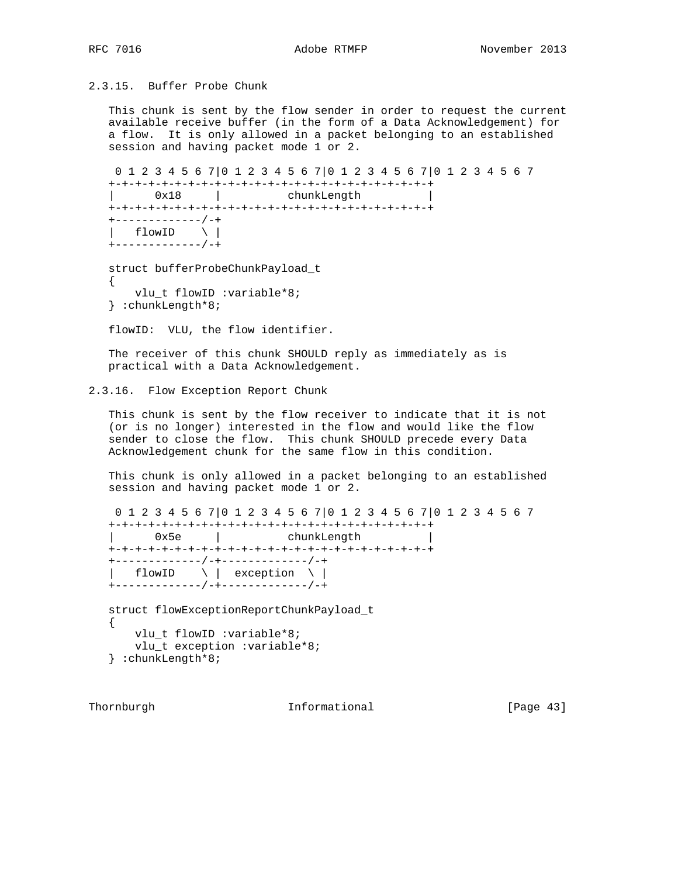# 2.3.15. Buffer Probe Chunk

 This chunk is sent by the flow sender in order to request the current available receive buffer (in the form of a Data Acknowledgement) for a flow. It is only allowed in a packet belonging to an established session and having packet mode 1 or 2.

```
 0 1 2 3 4 5 6 7|0 1 2 3 4 5 6 7|0 1 2 3 4 5 6 7|0 1 2 3 4 5 6 7
     +-+-+-+-+-+-+-+-+-+-+-+-+-+-+-+-+-+-+-+-+-+-+-+-+
     | 0x18 | chunkLength |
     +-+-+-+-+-+-+-+-+-+-+-+-+-+-+-+-+-+-+-+-+-+-+-+-+
     +-------------/-+
 | flowID \ |
 +-------------/-+
     struct bufferProbeChunkPayload_t
\{ \cdot \cdot \cdot \cdot \cdot \cdot \cdot \cdot \cdot \cdot \cdot \cdot \cdot \cdot \cdot \cdot \cdot \cdot \cdot \cdot \cdot \cdot \cdot \cdot \cdot \cdot \cdot \cdot \cdot \cdot \cdot \cdot \cdot \cdot \cdot \cdot
```

```
 vlu_t flowID :variable*8;
 } :chunkLength*8;
```
flowID: VLU, the flow identifier.

 The receiver of this chunk SHOULD reply as immediately as is practical with a Data Acknowledgement.

## 2.3.16. Flow Exception Report Chunk

 This chunk is sent by the flow receiver to indicate that it is not (or is no longer) interested in the flow and would like the flow sender to close the flow. This chunk SHOULD precede every Data Acknowledgement chunk for the same flow in this condition.

 This chunk is only allowed in a packet belonging to an established session and having packet mode 1 or 2.

```
 0 1 2 3 4 5 6 7|0 1 2 3 4 5 6 7|0 1 2 3 4 5 6 7|0 1 2 3 4 5 6 7
   +-+-+-+-+-+-+-+-+-+-+-+-+-+-+-+-+-+-+-+-+-+-+-+-+
   | 0x5e | chunkLength |
   +-+-+-+-+-+-+-+-+-+-+-+-+-+-+-+-+-+-+-+-+-+-+-+-+
   +-------------/-+-------------/-+
 | flowID \ | exception \ |
 +-------------/-+-------------/-+
   struct flowExceptionReportChunkPayload_t
   {
     vlu t flowID :variable*8;
```

```
 vlu_t exception :variable*8;
 } :chunkLength*8;
```
Thornburgh **Informational** [Page 43]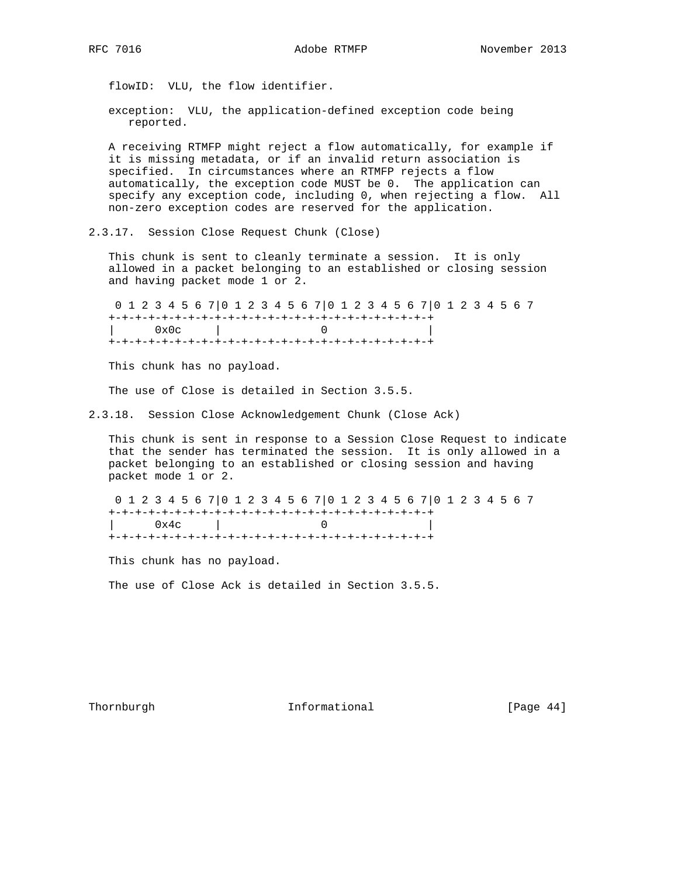flowID: VLU, the flow identifier.

 exception: VLU, the application-defined exception code being reported.

 A receiving RTMFP might reject a flow automatically, for example if it is missing metadata, or if an invalid return association is specified. In circumstances where an RTMFP rejects a flow automatically, the exception code MUST be 0. The application can specify any exception code, including 0, when rejecting a flow. All non-zero exception codes are reserved for the application.

2.3.17. Session Close Request Chunk (Close)

 This chunk is sent to cleanly terminate a session. It is only allowed in a packet belonging to an established or closing session and having packet mode 1 or 2.

 0 1 2 3 4 5 6 7|0 1 2 3 4 5 6 7|0 1 2 3 4 5 6 7|0 1 2 3 4 5 6 7 +-+-+-+-+-+-+-+-+-+-+-+-+-+-+-+-+-+-+-+-+-+-+-+-+ | 0x0c | 0 | +-+-+-+-+-+-+-+-+-+-+-+-+-+-+-+-+-+-+-+-+-+-+-+-+

This chunk has no payload.

The use of Close is detailed in Section 3.5.5.

2.3.18. Session Close Acknowledgement Chunk (Close Ack)

 This chunk is sent in response to a Session Close Request to indicate that the sender has terminated the session. It is only allowed in a packet belonging to an established or closing session and having packet mode 1 or 2.

 0 1 2 3 4 5 6 7|0 1 2 3 4 5 6 7|0 1 2 3 4 5 6 7|0 1 2 3 4 5 6 7 +-+-+-+-+-+-+-+-+-+-+-+-+-+-+-+-+-+-+-+-+-+-+-+-+ | 0x4c | 0 | +-+-+-+-+-+-+-+-+-+-+-+-+-+-+-+-+-+-+-+-+-+-+-+-+

This chunk has no payload.

The use of Close Ack is detailed in Section 3.5.5.

Thornburgh 1nformational [Page 44]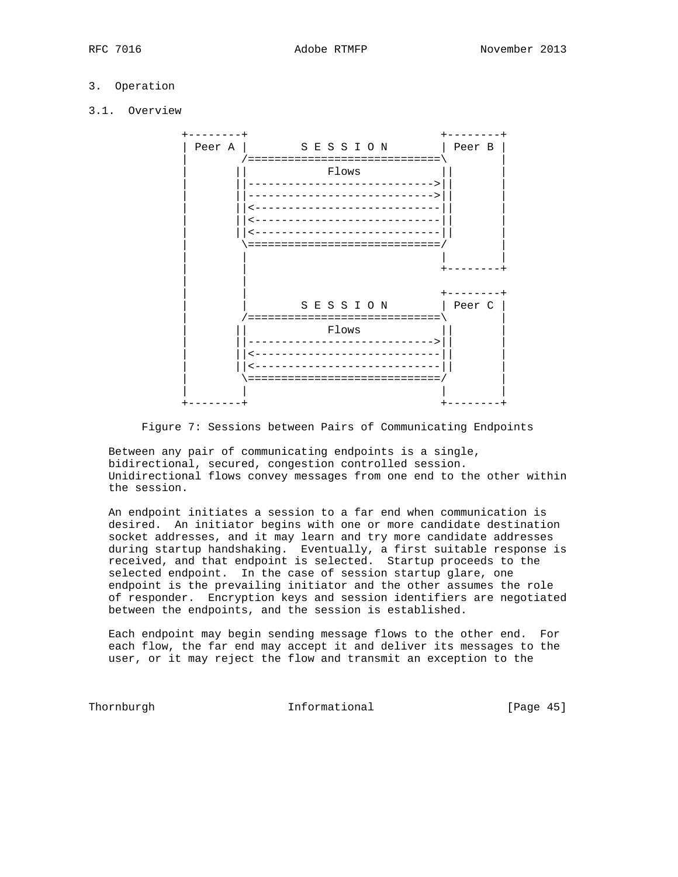# 3. Operation

3.1. Overview



Figure 7: Sessions between Pairs of Communicating Endpoints

 Between any pair of communicating endpoints is a single, bidirectional, secured, congestion controlled session. Unidirectional flows convey messages from one end to the other within the session.

 An endpoint initiates a session to a far end when communication is desired. An initiator begins with one or more candidate destination socket addresses, and it may learn and try more candidate addresses during startup handshaking. Eventually, a first suitable response is received, and that endpoint is selected. Startup proceeds to the selected endpoint. In the case of session startup glare, one endpoint is the prevailing initiator and the other assumes the role of responder. Encryption keys and session identifiers are negotiated between the endpoints, and the session is established.

 Each endpoint may begin sending message flows to the other end. For each flow, the far end may accept it and deliver its messages to the user, or it may reject the flow and transmit an exception to the

Thornburgh **Informational** [Page 45]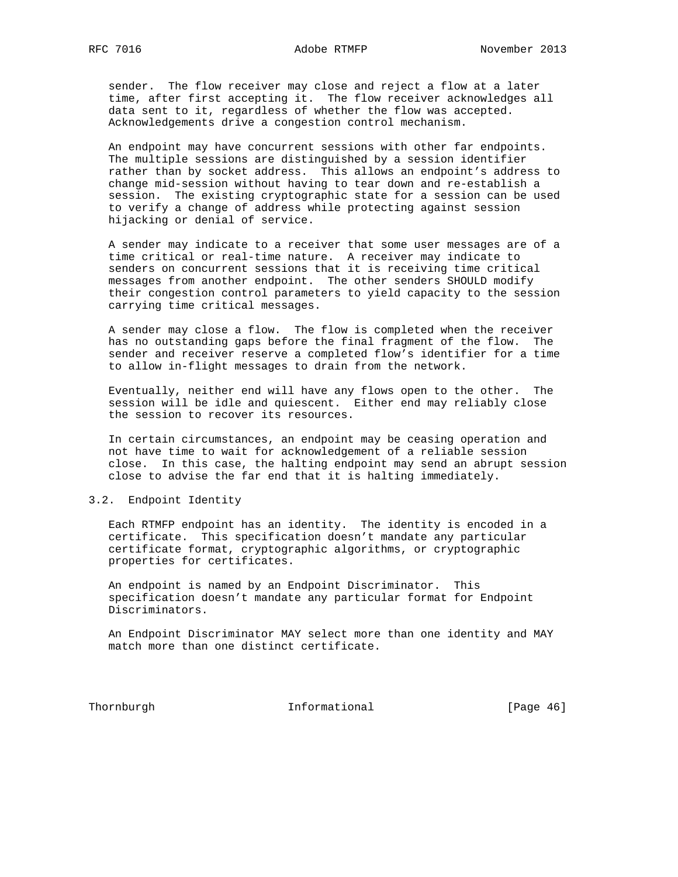sender. The flow receiver may close and reject a flow at a later time, after first accepting it. The flow receiver acknowledges all data sent to it, regardless of whether the flow was accepted. Acknowledgements drive a congestion control mechanism.

 An endpoint may have concurrent sessions with other far endpoints. The multiple sessions are distinguished by a session identifier rather than by socket address. This allows an endpoint's address to change mid-session without having to tear down and re-establish a session. The existing cryptographic state for a session can be used to verify a change of address while protecting against session hijacking or denial of service.

 A sender may indicate to a receiver that some user messages are of a time critical or real-time nature. A receiver may indicate to senders on concurrent sessions that it is receiving time critical messages from another endpoint. The other senders SHOULD modify their congestion control parameters to yield capacity to the session carrying time critical messages.

 A sender may close a flow. The flow is completed when the receiver has no outstanding gaps before the final fragment of the flow. The sender and receiver reserve a completed flow's identifier for a time to allow in-flight messages to drain from the network.

 Eventually, neither end will have any flows open to the other. The session will be idle and quiescent. Either end may reliably close the session to recover its resources.

 In certain circumstances, an endpoint may be ceasing operation and not have time to wait for acknowledgement of a reliable session close. In this case, the halting endpoint may send an abrupt session close to advise the far end that it is halting immediately.

# 3.2. Endpoint Identity

 Each RTMFP endpoint has an identity. The identity is encoded in a certificate. This specification doesn't mandate any particular certificate format, cryptographic algorithms, or cryptographic properties for certificates.

 An endpoint is named by an Endpoint Discriminator. This specification doesn't mandate any particular format for Endpoint Discriminators.

 An Endpoint Discriminator MAY select more than one identity and MAY match more than one distinct certificate.

Thornburgh 1nformational [Page 46]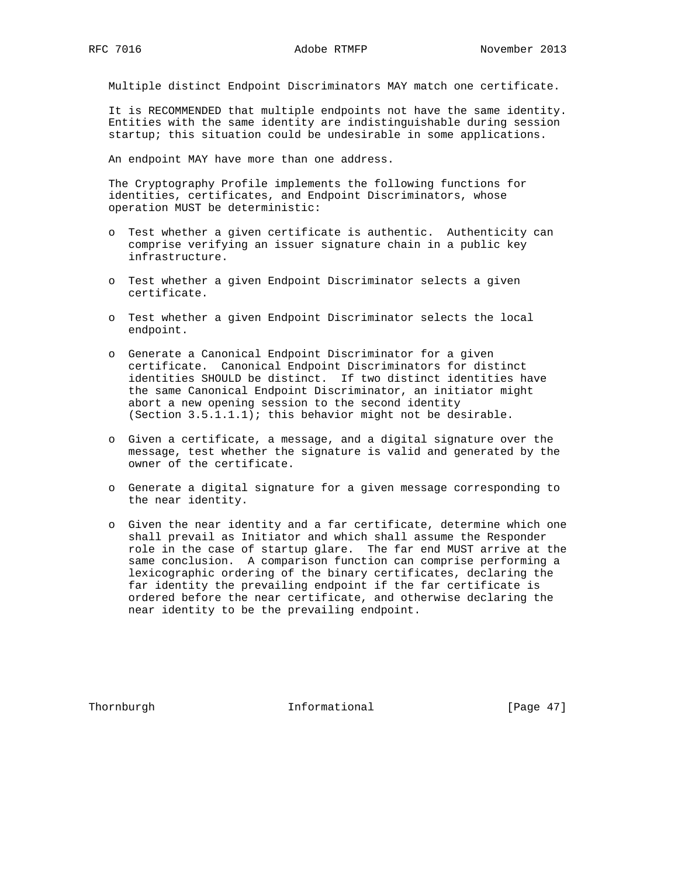Multiple distinct Endpoint Discriminators MAY match one certificate.

 It is RECOMMENDED that multiple endpoints not have the same identity. Entities with the same identity are indistinguishable during session startup; this situation could be undesirable in some applications.

An endpoint MAY have more than one address.

 The Cryptography Profile implements the following functions for identities, certificates, and Endpoint Discriminators, whose operation MUST be deterministic:

- o Test whether a given certificate is authentic. Authenticity can comprise verifying an issuer signature chain in a public key infrastructure.
- o Test whether a given Endpoint Discriminator selects a given certificate.
- o Test whether a given Endpoint Discriminator selects the local endpoint.
- o Generate a Canonical Endpoint Discriminator for a given certificate. Canonical Endpoint Discriminators for distinct identities SHOULD be distinct. If two distinct identities have the same Canonical Endpoint Discriminator, an initiator might abort a new opening session to the second identity (Section 3.5.1.1.1); this behavior might not be desirable.
- o Given a certificate, a message, and a digital signature over the message, test whether the signature is valid and generated by the owner of the certificate.
- o Generate a digital signature for a given message corresponding to the near identity.
- o Given the near identity and a far certificate, determine which one shall prevail as Initiator and which shall assume the Responder role in the case of startup glare. The far end MUST arrive at the same conclusion. A comparison function can comprise performing a lexicographic ordering of the binary certificates, declaring the far identity the prevailing endpoint if the far certificate is ordered before the near certificate, and otherwise declaring the near identity to be the prevailing endpoint.

Thornburgh 1nformational [Page 47]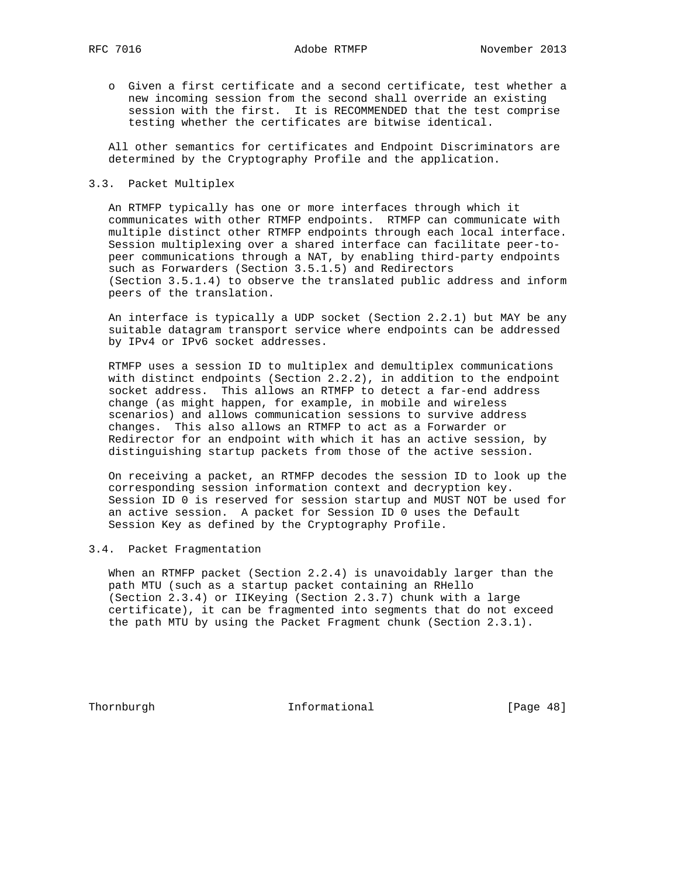o Given a first certificate and a second certificate, test whether a new incoming session from the second shall override an existing session with the first. It is RECOMMENDED that the test comprise testing whether the certificates are bitwise identical.

 All other semantics for certificates and Endpoint Discriminators are determined by the Cryptography Profile and the application.

# 3.3. Packet Multiplex

 An RTMFP typically has one or more interfaces through which it communicates with other RTMFP endpoints. RTMFP can communicate with multiple distinct other RTMFP endpoints through each local interface. Session multiplexing over a shared interface can facilitate peer-to peer communications through a NAT, by enabling third-party endpoints such as Forwarders (Section 3.5.1.5) and Redirectors (Section 3.5.1.4) to observe the translated public address and inform peers of the translation.

 An interface is typically a UDP socket (Section 2.2.1) but MAY be any suitable datagram transport service where endpoints can be addressed by IPv4 or IPv6 socket addresses.

 RTMFP uses a session ID to multiplex and demultiplex communications with distinct endpoints (Section 2.2.2), in addition to the endpoint socket address. This allows an RTMFP to detect a far-end address change (as might happen, for example, in mobile and wireless scenarios) and allows communication sessions to survive address changes. This also allows an RTMFP to act as a Forwarder or Redirector for an endpoint with which it has an active session, by distinguishing startup packets from those of the active session.

 On receiving a packet, an RTMFP decodes the session ID to look up the corresponding session information context and decryption key. Session ID 0 is reserved for session startup and MUST NOT be used for an active session. A packet for Session ID 0 uses the Default Session Key as defined by the Cryptography Profile.

# 3.4. Packet Fragmentation

 When an RTMFP packet (Section 2.2.4) is unavoidably larger than the path MTU (such as a startup packet containing an RHello (Section 2.3.4) or IIKeying (Section 2.3.7) chunk with a large certificate), it can be fragmented into segments that do not exceed the path MTU by using the Packet Fragment chunk (Section 2.3.1).

Thornburgh 1nformational [Page 48]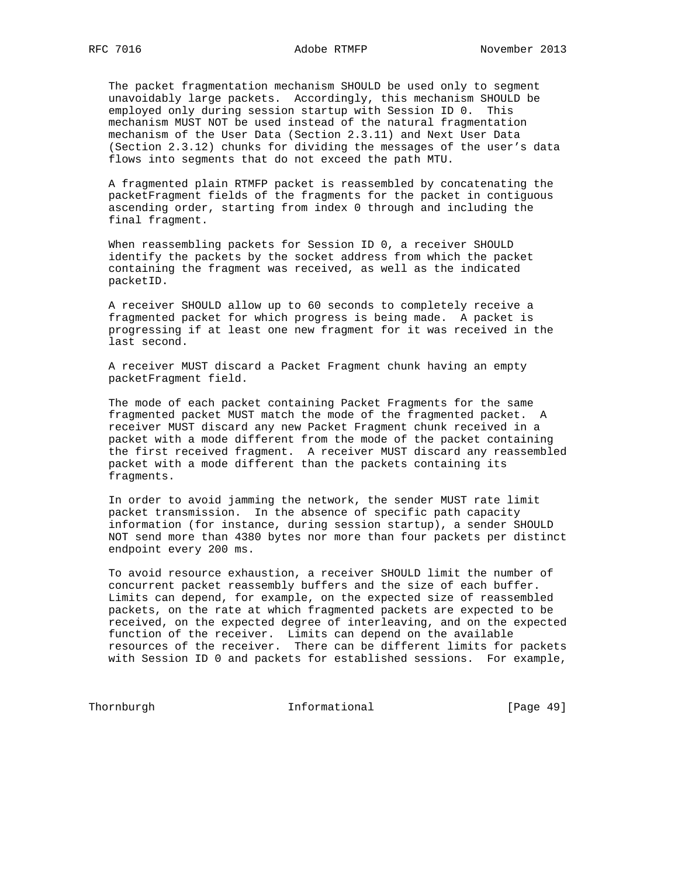The packet fragmentation mechanism SHOULD be used only to segment unavoidably large packets. Accordingly, this mechanism SHOULD be employed only during session startup with Session ID 0. This mechanism MUST NOT be used instead of the natural fragmentation mechanism of the User Data (Section 2.3.11) and Next User Data (Section 2.3.12) chunks for dividing the messages of the user's data flows into segments that do not exceed the path MTU.

 A fragmented plain RTMFP packet is reassembled by concatenating the packetFragment fields of the fragments for the packet in contiguous ascending order, starting from index 0 through and including the final fragment.

 When reassembling packets for Session ID 0, a receiver SHOULD identify the packets by the socket address from which the packet containing the fragment was received, as well as the indicated packetID.

 A receiver SHOULD allow up to 60 seconds to completely receive a fragmented packet for which progress is being made. A packet is progressing if at least one new fragment for it was received in the last second.

 A receiver MUST discard a Packet Fragment chunk having an empty packetFragment field.

 The mode of each packet containing Packet Fragments for the same fragmented packet MUST match the mode of the fragmented packet. A receiver MUST discard any new Packet Fragment chunk received in a packet with a mode different from the mode of the packet containing the first received fragment. A receiver MUST discard any reassembled packet with a mode different than the packets containing its fragments.

 In order to avoid jamming the network, the sender MUST rate limit packet transmission. In the absence of specific path capacity information (for instance, during session startup), a sender SHOULD NOT send more than 4380 bytes nor more than four packets per distinct endpoint every 200 ms.

 To avoid resource exhaustion, a receiver SHOULD limit the number of concurrent packet reassembly buffers and the size of each buffer. Limits can depend, for example, on the expected size of reassembled packets, on the rate at which fragmented packets are expected to be received, on the expected degree of interleaving, and on the expected function of the receiver. Limits can depend on the available resources of the receiver. There can be different limits for packets with Session ID 0 and packets for established sessions. For example,

Thornburgh 1nformational [Page 49]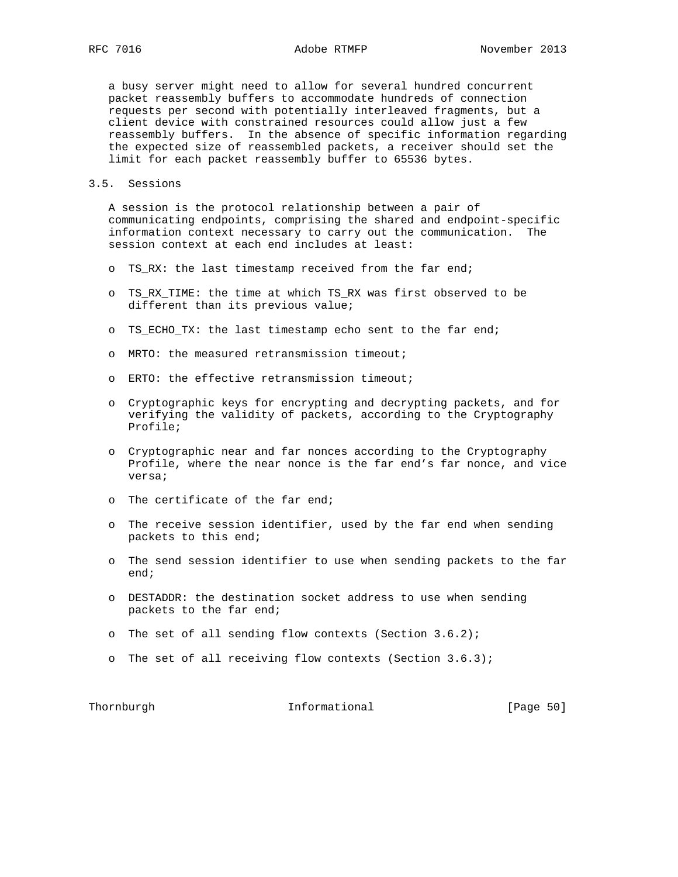a busy server might need to allow for several hundred concurrent packet reassembly buffers to accommodate hundreds of connection requests per second with potentially interleaved fragments, but a client device with constrained resources could allow just a few reassembly buffers. In the absence of specific information regarding the expected size of reassembled packets, a receiver should set the limit for each packet reassembly buffer to 65536 bytes.

# 3.5. Sessions

 A session is the protocol relationship between a pair of communicating endpoints, comprising the shared and endpoint-specific information context necessary to carry out the communication. The session context at each end includes at least:

- o TS RX: the last timestamp received from the far end;
- o TS\_RX\_TIME: the time at which TS\_RX was first observed to be different than its previous value;
- o TS\_ECHO\_TX: the last timestamp echo sent to the far end;
- o MRTO: the measured retransmission timeout;
- o ERTO: the effective retransmission timeout;
- o Cryptographic keys for encrypting and decrypting packets, and for verifying the validity of packets, according to the Cryptography Profile;
- o Cryptographic near and far nonces according to the Cryptography Profile, where the near nonce is the far end's far nonce, and vice versa;
- o The certificate of the far end;
- o The receive session identifier, used by the far end when sending packets to this end;
- o The send session identifier to use when sending packets to the far end;
- o DESTADDR: the destination socket address to use when sending packets to the far end;
- o The set of all sending flow contexts (Section 3.6.2);
- o The set of all receiving flow contexts (Section 3.6.3);

Thornburgh **Informational Informational** [Page 50]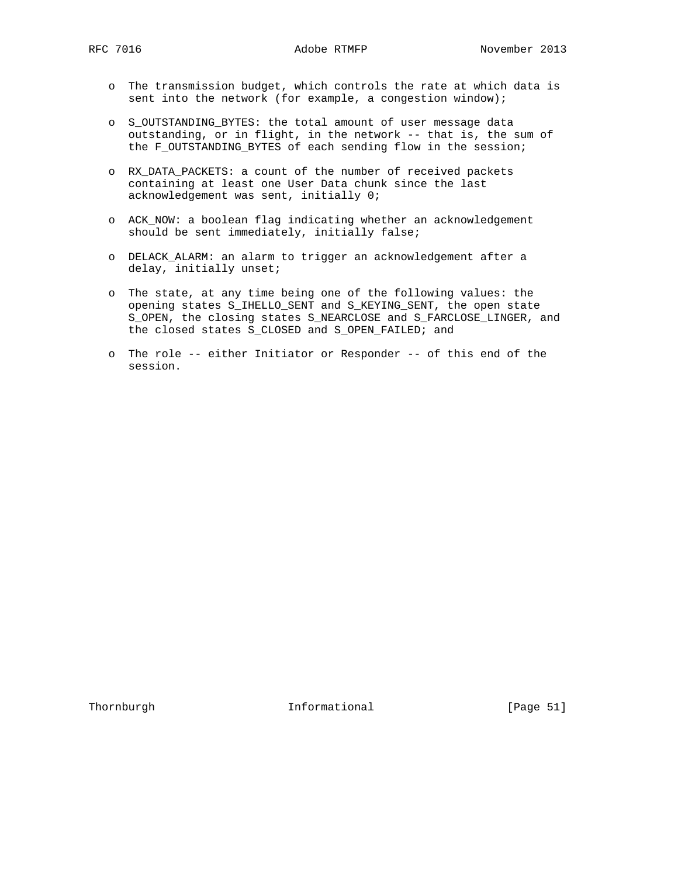- o The transmission budget, which controls the rate at which data is sent into the network (for example, a congestion window);
- o S\_OUTSTANDING\_BYTES: the total amount of user message data outstanding, or in flight, in the network -- that is, the sum of the F\_OUTSTANDING\_BYTES of each sending flow in the session;
- o RX\_DATA\_PACKETS: a count of the number of received packets containing at least one User Data chunk since the last acknowledgement was sent, initially 0;
- o ACK\_NOW: a boolean flag indicating whether an acknowledgement should be sent immediately, initially false;
- o DELACK\_ALARM: an alarm to trigger an acknowledgement after a delay, initially unset;
- o The state, at any time being one of the following values: the opening states S\_IHELLO\_SENT and S\_KEYING\_SENT, the open state S\_OPEN, the closing states S\_NEARCLOSE and S\_FARCLOSE\_LINGER, and the closed states S\_CLOSED and S\_OPEN\_FAILED; and
- o The role -- either Initiator or Responder -- of this end of the session.

Thornburgh 1nformational [Page 51]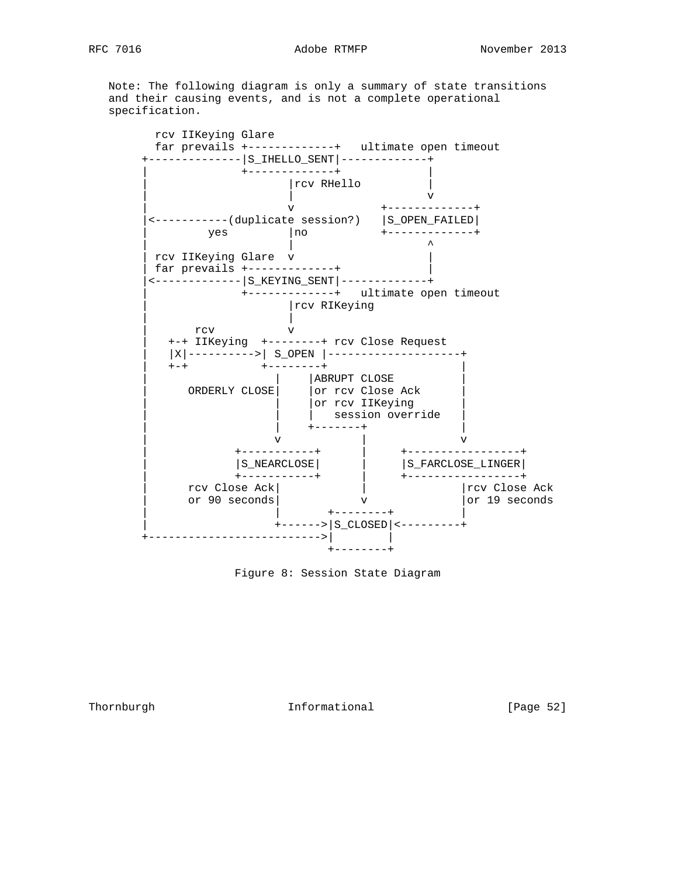Note: The following diagram is only a summary of state transitions and their causing events, and is not a complete operational specification.

 rcv IIKeying Glare far prevails +-------------+ ultimate open timeout +--------------|S\_IHELLO\_SENT|-------------+ | +-------------+ | | |rcv RHello | | | v | v +-------------+ |<-----------(duplicate session?) |S\_OPEN\_FAILED| | yes |no +------------+ | | ^ | rcv IIKeying Glare v | | far prevails +-------------+ | |<-------------|S\_KEYING\_SENT|-------------+ | +-------------+ ultimate open timeout | |rcv RIKeying | | rcv v | +-+ IIKeying +--------+ rcv Close Request | |X|---------->| S\_OPEN |--------------------+ | +-+ +--------+ | | | |ABRUPT CLOSE | | ORDERLY CLOSE| |or rcv Close Ack | | | |or rcv IIKeying | | | | session override | | | +-------+ | | v | v | +-----------+ | +-----------------+ | |S\_NEARCLOSE| | |S\_FARCLOSE\_LINGER| | +-----------+ | +-----------------+ | rcv Close Ack| | | | |rcv Close Ack | or 90 seconds| v |or 19 seconds | | +--------+ | | +------>|S\_CLOSED|<---------+ +-------------------------->| | +--------+

Figure 8: Session State Diagram

Thornburgh 1nformational [Page 52]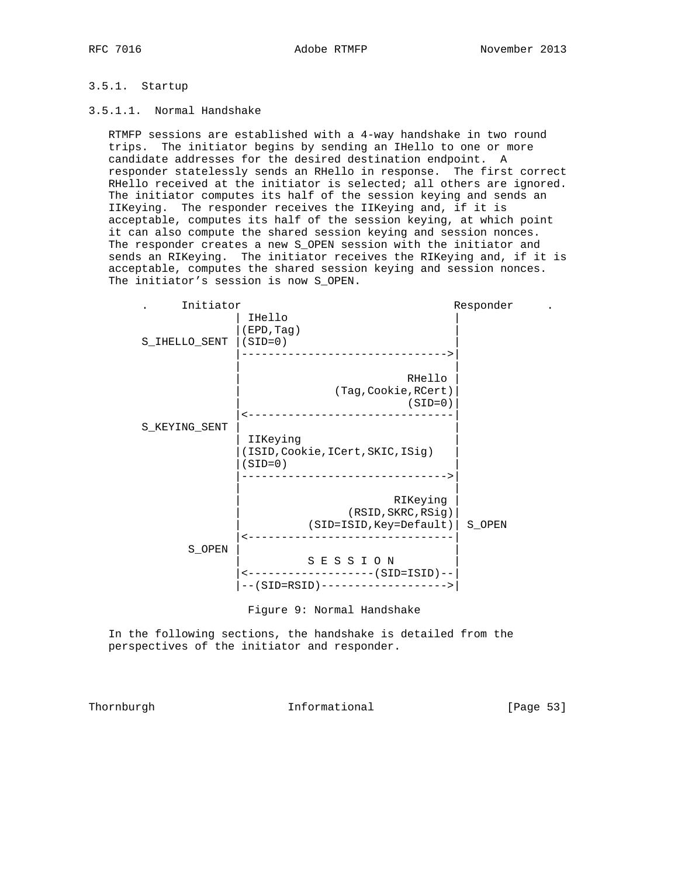# 3.5.1. Startup

## 3.5.1.1. Normal Handshake

 RTMFP sessions are established with a 4-way handshake in two round trips. The initiator begins by sending an IHello to one or more candidate addresses for the desired destination endpoint. A responder statelessly sends an RHello in response. The first correct RHello received at the initiator is selected; all others are ignored. The initiator computes its half of the session keying and sends an IIKeying. The responder receives the IIKeying and, if it is acceptable, computes its half of the session keying, at which point it can also compute the shared session keying and session nonces. The responder creates a new S\_OPEN session with the initiator and sends an RIKeying. The initiator receives the RIKeying and, if it is acceptable, computes the shared session keying and session nonces. The initiator's session is now S\_OPEN.



Figure 9: Normal Handshake

 In the following sections, the handshake is detailed from the perspectives of the initiator and responder.

Thornburgh 1nformational [Page 53]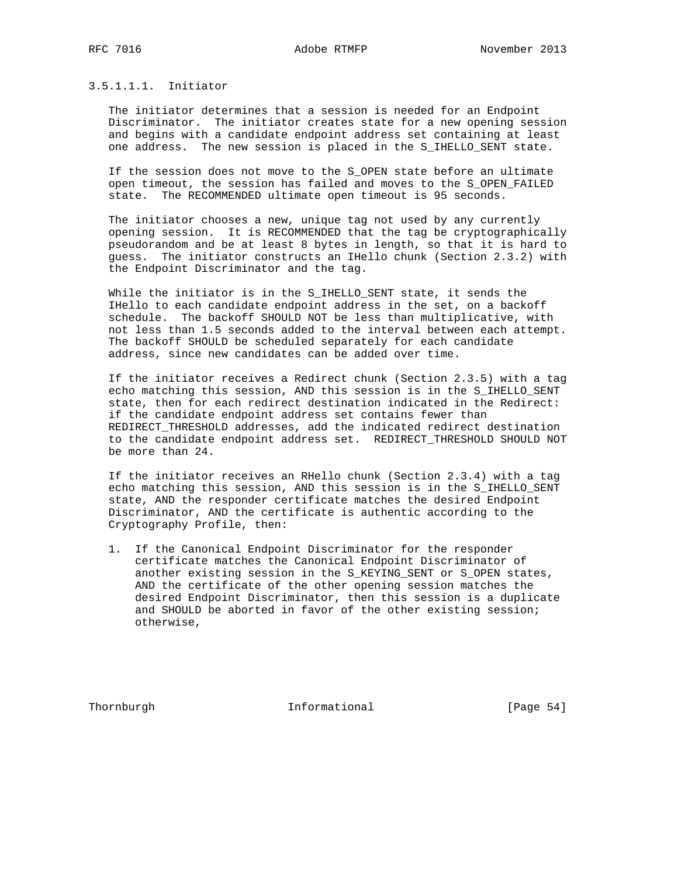# 3.5.1.1.1. Initiator

 The initiator determines that a session is needed for an Endpoint Discriminator. The initiator creates state for a new opening session and begins with a candidate endpoint address set containing at least one address. The new session is placed in the S\_IHELLO\_SENT state.

 If the session does not move to the S\_OPEN state before an ultimate open timeout, the session has failed and moves to the S\_OPEN\_FAILED state. The RECOMMENDED ultimate open timeout is 95 seconds.

 The initiator chooses a new, unique tag not used by any currently opening session. It is RECOMMENDED that the tag be cryptographically pseudorandom and be at least 8 bytes in length, so that it is hard to guess. The initiator constructs an IHello chunk (Section 2.3.2) with the Endpoint Discriminator and the tag.

While the initiator is in the S\_IHELLO\_SENT state, it sends the IHello to each candidate endpoint address in the set, on a backoff schedule. The backoff SHOULD NOT be less than multiplicative, with not less than 1.5 seconds added to the interval between each attempt. The backoff SHOULD be scheduled separately for each candidate address, since new candidates can be added over time.

 If the initiator receives a Redirect chunk (Section 2.3.5) with a tag echo matching this session, AND this session is in the S\_IHELLO\_SENT state, then for each redirect destination indicated in the Redirect: if the candidate endpoint address set contains fewer than REDIRECT\_THRESHOLD addresses, add the indicated redirect destination to the candidate endpoint address set. REDIRECT\_THRESHOLD SHOULD NOT be more than 24.

 If the initiator receives an RHello chunk (Section 2.3.4) with a tag echo matching this session, AND this session is in the S\_IHELLO\_SENT state, AND the responder certificate matches the desired Endpoint Discriminator, AND the certificate is authentic according to the Cryptography Profile, then:

 1. If the Canonical Endpoint Discriminator for the responder certificate matches the Canonical Endpoint Discriminator of another existing session in the S\_KEYING\_SENT or S\_OPEN states, AND the certificate of the other opening session matches the desired Endpoint Discriminator, then this session is a duplicate and SHOULD be aborted in favor of the other existing session; otherwise,

Thornburgh 1nformational [Page 54]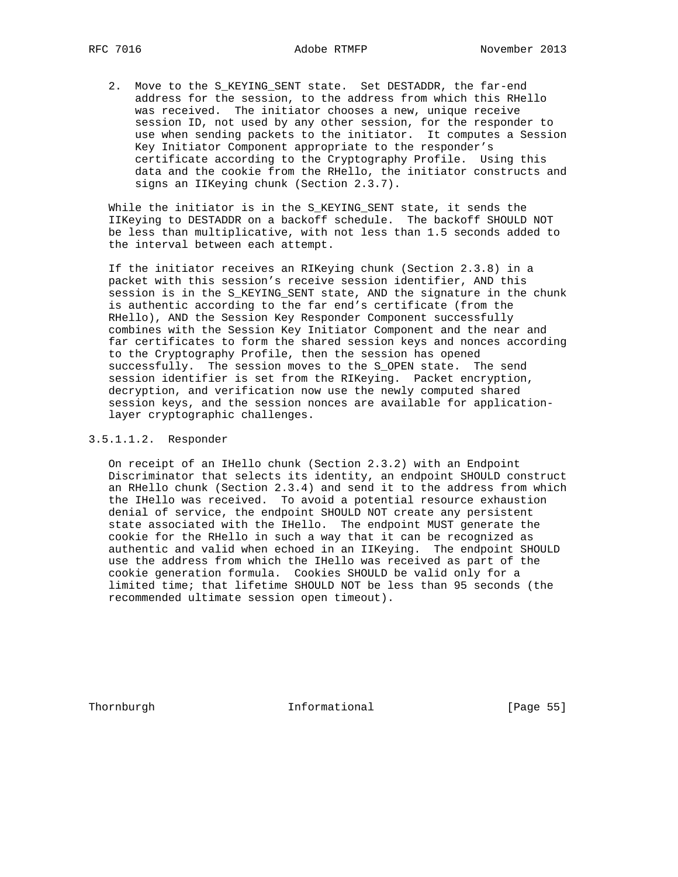2. Move to the S\_KEYING\_SENT state. Set DESTADDR, the far-end address for the session, to the address from which this RHello was received. The initiator chooses a new, unique receive session ID, not used by any other session, for the responder to use when sending packets to the initiator. It computes a Session Key Initiator Component appropriate to the responder's certificate according to the Cryptography Profile. Using this data and the cookie from the RHello, the initiator constructs and signs an IIKeying chunk (Section 2.3.7).

 While the initiator is in the S\_KEYING\_SENT state, it sends the IIKeying to DESTADDR on a backoff schedule. The backoff SHOULD NOT be less than multiplicative, with not less than 1.5 seconds added to the interval between each attempt.

 If the initiator receives an RIKeying chunk (Section 2.3.8) in a packet with this session's receive session identifier, AND this session is in the S\_KEYING\_SENT state, AND the signature in the chunk is authentic according to the far end's certificate (from the RHello), AND the Session Key Responder Component successfully combines with the Session Key Initiator Component and the near and far certificates to form the shared session keys and nonces according to the Cryptography Profile, then the session has opened successfully. The session moves to the S\_OPEN state. The send session identifier is set from the RIKeying. Packet encryption, decryption, and verification now use the newly computed shared session keys, and the session nonces are available for application layer cryptographic challenges.

# 3.5.1.1.2. Responder

 On receipt of an IHello chunk (Section 2.3.2) with an Endpoint Discriminator that selects its identity, an endpoint SHOULD construct an RHello chunk (Section 2.3.4) and send it to the address from which the IHello was received. To avoid a potential resource exhaustion denial of service, the endpoint SHOULD NOT create any persistent state associated with the IHello. The endpoint MUST generate the cookie for the RHello in such a way that it can be recognized as authentic and valid when echoed in an IIKeying. The endpoint SHOULD use the address from which the IHello was received as part of the cookie generation formula. Cookies SHOULD be valid only for a limited time; that lifetime SHOULD NOT be less than 95 seconds (the recommended ultimate session open timeout).

Thornburgh 1nformational [Page 55]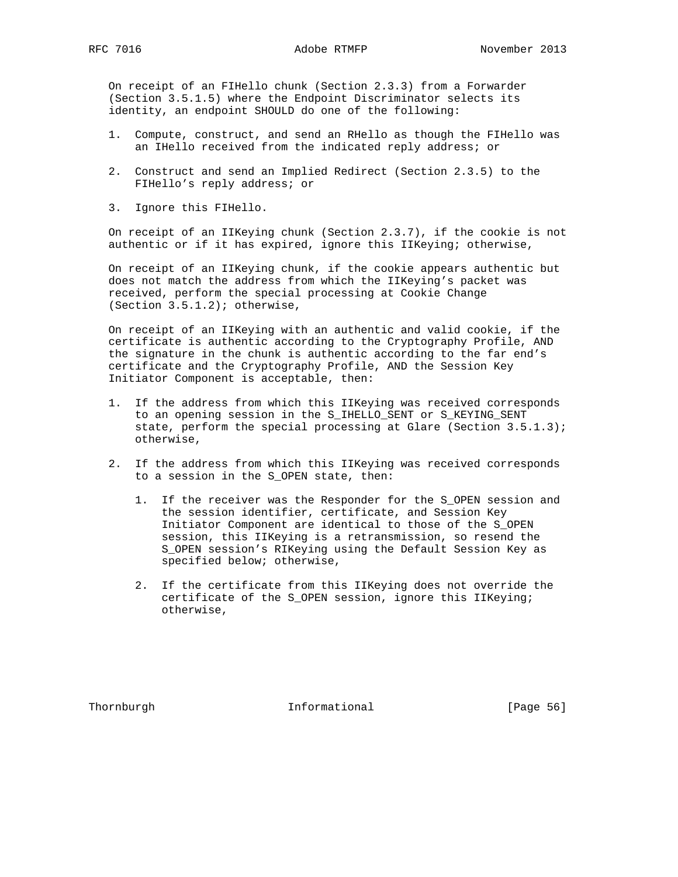On receipt of an FIHello chunk (Section 2.3.3) from a Forwarder (Section 3.5.1.5) where the Endpoint Discriminator selects its identity, an endpoint SHOULD do one of the following:

- 1. Compute, construct, and send an RHello as though the FIHello was an IHello received from the indicated reply address; or
- 2. Construct and send an Implied Redirect (Section 2.3.5) to the FIHello's reply address; or
- 3. Ignore this FIHello.

 On receipt of an IIKeying chunk (Section 2.3.7), if the cookie is not authentic or if it has expired, ignore this IIKeying; otherwise,

 On receipt of an IIKeying chunk, if the cookie appears authentic but does not match the address from which the IIKeying's packet was received, perform the special processing at Cookie Change (Section 3.5.1.2); otherwise,

 On receipt of an IIKeying with an authentic and valid cookie, if the certificate is authentic according to the Cryptography Profile, AND the signature in the chunk is authentic according to the far end's certificate and the Cryptography Profile, AND the Session Key Initiator Component is acceptable, then:

- 1. If the address from which this IIKeying was received corresponds to an opening session in the S\_IHELLO\_SENT or S\_KEYING\_SENT state, perform the special processing at Glare (Section 3.5.1.3); otherwise,
- 2. If the address from which this IIKeying was received corresponds to a session in the S\_OPEN state, then:
	- 1. If the receiver was the Responder for the S\_OPEN session and the session identifier, certificate, and Session Key Initiator Component are identical to those of the S\_OPEN session, this IIKeying is a retransmission, so resend the S\_OPEN session's RIKeying using the Default Session Key as specified below; otherwise,
	- 2. If the certificate from this IIKeying does not override the certificate of the S\_OPEN session, ignore this IIKeying; otherwise,

Thornburgh 10 Informational [Page 56]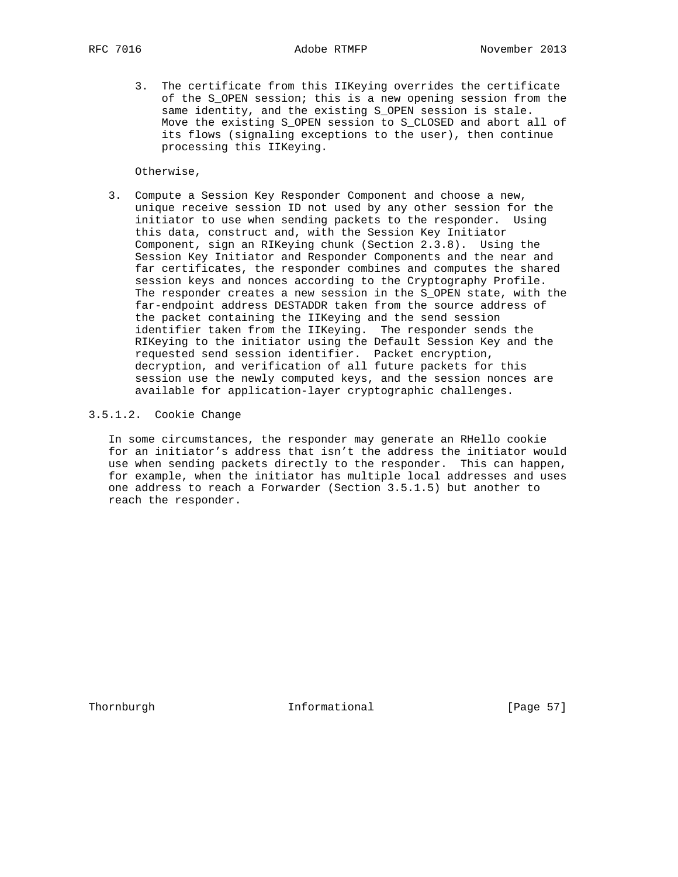3. The certificate from this IIKeying overrides the certificate of the S\_OPEN session; this is a new opening session from the same identity, and the existing S\_OPEN session is stale. Move the existing S OPEN session to S CLOSED and abort all of its flows (signaling exceptions to the user), then continue processing this IIKeying.

Otherwise,

 3. Compute a Session Key Responder Component and choose a new, unique receive session ID not used by any other session for the initiator to use when sending packets to the responder. Using this data, construct and, with the Session Key Initiator Component, sign an RIKeying chunk (Section 2.3.8). Using the Session Key Initiator and Responder Components and the near and far certificates, the responder combines and computes the shared session keys and nonces according to the Cryptography Profile. The responder creates a new session in the S\_OPEN state, with the far-endpoint address DESTADDR taken from the source address of the packet containing the IIKeying and the send session identifier taken from the IIKeying. The responder sends the RIKeying to the initiator using the Default Session Key and the requested send session identifier. Packet encryption, decryption, and verification of all future packets for this session use the newly computed keys, and the session nonces are available for application-layer cryptographic challenges.

# 3.5.1.2. Cookie Change

 In some circumstances, the responder may generate an RHello cookie for an initiator's address that isn't the address the initiator would use when sending packets directly to the responder. This can happen, for example, when the initiator has multiple local addresses and uses one address to reach a Forwarder (Section 3.5.1.5) but another to reach the responder.

Thornburgh **Informational** [Page 57]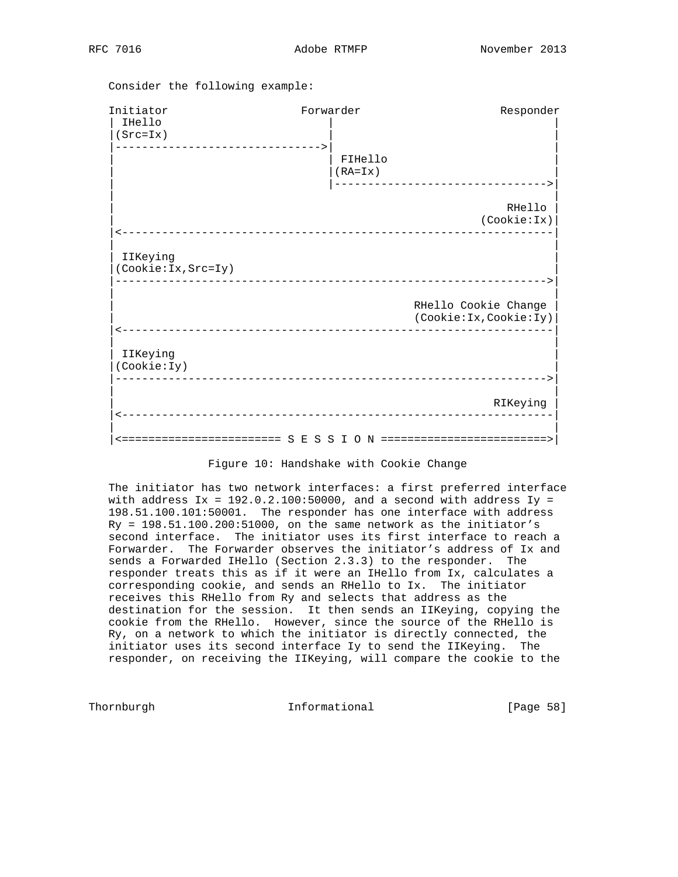Consider the following example:

| FIHello<br>$(RA=Ix)$ |                                                  |
|----------------------|--------------------------------------------------|
|                      |                                                  |
|                      |                                                  |
|                      | RHello<br>(Cookie:Ix)                            |
|                      |                                                  |
|                      | RHello Cookie Change<br>(Cookie: Ix, Cookie: Iy) |
|                      |                                                  |
|                      | RIKeying                                         |
|                      | ____________________                             |

## Figure 10: Handshake with Cookie Change

 The initiator has two network interfaces: a first preferred interface with address  $Ix = 192.0.2.100:50000$ , and a second with address  $Iy =$  198.51.100.101:50001. The responder has one interface with address Ry = 198.51.100.200:51000, on the same network as the initiator's second interface. The initiator uses its first interface to reach a Forwarder. The Forwarder observes the initiator's address of Ix and sends a Forwarded IHello (Section 2.3.3) to the responder. The responder treats this as if it were an IHello from Ix, calculates a corresponding cookie, and sends an RHello to Ix. The initiator receives this RHello from Ry and selects that address as the destination for the session. It then sends an IIKeying, copying the cookie from the RHello. However, since the source of the RHello is Ry, on a network to which the initiator is directly connected, the initiator uses its second interface Iy to send the IIKeying. The responder, on receiving the IIKeying, will compare the cookie to the

Thornburgh **Informational** [Page 58]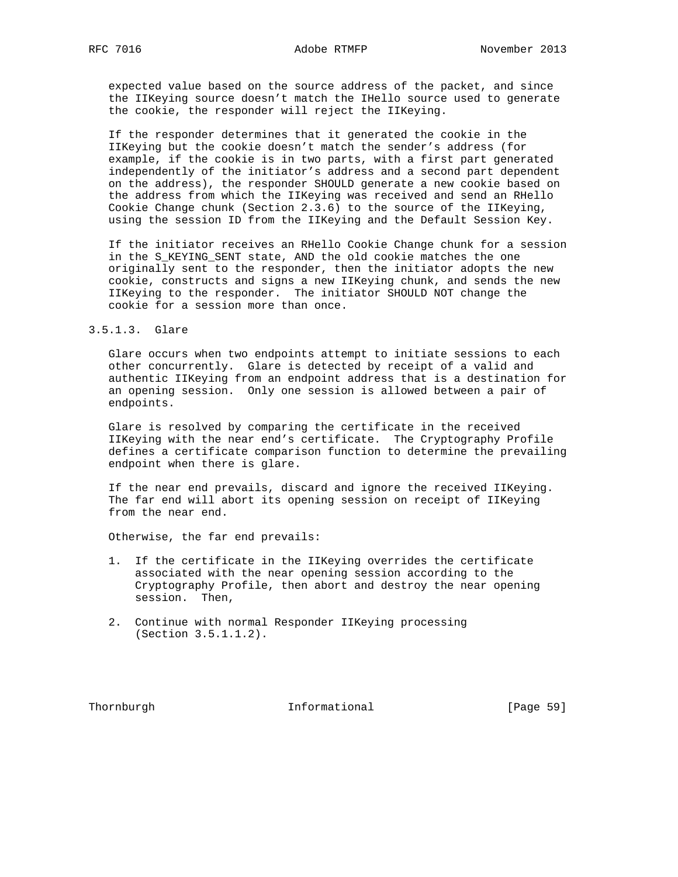expected value based on the source address of the packet, and since the IIKeying source doesn't match the IHello source used to generate the cookie, the responder will reject the IIKeying.

 If the responder determines that it generated the cookie in the IIKeying but the cookie doesn't match the sender's address (for example, if the cookie is in two parts, with a first part generated independently of the initiator's address and a second part dependent on the address), the responder SHOULD generate a new cookie based on the address from which the IIKeying was received and send an RHello Cookie Change chunk (Section 2.3.6) to the source of the IIKeying, using the session ID from the IIKeying and the Default Session Key.

 If the initiator receives an RHello Cookie Change chunk for a session in the S\_KEYING\_SENT state, AND the old cookie matches the one originally sent to the responder, then the initiator adopts the new cookie, constructs and signs a new IIKeying chunk, and sends the new IIKeying to the responder. The initiator SHOULD NOT change the cookie for a session more than once.

#### 3.5.1.3. Glare

 Glare occurs when two endpoints attempt to initiate sessions to each other concurrently. Glare is detected by receipt of a valid and authentic IIKeying from an endpoint address that is a destination for an opening session. Only one session is allowed between a pair of endpoints.

 Glare is resolved by comparing the certificate in the received IIKeying with the near end's certificate. The Cryptography Profile defines a certificate comparison function to determine the prevailing endpoint when there is glare.

 If the near end prevails, discard and ignore the received IIKeying. The far end will abort its opening session on receipt of IIKeying from the near end.

Otherwise, the far end prevails:

- 1. If the certificate in the IIKeying overrides the certificate associated with the near opening session according to the Cryptography Profile, then abort and destroy the near opening session. Then,
- 2. Continue with normal Responder IIKeying processing (Section 3.5.1.1.2).

Thornburgh 1nformational [Page 59]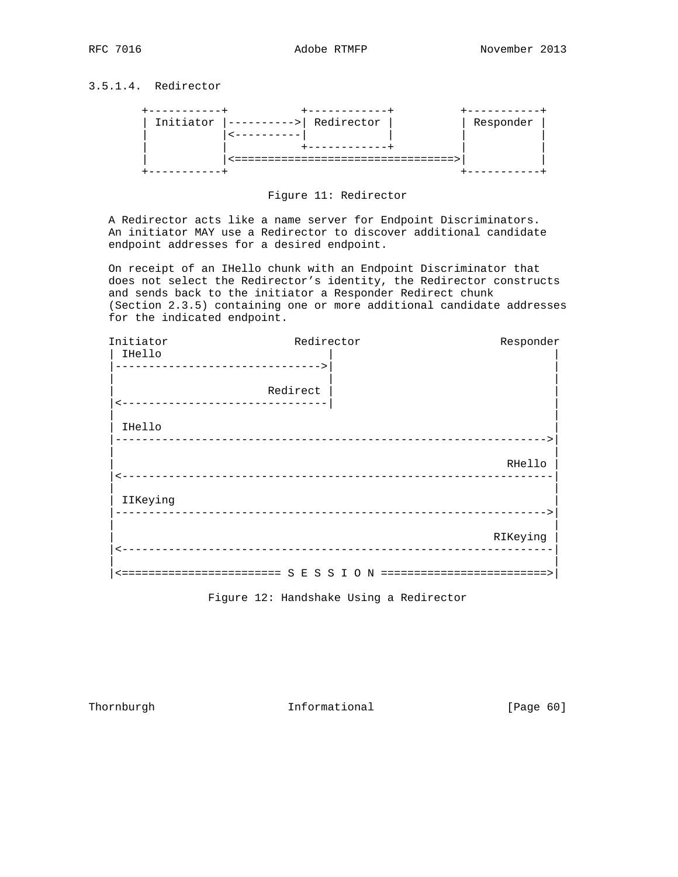# 3.5.1.4. Redirector





 A Redirector acts like a name server for Endpoint Discriminators. An initiator MAY use a Redirector to discover additional candidate endpoint addresses for a desired endpoint.

 On receipt of an IHello chunk with an Endpoint Discriminator that does not select the Redirector's identity, the Redirector constructs and sends back to the initiator a Responder Redirect chunk (Section 2.3.5) containing one or more additional candidate addresses for the indicated endpoint.

| Initiator | Redirector                        | Responder |
|-----------|-----------------------------------|-----------|
| IHello    |                                   |           |
|           | --------------------------------> |           |
|           | Redirect                          |           |
|           | -----------------------------     |           |
| IHello    |                                   |           |
|           |                                   |           |
|           |                                   | RHello    |
|           | _________________________________ |           |
|           |                                   |           |
| IIKeying  |                                   |           |
|           |                                   |           |
|           |                                   | RIKeying  |
|           |                                   |           |
|           |                                   |           |

Figure 12: Handshake Using a Redirector

Thornburgh 1nformational [Page 60]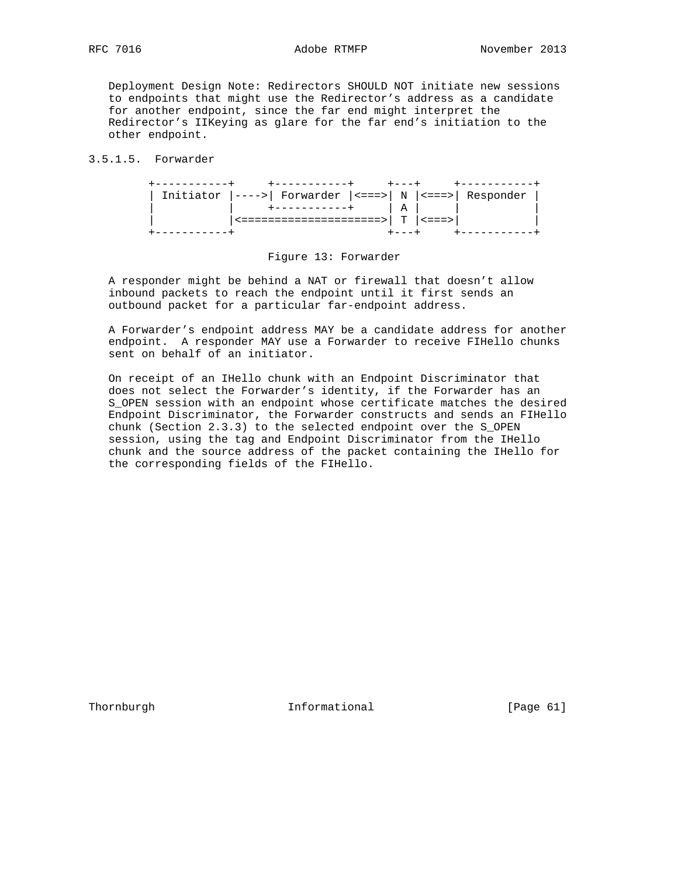Deployment Design Note: Redirectors SHOULD NOT initiate new sessions to endpoints that might use the Redirector's address as a candidate for another endpoint, since the far end might interpret the Redirector's IIKeying as glare for the far end's initiation to the other endpoint.

# 3.5.1.5. Forwarder

| Initiator $ ---> $ Forwarder $ ---> $ N $ ---> $ Responder |     |  |  |
|------------------------------------------------------------|-----|--|--|
| $+ - - - - - - - - - +$                                    | A I |  |  |
| <=====================>  T  <===>                          |     |  |  |
|                                                            |     |  |  |

# Figure 13: Forwarder

 A responder might be behind a NAT or firewall that doesn't allow inbound packets to reach the endpoint until it first sends an outbound packet for a particular far-endpoint address.

 A Forwarder's endpoint address MAY be a candidate address for another endpoint. A responder MAY use a Forwarder to receive FIHello chunks sent on behalf of an initiator.

 On receipt of an IHello chunk with an Endpoint Discriminator that does not select the Forwarder's identity, if the Forwarder has an S\_OPEN session with an endpoint whose certificate matches the desired Endpoint Discriminator, the Forwarder constructs and sends an FIHello chunk (Section 2.3.3) to the selected endpoint over the S\_OPEN session, using the tag and Endpoint Discriminator from the IHello chunk and the source address of the packet containing the IHello for the corresponding fields of the FIHello.

Thornburgh 10 Informational [Page 61]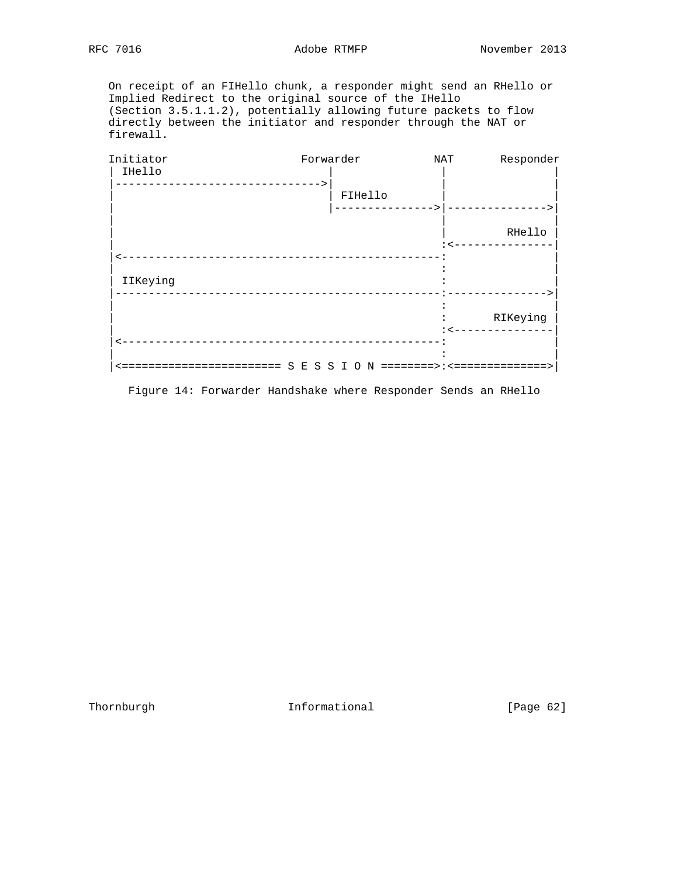On receipt of an FIHello chunk, a responder might send an RHello or Implied Redirect to the original source of the IHello (Section 3.5.1.1.2), potentially allowing future packets to flow directly between the initiator and responder through the NAT or firewall.

| Initiator | Forwarder                                                                             | NAT | Responder       |
|-----------|---------------------------------------------------------------------------------------|-----|-----------------|
| IHello    |                                                                                       |     |                 |
|           | FIHello                                                                               |     |                 |
|           |                                                                                       |     |                 |
|           |                                                                                       |     | RHello          |
|           |                                                                                       |     | --------        |
|           |                                                                                       |     |                 |
| IIKeying  |                                                                                       |     |                 |
|           |                                                                                       |     |                 |
|           |                                                                                       |     | RIKeying        |
|           |                                                                                       |     | : <------------ |
|           |                                                                                       |     |                 |
|           | ==================     S     E     S     S     I     O     N ========>:<============= |     |                 |

Figure 14: Forwarder Handshake where Responder Sends an RHello

Thornburgh 1nformational [Page 62]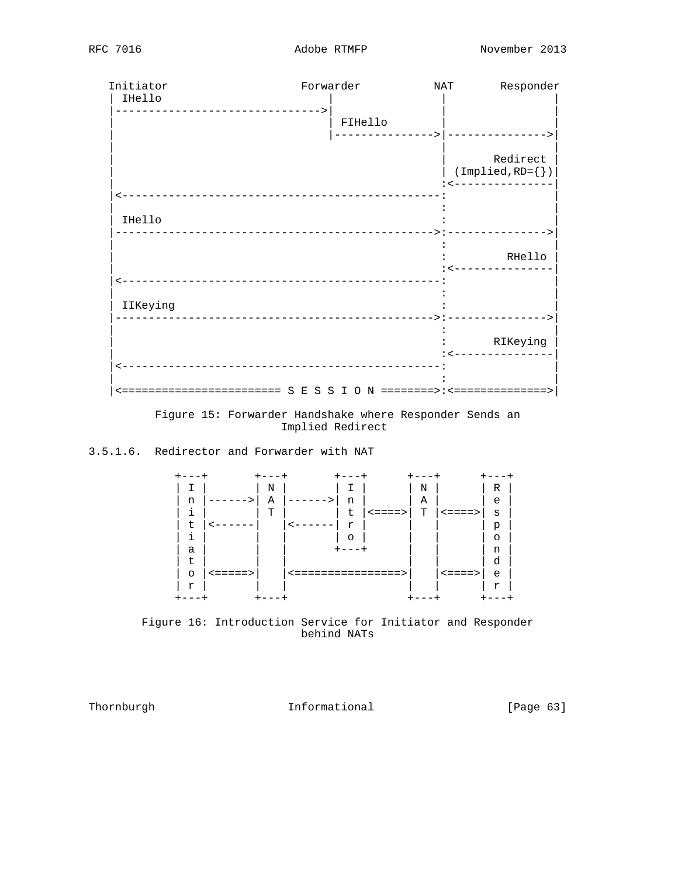| Initiator                                  | Forwarder                              |         | NAT              | Responder                                        |
|--------------------------------------------|----------------------------------------|---------|------------------|--------------------------------------------------|
| IHello<br>-------------------------------> |                                        |         |                  |                                                  |
|                                            |                                        | FIHello |                  |                                                  |
|                                            |                                        |         | --------> ------ |                                                  |
|                                            |                                        |         |                  | Redirect                                         |
|                                            |                                        |         |                  | $(\texttt{Implied}, \texttt{RD} = \{\})$         |
|                                            | -------------------------------------- |         |                  | : <--------------                                |
|                                            |                                        |         |                  |                                                  |
| IHello                                     |                                        |         |                  |                                                  |
|                                            |                                        |         |                  |                                                  |
|                                            |                                        |         |                  | RHello<br>$\leftarrow$ - - - - - - - - - - - - - |
|                                            | -------------------------------------- |         |                  |                                                  |
| IIKeying                                   |                                        |         |                  |                                                  |
|                                            |                                        |         |                  |                                                  |
|                                            |                                        |         |                  | RIKeying                                         |
|                                            |                                        |         |                  | $\leftarrow$ - - - - - - - - - - -               |
|                                            |                                        |         |                  |                                                  |
|                                            |                                        |         |                  |                                                  |

 Figure 15: Forwarder Handshake where Responder Sends an Implied Redirect

# 3.5.1.6. Redirector and Forwarder with NAT



 Figure 16: Introduction Service for Initiator and Responder behind NATs

Thornburgh 10 Informational [Page 63]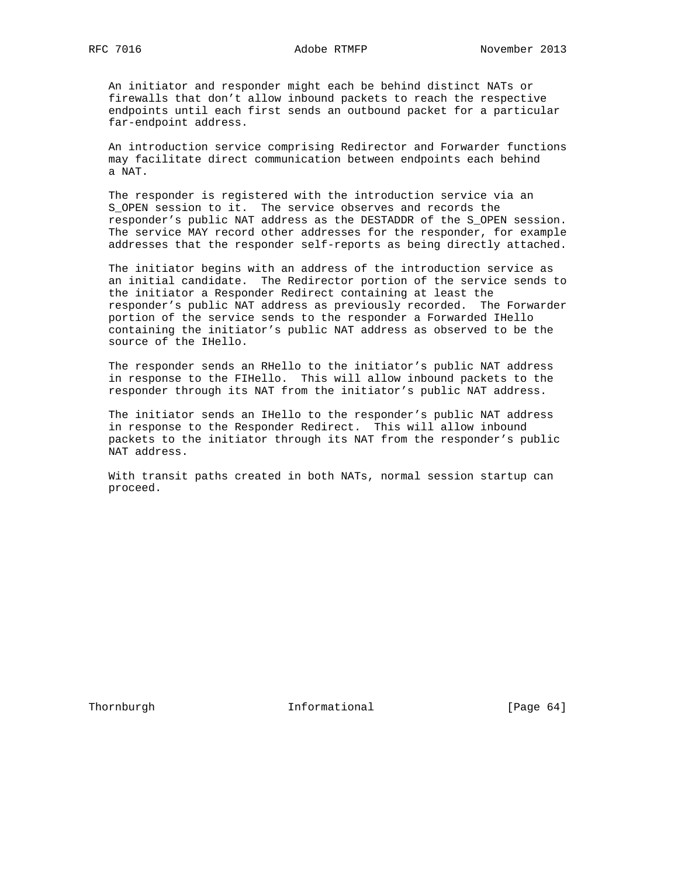An initiator and responder might each be behind distinct NATs or firewalls that don't allow inbound packets to reach the respective endpoints until each first sends an outbound packet for a particular far-endpoint address.

 An introduction service comprising Redirector and Forwarder functions may facilitate direct communication between endpoints each behind a NAT.

 The responder is registered with the introduction service via an S\_OPEN session to it. The service observes and records the responder's public NAT address as the DESTADDR of the S\_OPEN session. The service MAY record other addresses for the responder, for example addresses that the responder self-reports as being directly attached.

 The initiator begins with an address of the introduction service as an initial candidate. The Redirector portion of the service sends to the initiator a Responder Redirect containing at least the responder's public NAT address as previously recorded. The Forwarder portion of the service sends to the responder a Forwarded IHello containing the initiator's public NAT address as observed to be the source of the IHello.

 The responder sends an RHello to the initiator's public NAT address in response to the FIHello. This will allow inbound packets to the responder through its NAT from the initiator's public NAT address.

 The initiator sends an IHello to the responder's public NAT address in response to the Responder Redirect. This will allow inbound packets to the initiator through its NAT from the responder's public NAT address.

 With transit paths created in both NATs, normal session startup can proceed.

Thornburgh 101 Informational [Page 64]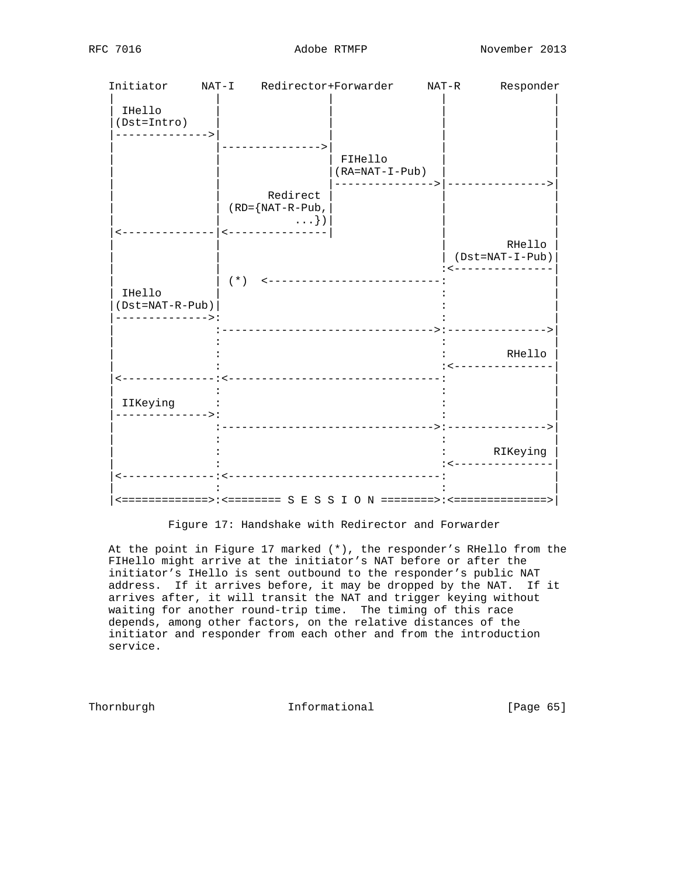|  | RFC | 7016 |
|--|-----|------|
|--|-----|------|

| Initiator                                     | NAT-I Redirector+Forwarder                                          |                                                    | NAT-R | Responder                                            |
|-----------------------------------------------|---------------------------------------------------------------------|----------------------------------------------------|-------|------------------------------------------------------|
| IHello<br>$(Dst = Intro)$<br>-------------->  |                                                                     |                                                    |       |                                                      |
|                                               |                                                                     | FIHello<br>$(RA=NAT-I-Pub)$<br>---------------> -- |       |                                                      |
|                                               | Redirect<br>$(RD = \{NAT - R - Pub,$<br>$\ldots\}$ )                |                                                    |       |                                                      |
|                                               |                                                                     |                                                    |       | RHello<br>$(Dst=NAT-I-Pub)$<br>: <-------------      |
| IHello<br>(Dst=NAT-R-Pub)<br>-------------->: | $(*)$ <---------------------------                                  |                                                    |       |                                                      |
|                                               |                                                                     |                                                    |       | RHello<br>: <----------------                        |
| IIKeying<br>---------->                       |                                                                     |                                                    |       |                                                      |
|                                               |                                                                     |                                                    |       | RIKeying<br>$\leftarrow$ - - - - - - - - - - - - - - |
|                                               | <============>:<========= S E S S I O N ========>:<================ | ______________________________                     |       |                                                      |

Figure 17: Handshake with Redirector and Forwarder

 At the point in Figure 17 marked (\*), the responder's RHello from the FIHello might arrive at the initiator's NAT before or after the initiator's IHello is sent outbound to the responder's public NAT address. If it arrives before, it may be dropped by the NAT. If it arrives after, it will transit the NAT and trigger keying without waiting for another round-trip time. The timing of this race depends, among other factors, on the relative distances of the initiator and responder from each other and from the introduction service.

Thornburgh **Informational** [Page 65]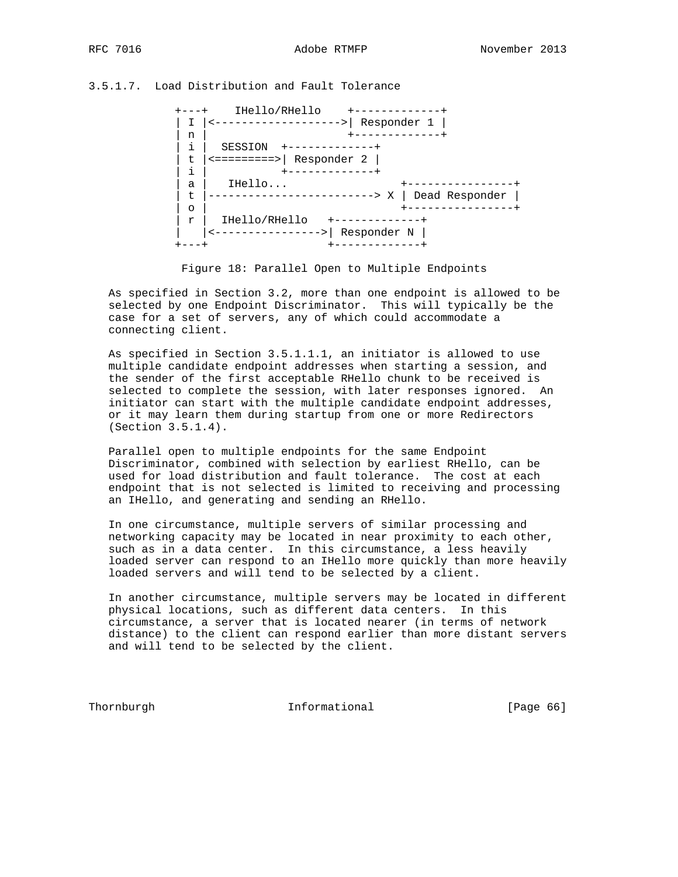# 3.5.1.7. Load Distribution and Fault Tolerance

 +---+ IHello/RHello +-------------+ | I |<------------------->| Responder 1 | | n | +-------------+ | i | SESSION +-------------+  $| t |$  ==========>| Responder 2 | | i | +-------------+ | a | IHello... +----------------+ | t |-------------------------> X | Dead Responder | | o | +----------------+ | r | IHello/RHello +-------------+ | |<---------------->| Responder N | +---+ +-------------+

Figure 18: Parallel Open to Multiple Endpoints

 As specified in Section 3.2, more than one endpoint is allowed to be selected by one Endpoint Discriminator. This will typically be the case for a set of servers, any of which could accommodate a connecting client.

 As specified in Section 3.5.1.1.1, an initiator is allowed to use multiple candidate endpoint addresses when starting a session, and the sender of the first acceptable RHello chunk to be received is selected to complete the session, with later responses ignored. An initiator can start with the multiple candidate endpoint addresses, or it may learn them during startup from one or more Redirectors (Section 3.5.1.4).

 Parallel open to multiple endpoints for the same Endpoint Discriminator, combined with selection by earliest RHello, can be used for load distribution and fault tolerance. The cost at each endpoint that is not selected is limited to receiving and processing an IHello, and generating and sending an RHello.

 In one circumstance, multiple servers of similar processing and networking capacity may be located in near proximity to each other, such as in a data center. In this circumstance, a less heavily loaded server can respond to an IHello more quickly than more heavily loaded servers and will tend to be selected by a client.

 In another circumstance, multiple servers may be located in different physical locations, such as different data centers. In this circumstance, a server that is located nearer (in terms of network distance) to the client can respond earlier than more distant servers and will tend to be selected by the client.

Thornburgh **Informational** [Page 66]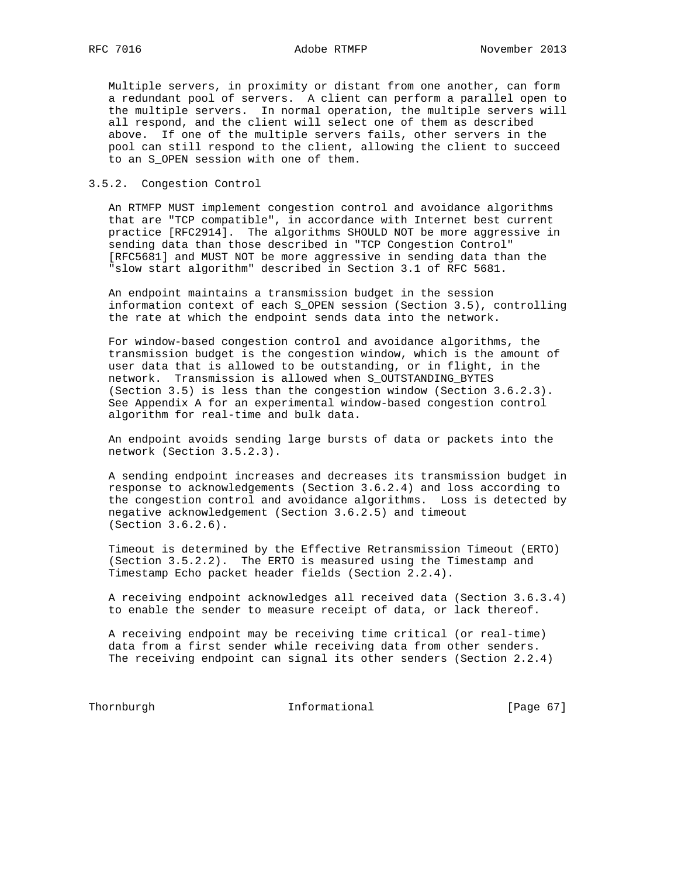Multiple servers, in proximity or distant from one another, can form a redundant pool of servers. A client can perform a parallel open to the multiple servers. In normal operation, the multiple servers will all respond, and the client will select one of them as described above. If one of the multiple servers fails, other servers in the pool can still respond to the client, allowing the client to succeed to an S\_OPEN session with one of them.

# 3.5.2. Congestion Control

 An RTMFP MUST implement congestion control and avoidance algorithms that are "TCP compatible", in accordance with Internet best current practice [RFC2914]. The algorithms SHOULD NOT be more aggressive in sending data than those described in "TCP Congestion Control" [RFC5681] and MUST NOT be more aggressive in sending data than the "slow start algorithm" described in Section 3.1 of RFC 5681.

 An endpoint maintains a transmission budget in the session information context of each S\_OPEN session (Section 3.5), controlling the rate at which the endpoint sends data into the network.

 For window-based congestion control and avoidance algorithms, the transmission budget is the congestion window, which is the amount of user data that is allowed to be outstanding, or in flight, in the network. Transmission is allowed when S\_OUTSTANDING\_BYTES (Section 3.5) is less than the congestion window (Section 3.6.2.3). See Appendix A for an experimental window-based congestion control algorithm for real-time and bulk data.

 An endpoint avoids sending large bursts of data or packets into the network (Section 3.5.2.3).

 A sending endpoint increases and decreases its transmission budget in response to acknowledgements (Section 3.6.2.4) and loss according to the congestion control and avoidance algorithms. Loss is detected by negative acknowledgement (Section 3.6.2.5) and timeout (Section 3.6.2.6).

 Timeout is determined by the Effective Retransmission Timeout (ERTO) (Section 3.5.2.2). The ERTO is measured using the Timestamp and Timestamp Echo packet header fields (Section 2.2.4).

 A receiving endpoint acknowledges all received data (Section 3.6.3.4) to enable the sender to measure receipt of data, or lack thereof.

 A receiving endpoint may be receiving time critical (or real-time) data from a first sender while receiving data from other senders. The receiving endpoint can signal its other senders (Section 2.2.4)

Thornburgh 1nformational [Page 67]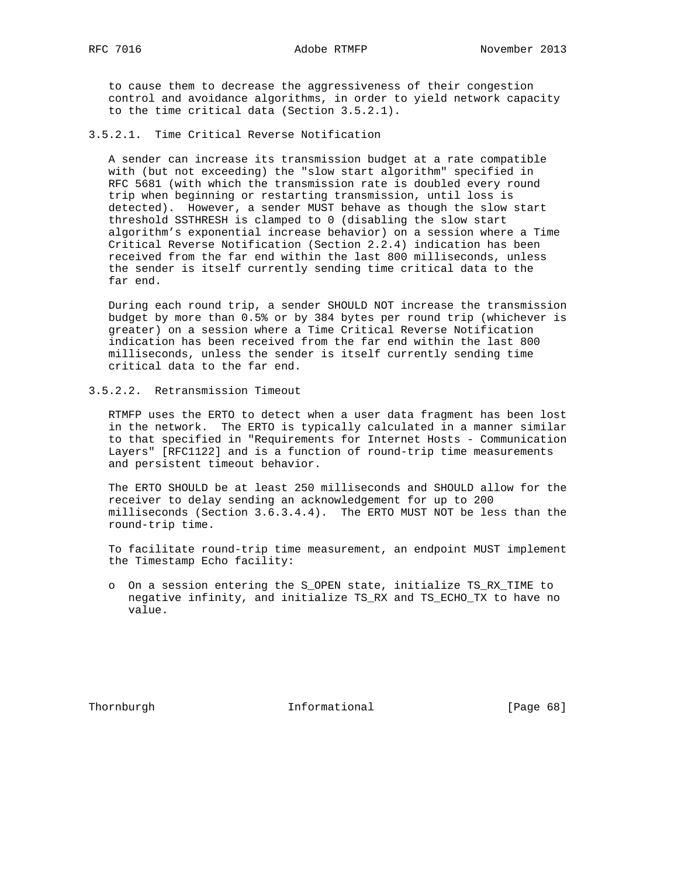to cause them to decrease the aggressiveness of their congestion control and avoidance algorithms, in order to yield network capacity to the time critical data (Section 3.5.2.1).

3.5.2.1. Time Critical Reverse Notification

 A sender can increase its transmission budget at a rate compatible with (but not exceeding) the "slow start algorithm" specified in RFC 5681 (with which the transmission rate is doubled every round trip when beginning or restarting transmission, until loss is detected). However, a sender MUST behave as though the slow start threshold SSTHRESH is clamped to 0 (disabling the slow start algorithm's exponential increase behavior) on a session where a Time Critical Reverse Notification (Section 2.2.4) indication has been received from the far end within the last 800 milliseconds, unless the sender is itself currently sending time critical data to the far end.

 During each round trip, a sender SHOULD NOT increase the transmission budget by more than 0.5% or by 384 bytes per round trip (whichever is greater) on a session where a Time Critical Reverse Notification indication has been received from the far end within the last 800 milliseconds, unless the sender is itself currently sending time critical data to the far end.

3.5.2.2. Retransmission Timeout

 RTMFP uses the ERTO to detect when a user data fragment has been lost in the network. The ERTO is typically calculated in a manner similar to that specified in "Requirements for Internet Hosts - Communication Layers" [RFC1122] and is a function of round-trip time measurements and persistent timeout behavior.

 The ERTO SHOULD be at least 250 milliseconds and SHOULD allow for the receiver to delay sending an acknowledgement for up to 200 milliseconds (Section 3.6.3.4.4). The ERTO MUST NOT be less than the round-trip time.

 To facilitate round-trip time measurement, an endpoint MUST implement the Timestamp Echo facility:

 o On a session entering the S\_OPEN state, initialize TS\_RX\_TIME to negative infinity, and initialize TS\_RX and TS\_ECHO\_TX to have no value.

Thornburgh 1nformational [Page 68]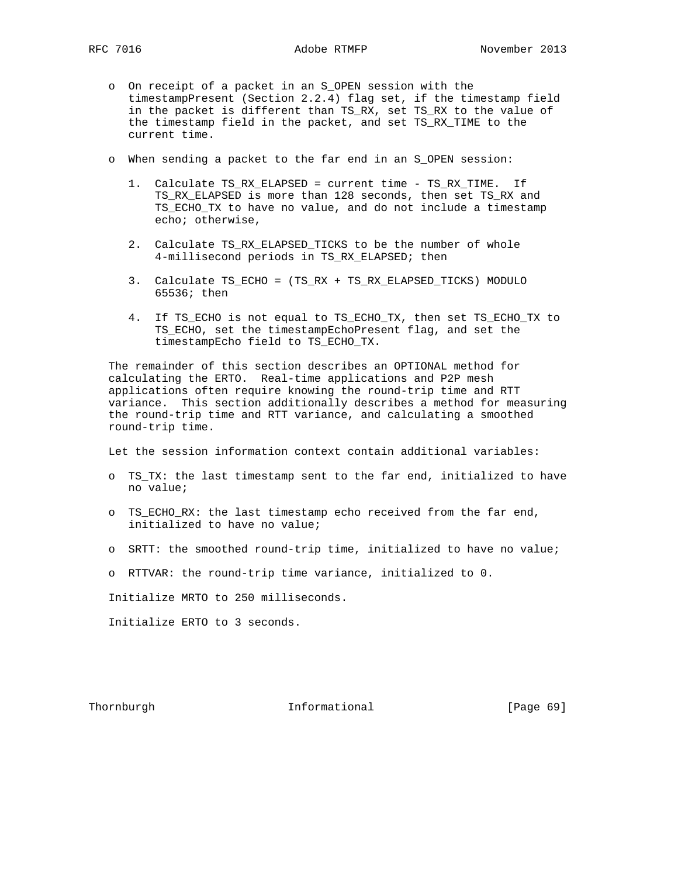- - o On receipt of a packet in an S\_OPEN session with the timestampPresent (Section 2.2.4) flag set, if the timestamp field in the packet is different than TS\_RX, set TS\_RX to the value of the timestamp field in the packet, and set TS\_RX\_TIME to the current time.
	- o When sending a packet to the far end in an S\_OPEN session:
		- 1. Calculate TS\_RX\_ELAPSED = current time TS\_RX\_TIME. If TS\_RX\_ELAPSED is more than 128 seconds, then set TS\_RX and TS\_ECHO\_TX to have no value, and do not include a timestamp echo; otherwise,
		- 2. Calculate TS\_RX\_ELAPSED\_TICKS to be the number of whole 4-millisecond periods in TS\_RX\_ELAPSED; then
		- 3. Calculate TS\_ECHO = (TS\_RX + TS\_RX\_ELAPSED\_TICKS) MODULO 65536; then
		- 4. If TS\_ECHO is not equal to TS\_ECHO\_TX, then set TS\_ECHO\_TX to TS\_ECHO, set the timestampEchoPresent flag, and set the timestampEcho field to TS\_ECHO\_TX.

 The remainder of this section describes an OPTIONAL method for calculating the ERTO. Real-time applications and P2P mesh applications often require knowing the round-trip time and RTT variance. This section additionally describes a method for measuring the round-trip time and RTT variance, and calculating a smoothed round-trip time.

Let the session information context contain additional variables:

- o TS\_TX: the last timestamp sent to the far end, initialized to have no value;
- o TS\_ECHO\_RX: the last timestamp echo received from the far end, initialized to have no value;
- o SRTT: the smoothed round-trip time, initialized to have no value;
- o RTTVAR: the round-trip time variance, initialized to 0.

Initialize MRTO to 250 milliseconds.

Initialize ERTO to 3 seconds.

Thornburgh 1nformational [Page 69]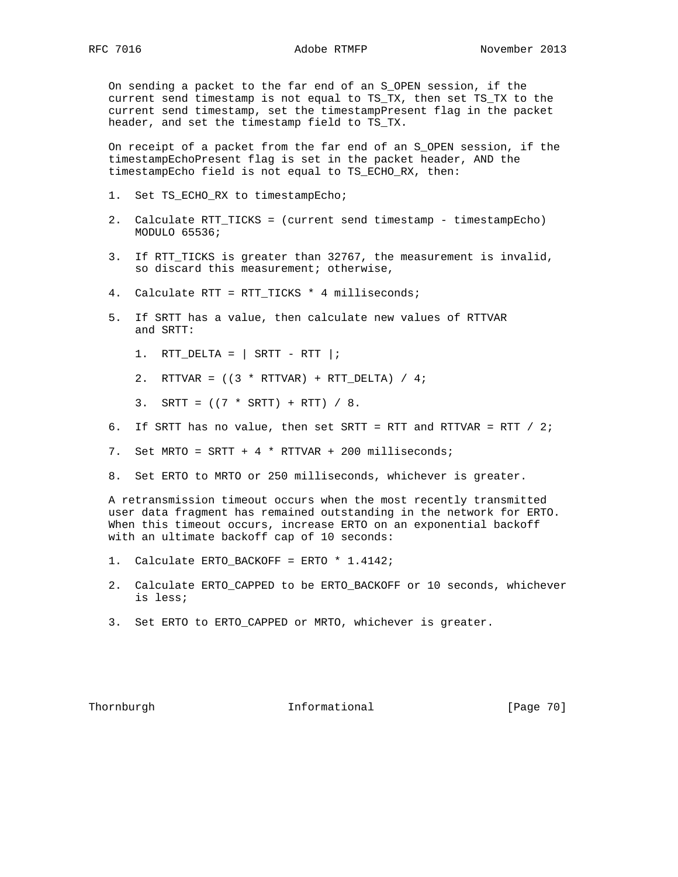RFC 7016 Adobe RTMFP November 2013

 On sending a packet to the far end of an S\_OPEN session, if the current send timestamp is not equal to TS\_TX, then set TS\_TX to the current send timestamp, set the timestampPresent flag in the packet header, and set the timestamp field to TS\_TX.

 On receipt of a packet from the far end of an S\_OPEN session, if the timestampEchoPresent flag is set in the packet header, AND the timestampEcho field is not equal to TS\_ECHO\_RX, then:

- 1. Set TS\_ECHO\_RX to timestampEcho;
- 2. Calculate RTT\_TICKS = (current send timestamp timestampEcho) MODULO 65536;
- 3. If RTT\_TICKS is greater than 32767, the measurement is invalid, so discard this measurement; otherwise,
- 4. Calculate RTT = RTT\_TICKS \* 4 milliseconds;
- 5. If SRTT has a value, then calculate new values of RTTVAR and SRTT:
	- 1. RTT\_DELTA =  $|$  SRTT RTT  $|$ ;
	- 2. RTTVAR =  $((3 * RTTVAR) + RTT_DELTA) / 4;$
	- 3. SRTT =  $((7 * SRTT) + RTT) / 8$ .
- 6. If SRTT has no value, then set SRTT = RTT and RTTVAR = RTT / 2;
- 7. Set MRTO = SRTT + 4 \* RTTVAR + 200 milliseconds;
- 8. Set ERTO to MRTO or 250 milliseconds, whichever is greater.

 A retransmission timeout occurs when the most recently transmitted user data fragment has remained outstanding in the network for ERTO. When this timeout occurs, increase ERTO on an exponential backoff with an ultimate backoff cap of 10 seconds:

- 1. Calculate ERTO BACKOFF = ERTO \* 1.4142;
- 2. Calculate ERTO\_CAPPED to be ERTO\_BACKOFF or 10 seconds, whichever is less;
- 3. Set ERTO to ERTO\_CAPPED or MRTO, whichever is greater.

Thornburgh **Informational** [Page 70]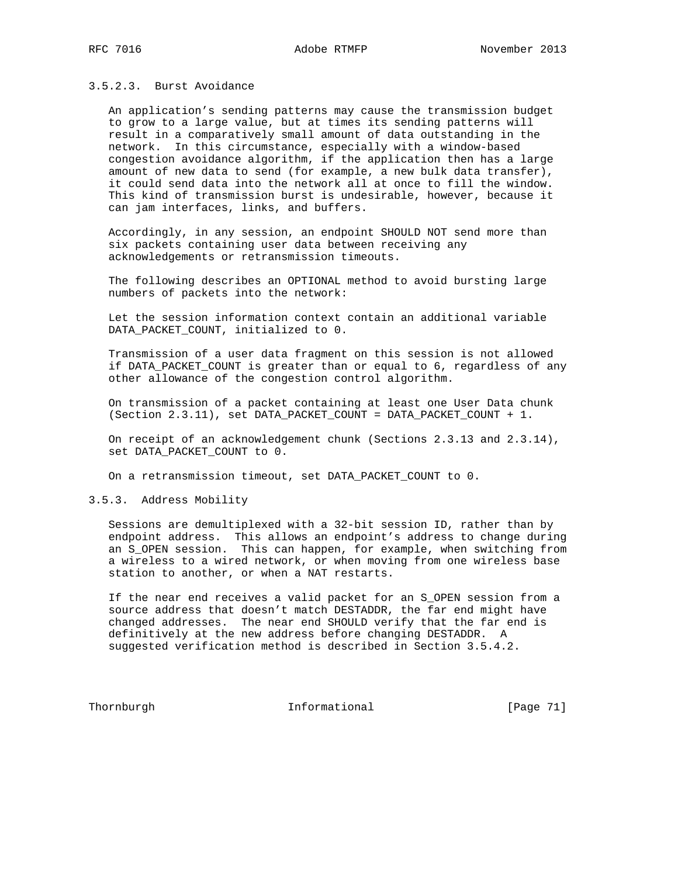# 3.5.2.3. Burst Avoidance

 An application's sending patterns may cause the transmission budget to grow to a large value, but at times its sending patterns will result in a comparatively small amount of data outstanding in the network. In this circumstance, especially with a window-based congestion avoidance algorithm, if the application then has a large amount of new data to send (for example, a new bulk data transfer), it could send data into the network all at once to fill the window. This kind of transmission burst is undesirable, however, because it can jam interfaces, links, and buffers.

 Accordingly, in any session, an endpoint SHOULD NOT send more than six packets containing user data between receiving any acknowledgements or retransmission timeouts.

 The following describes an OPTIONAL method to avoid bursting large numbers of packets into the network:

 Let the session information context contain an additional variable DATA\_PACKET\_COUNT, initialized to 0.

 Transmission of a user data fragment on this session is not allowed if DATA\_PACKET\_COUNT is greater than or equal to 6, regardless of any other allowance of the congestion control algorithm.

 On transmission of a packet containing at least one User Data chunk (Section 2.3.11), set DATA\_PACKET\_COUNT = DATA\_PACKET\_COUNT + 1.

 On receipt of an acknowledgement chunk (Sections 2.3.13 and 2.3.14), set DATA\_PACKET\_COUNT to 0.

On a retransmission timeout, set DATA\_PACKET\_COUNT to 0.

# 3.5.3. Address Mobility

 Sessions are demultiplexed with a 32-bit session ID, rather than by endpoint address. This allows an endpoint's address to change during an S\_OPEN session. This can happen, for example, when switching from a wireless to a wired network, or when moving from one wireless base station to another, or when a NAT restarts.

 If the near end receives a valid packet for an S\_OPEN session from a source address that doesn't match DESTADDR, the far end might have changed addresses. The near end SHOULD verify that the far end is definitively at the new address before changing DESTADDR. A suggested verification method is described in Section 3.5.4.2.

Thornburgh 1nformational [Page 71]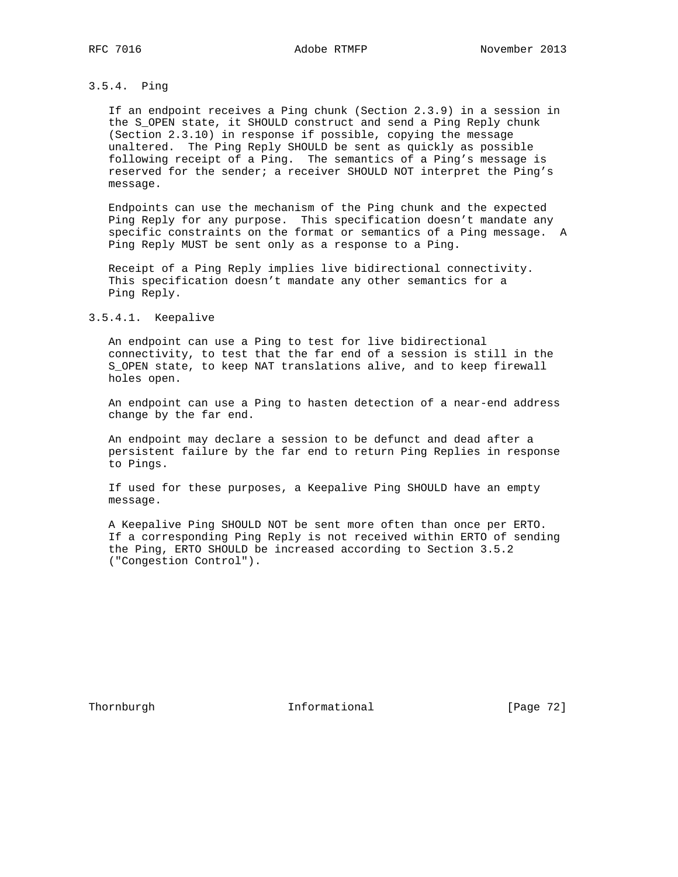# 3.5.4. Ping

 If an endpoint receives a Ping chunk (Section 2.3.9) in a session in the S\_OPEN state, it SHOULD construct and send a Ping Reply chunk (Section 2.3.10) in response if possible, copying the message unaltered. The Ping Reply SHOULD be sent as quickly as possible following receipt of a Ping. The semantics of a Ping's message is reserved for the sender; a receiver SHOULD NOT interpret the Ping's message.

 Endpoints can use the mechanism of the Ping chunk and the expected Ping Reply for any purpose. This specification doesn't mandate any specific constraints on the format or semantics of a Ping message. A Ping Reply MUST be sent only as a response to a Ping.

 Receipt of a Ping Reply implies live bidirectional connectivity. This specification doesn't mandate any other semantics for a Ping Reply.

### 3.5.4.1. Keepalive

 An endpoint can use a Ping to test for live bidirectional connectivity, to test that the far end of a session is still in the S\_OPEN state, to keep NAT translations alive, and to keep firewall holes open.

 An endpoint can use a Ping to hasten detection of a near-end address change by the far end.

 An endpoint may declare a session to be defunct and dead after a persistent failure by the far end to return Ping Replies in response to Pings.

 If used for these purposes, a Keepalive Ping SHOULD have an empty message.

 A Keepalive Ping SHOULD NOT be sent more often than once per ERTO. If a corresponding Ping Reply is not received within ERTO of sending the Ping, ERTO SHOULD be increased according to Section 3.5.2 ("Congestion Control").

Thornburgh 1nformational [Page 72]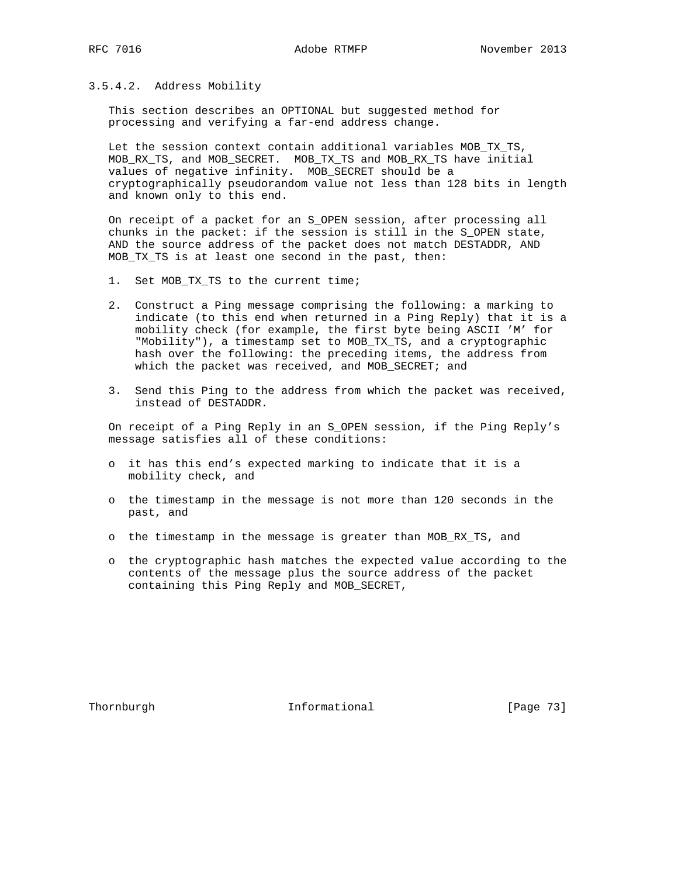## 3.5.4.2. Address Mobility

 This section describes an OPTIONAL but suggested method for processing and verifying a far-end address change.

 Let the session context contain additional variables MOB\_TX\_TS, MOB\_RX\_TS, and MOB\_SECRET. MOB\_TX\_TS and MOB\_RX\_TS have initial values of negative infinity. MOB\_SECRET should be a cryptographically pseudorandom value not less than 128 bits in length and known only to this end.

 On receipt of a packet for an S\_OPEN session, after processing all chunks in the packet: if the session is still in the S\_OPEN state, AND the source address of the packet does not match DESTADDR, AND MOB\_TX\_TS is at least one second in the past, then:

- 1. Set MOB\_TX\_TS to the current time;
- 2. Construct a Ping message comprising the following: a marking to indicate (to this end when returned in a Ping Reply) that it is a mobility check (for example, the first byte being ASCII 'M' for "Mobility"), a timestamp set to MOB\_TX\_TS, and a cryptographic hash over the following: the preceding items, the address from which the packet was received, and MOB\_SECRET; and
- 3. Send this Ping to the address from which the packet was received, instead of DESTADDR.

 On receipt of a Ping Reply in an S\_OPEN session, if the Ping Reply's message satisfies all of these conditions:

- o it has this end's expected marking to indicate that it is a mobility check, and
- o the timestamp in the message is not more than 120 seconds in the past, and
- o the timestamp in the message is greater than MOB\_RX\_TS, and
- o the cryptographic hash matches the expected value according to the contents of the message plus the source address of the packet containing this Ping Reply and MOB\_SECRET,

Thornburgh 1nformational [Page 73]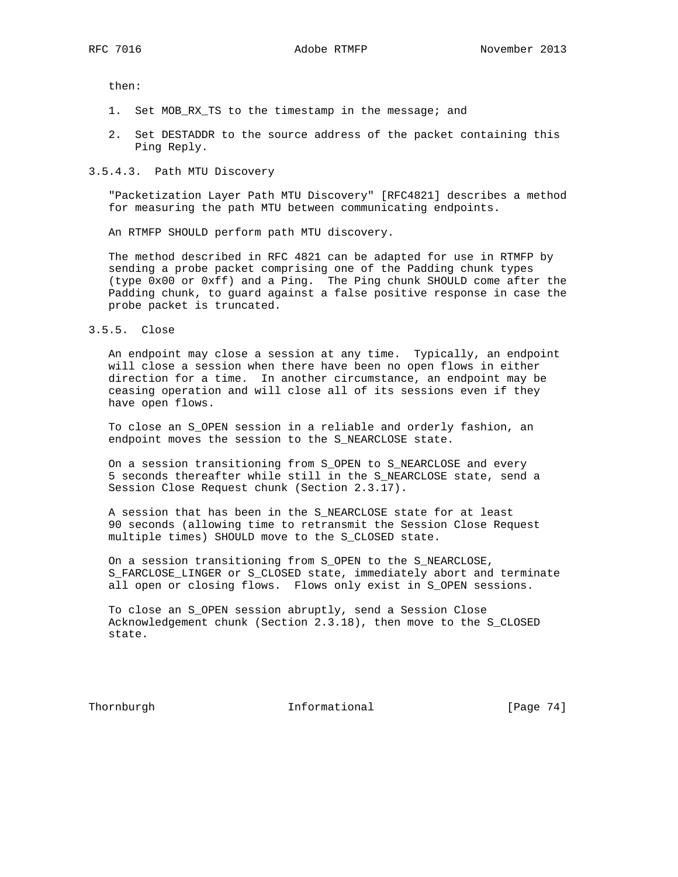then:

- 1. Set MOB\_RX\_TS to the timestamp in the message; and
- 2. Set DESTADDR to the source address of the packet containing this Ping Reply.

#### 3.5.4.3. Path MTU Discovery

 "Packetization Layer Path MTU Discovery" [RFC4821] describes a method for measuring the path MTU between communicating endpoints.

An RTMFP SHOULD perform path MTU discovery.

 The method described in RFC 4821 can be adapted for use in RTMFP by sending a probe packet comprising one of the Padding chunk types (type 0x00 or 0xff) and a Ping. The Ping chunk SHOULD come after the Padding chunk, to guard against a false positive response in case the probe packet is truncated.

3.5.5. Close

 An endpoint may close a session at any time. Typically, an endpoint will close a session when there have been no open flows in either direction for a time. In another circumstance, an endpoint may be ceasing operation and will close all of its sessions even if they have open flows.

 To close an S\_OPEN session in a reliable and orderly fashion, an endpoint moves the session to the S\_NEARCLOSE state.

 On a session transitioning from S\_OPEN to S\_NEARCLOSE and every 5 seconds thereafter while still in the S\_NEARCLOSE state, send a Session Close Request chunk (Section 2.3.17).

 A session that has been in the S\_NEARCLOSE state for at least 90 seconds (allowing time to retransmit the Session Close Request multiple times) SHOULD move to the S\_CLOSED state.

 On a session transitioning from S\_OPEN to the S\_NEARCLOSE, S\_FARCLOSE\_LINGER or S\_CLOSED state, immediately abort and terminate all open or closing flows. Flows only exist in S\_OPEN sessions.

 To close an S\_OPEN session abruptly, send a Session Close Acknowledgement chunk (Section 2.3.18), then move to the S\_CLOSED state.

Thornburgh **Informational** [Page 74]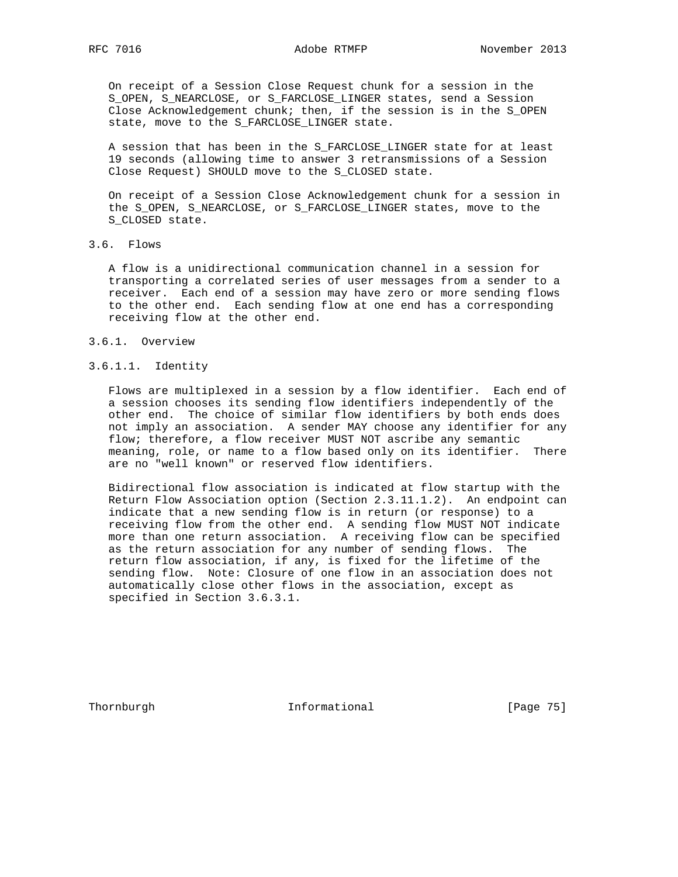On receipt of a Session Close Request chunk for a session in the S\_OPEN, S\_NEARCLOSE, or S\_FARCLOSE\_LINGER states, send a Session Close Acknowledgement chunk; then, if the session is in the S\_OPEN state, move to the S\_FARCLOSE\_LINGER state.

 A session that has been in the S\_FARCLOSE\_LINGER state for at least 19 seconds (allowing time to answer 3 retransmissions of a Session Close Request) SHOULD move to the S\_CLOSED state.

 On receipt of a Session Close Acknowledgement chunk for a session in the S\_OPEN, S\_NEARCLOSE, or S\_FARCLOSE\_LINGER states, move to the S\_CLOSED state.

## 3.6. Flows

 A flow is a unidirectional communication channel in a session for transporting a correlated series of user messages from a sender to a receiver. Each end of a session may have zero or more sending flows to the other end. Each sending flow at one end has a corresponding receiving flow at the other end.

#### 3.6.1. Overview

## 3.6.1.1. Identity

 Flows are multiplexed in a session by a flow identifier. Each end of a session chooses its sending flow identifiers independently of the other end. The choice of similar flow identifiers by both ends does not imply an association. A sender MAY choose any identifier for any flow; therefore, a flow receiver MUST NOT ascribe any semantic meaning, role, or name to a flow based only on its identifier. There are no "well known" or reserved flow identifiers.

 Bidirectional flow association is indicated at flow startup with the Return Flow Association option (Section 2.3.11.1.2). An endpoint can indicate that a new sending flow is in return (or response) to a receiving flow from the other end. A sending flow MUST NOT indicate more than one return association. A receiving flow can be specified as the return association for any number of sending flows. The return flow association, if any, is fixed for the lifetime of the sending flow. Note: Closure of one flow in an association does not automatically close other flows in the association, except as specified in Section 3.6.3.1.

Thornburgh 1nformational [Page 75]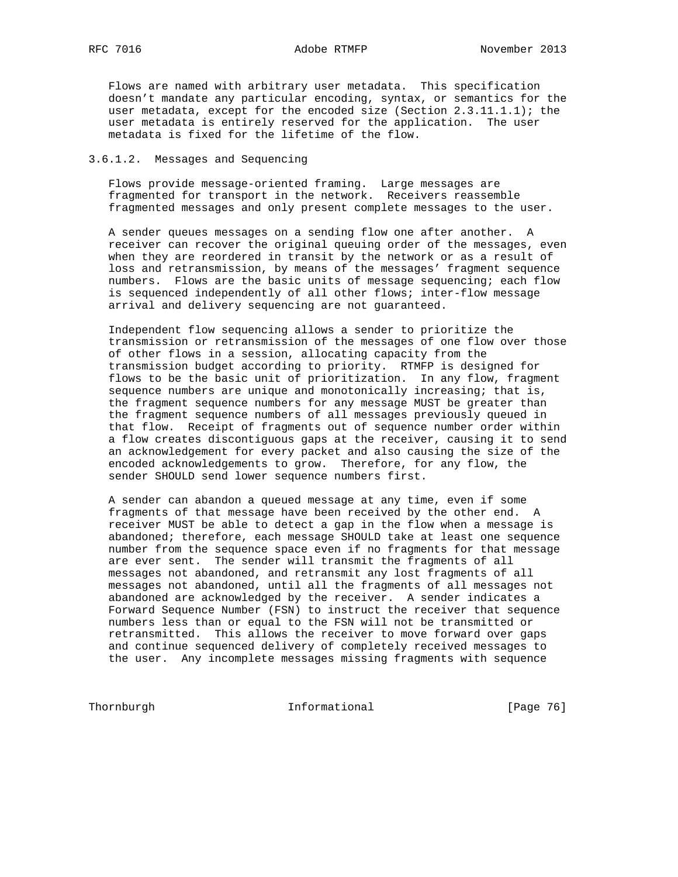Flows are named with arbitrary user metadata. This specification doesn't mandate any particular encoding, syntax, or semantics for the user metadata, except for the encoded size (Section 2.3.11.1.1); the user metadata is entirely reserved for the application. The user metadata is fixed for the lifetime of the flow.

### 3.6.1.2. Messages and Sequencing

 Flows provide message-oriented framing. Large messages are fragmented for transport in the network. Receivers reassemble fragmented messages and only present complete messages to the user.

 A sender queues messages on a sending flow one after another. A receiver can recover the original queuing order of the messages, even when they are reordered in transit by the network or as a result of loss and retransmission, by means of the messages' fragment sequence numbers. Flows are the basic units of message sequencing; each flow is sequenced independently of all other flows; inter-flow message arrival and delivery sequencing are not guaranteed.

 Independent flow sequencing allows a sender to prioritize the transmission or retransmission of the messages of one flow over those of other flows in a session, allocating capacity from the transmission budget according to priority. RTMFP is designed for flows to be the basic unit of prioritization. In any flow, fragment sequence numbers are unique and monotonically increasing; that is, the fragment sequence numbers for any message MUST be greater than the fragment sequence numbers of all messages previously queued in that flow. Receipt of fragments out of sequence number order within a flow creates discontiguous gaps at the receiver, causing it to send an acknowledgement for every packet and also causing the size of the encoded acknowledgements to grow. Therefore, for any flow, the sender SHOULD send lower sequence numbers first.

 A sender can abandon a queued message at any time, even if some fragments of that message have been received by the other end. A receiver MUST be able to detect a gap in the flow when a message is abandoned; therefore, each message SHOULD take at least one sequence number from the sequence space even if no fragments for that message are ever sent. The sender will transmit the fragments of all messages not abandoned, and retransmit any lost fragments of all messages not abandoned, until all the fragments of all messages not abandoned are acknowledged by the receiver. A sender indicates a Forward Sequence Number (FSN) to instruct the receiver that sequence numbers less than or equal to the FSN will not be transmitted or retransmitted. This allows the receiver to move forward over gaps and continue sequenced delivery of completely received messages to the user. Any incomplete messages missing fragments with sequence

Thornburgh 1nformational [Page 76]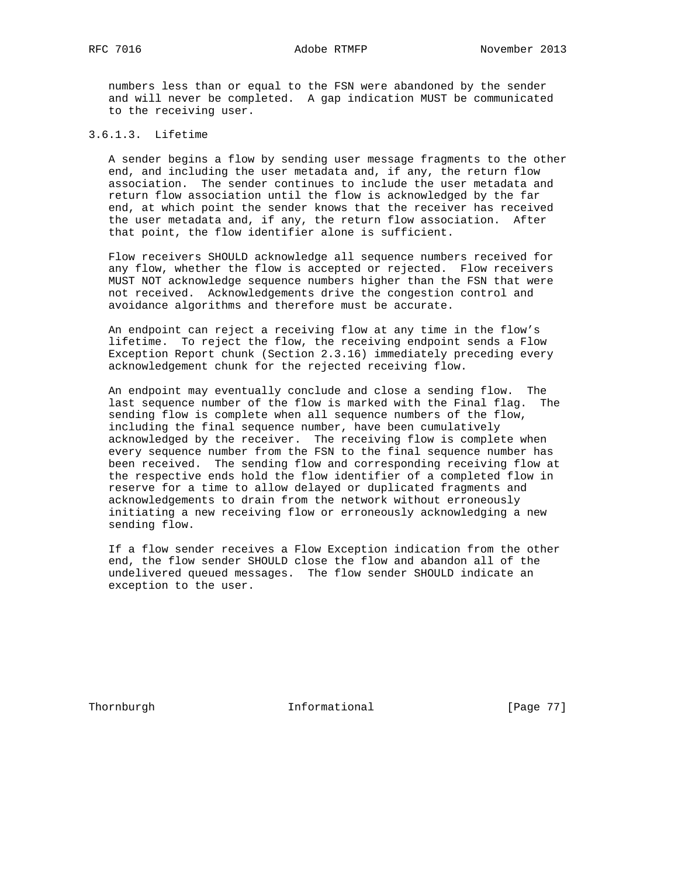RFC 7016 Adobe RTMFP November 2013

 numbers less than or equal to the FSN were abandoned by the sender and will never be completed. A gap indication MUST be communicated to the receiving user.

# 3.6.1.3. Lifetime

 A sender begins a flow by sending user message fragments to the other end, and including the user metadata and, if any, the return flow association. The sender continues to include the user metadata and return flow association until the flow is acknowledged by the far end, at which point the sender knows that the receiver has received the user metadata and, if any, the return flow association. After that point, the flow identifier alone is sufficient.

 Flow receivers SHOULD acknowledge all sequence numbers received for any flow, whether the flow is accepted or rejected. Flow receivers MUST NOT acknowledge sequence numbers higher than the FSN that were not received. Acknowledgements drive the congestion control and avoidance algorithms and therefore must be accurate.

 An endpoint can reject a receiving flow at any time in the flow's lifetime. To reject the flow, the receiving endpoint sends a Flow Exception Report chunk (Section 2.3.16) immediately preceding every acknowledgement chunk for the rejected receiving flow.

 An endpoint may eventually conclude and close a sending flow. The last sequence number of the flow is marked with the Final flag. The sending flow is complete when all sequence numbers of the flow, including the final sequence number, have been cumulatively acknowledged by the receiver. The receiving flow is complete when every sequence number from the FSN to the final sequence number has been received. The sending flow and corresponding receiving flow at the respective ends hold the flow identifier of a completed flow in reserve for a time to allow delayed or duplicated fragments and acknowledgements to drain from the network without erroneously initiating a new receiving flow or erroneously acknowledging a new sending flow.

 If a flow sender receives a Flow Exception indication from the other end, the flow sender SHOULD close the flow and abandon all of the undelivered queued messages. The flow sender SHOULD indicate an exception to the user.

Thornburgh 1nformational [Page 77]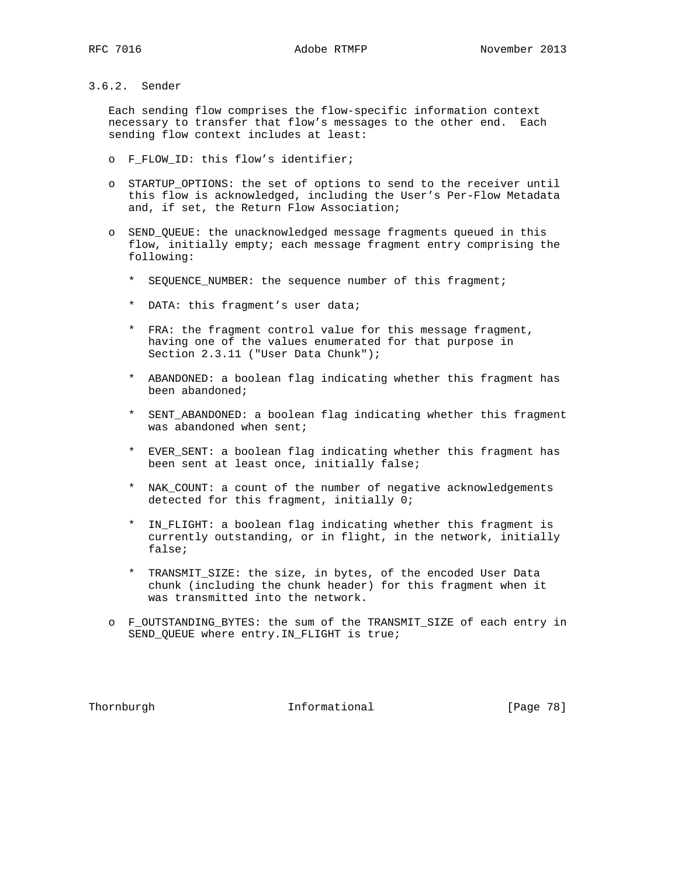## 3.6.2. Sender

 Each sending flow comprises the flow-specific information context necessary to transfer that flow's messages to the other end. Each sending flow context includes at least:

- o F\_FLOW\_ID: this flow's identifier;
- o STARTUP\_OPTIONS: the set of options to send to the receiver until this flow is acknowledged, including the User's Per-Flow Metadata and, if set, the Return Flow Association;
- o SEND\_QUEUE: the unacknowledged message fragments queued in this flow, initially empty; each message fragment entry comprising the following:
	- \* SEQUENCE\_NUMBER: the sequence number of this fragment;
	- \* DATA: this fragment's user data;
	- \* FRA: the fragment control value for this message fragment, having one of the values enumerated for that purpose in Section 2.3.11 ("User Data Chunk");
	- \* ABANDONED: a boolean flag indicating whether this fragment has been abandoned;
	- \* SENT\_ABANDONED: a boolean flag indicating whether this fragment was abandoned when sent;
	- \* EVER\_SENT: a boolean flag indicating whether this fragment has been sent at least once, initially false;
	- \* NAK\_COUNT: a count of the number of negative acknowledgements detected for this fragment, initially 0;
	- \* IN\_FLIGHT: a boolean flag indicating whether this fragment is currently outstanding, or in flight, in the network, initially false;
	- \* TRANSMIT\_SIZE: the size, in bytes, of the encoded User Data chunk (including the chunk header) for this fragment when it was transmitted into the network.
- o F\_OUTSTANDING\_BYTES: the sum of the TRANSMIT\_SIZE of each entry in SEND\_QUEUE where entry.IN\_FLIGHT is true;

Thornburgh 1nformational [Page 78]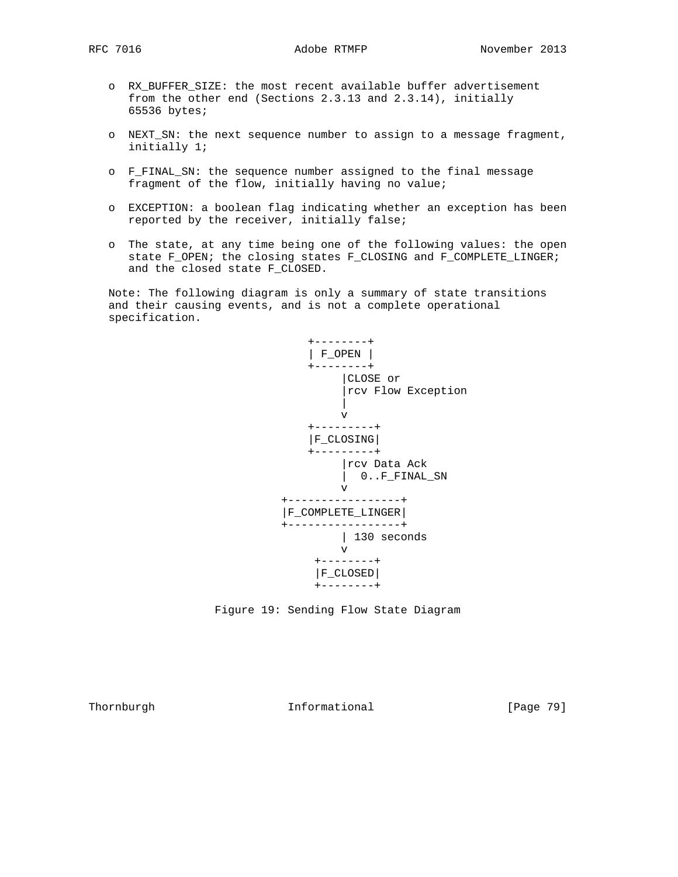- o RX\_BUFFER\_SIZE: the most recent available buffer advertisement from the other end (Sections 2.3.13 and 2.3.14), initially 65536 bytes;
- o NEXT\_SN: the next sequence number to assign to a message fragment, initially 1;
- o F\_FINAL\_SN: the sequence number assigned to the final message fragment of the flow, initially having no value;
- o EXCEPTION: a boolean flag indicating whether an exception has been reported by the receiver, initially false;
- o The state, at any time being one of the following values: the open state F\_OPEN; the closing states F\_CLOSING and F\_COMPLETE\_LINGER; and the closed state F\_CLOSED.

 Note: The following diagram is only a summary of state transitions and their causing events, and is not a complete operational specification.





Thornburgh 1nformational [Page 79]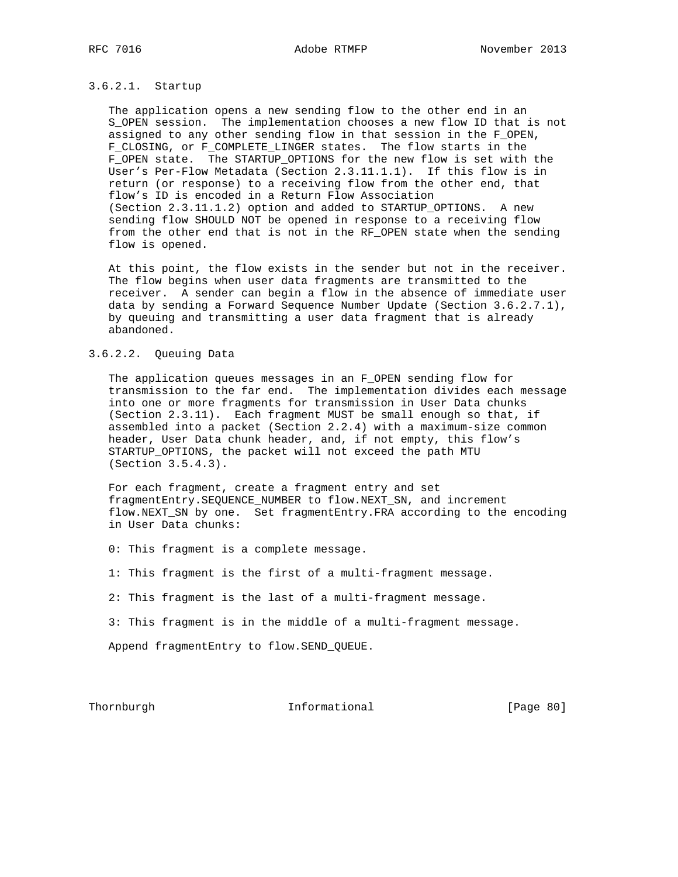#### 3.6.2.1. Startup

 The application opens a new sending flow to the other end in an S\_OPEN session. The implementation chooses a new flow ID that is not assigned to any other sending flow in that session in the F\_OPEN, F\_CLOSING, or F\_COMPLETE\_LINGER states. The flow starts in the F\_OPEN state. The STARTUP\_OPTIONS for the new flow is set with the User's Per-Flow Metadata (Section 2.3.11.1.1). If this flow is in return (or response) to a receiving flow from the other end, that flow's ID is encoded in a Return Flow Association (Section 2.3.11.1.2) option and added to STARTUP\_OPTIONS. A new sending flow SHOULD NOT be opened in response to a receiving flow from the other end that is not in the RF\_OPEN state when the sending flow is opened.

 At this point, the flow exists in the sender but not in the receiver. The flow begins when user data fragments are transmitted to the receiver. A sender can begin a flow in the absence of immediate user data by sending a Forward Sequence Number Update (Section 3.6.2.7.1), by queuing and transmitting a user data fragment that is already abandoned.

# 3.6.2.2. Queuing Data

 The application queues messages in an F\_OPEN sending flow for transmission to the far end. The implementation divides each message into one or more fragments for transmission in User Data chunks (Section 2.3.11). Each fragment MUST be small enough so that, if assembled into a packet (Section 2.2.4) with a maximum-size common header, User Data chunk header, and, if not empty, this flow's STARTUP\_OPTIONS, the packet will not exceed the path MTU (Section 3.5.4.3).

 For each fragment, create a fragment entry and set fragmentEntry.SEQUENCE\_NUMBER to flow.NEXT\_SN, and increment flow.NEXT\_SN by one. Set fragmentEntry.FRA according to the encoding in User Data chunks:

0: This fragment is a complete message.

1: This fragment is the first of a multi-fragment message.

2: This fragment is the last of a multi-fragment message.

3: This fragment is in the middle of a multi-fragment message.

Append fragmentEntry to flow.SEND\_QUEUE.

Thornburgh 1nformational [Page 80]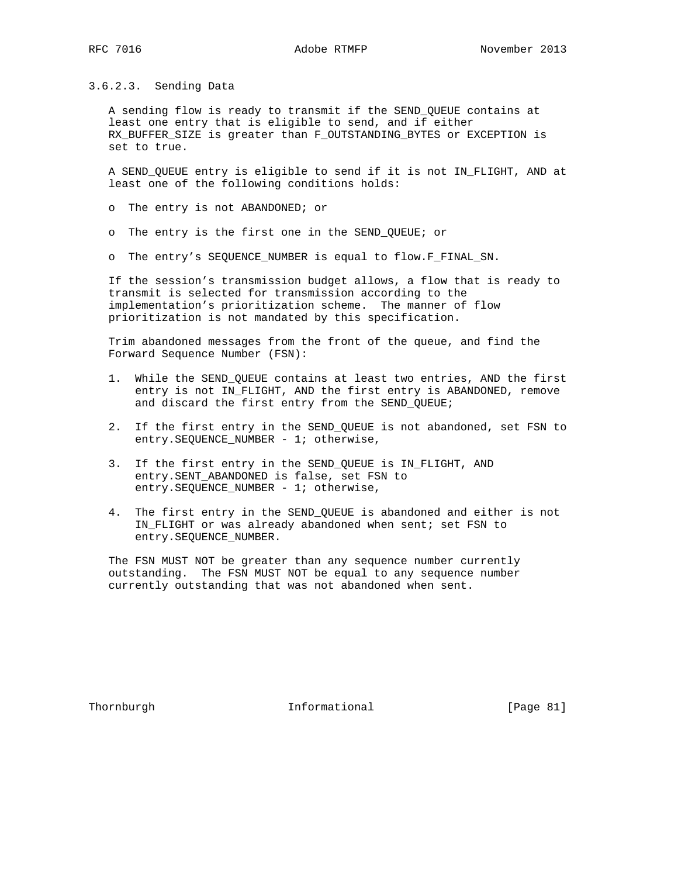3.6.2.3. Sending Data

 A sending flow is ready to transmit if the SEND\_QUEUE contains at least one entry that is eligible to send, and if either RX\_BUFFER\_SIZE is greater than F\_OUTSTANDING\_BYTES or EXCEPTION is set to true.

 A SEND\_QUEUE entry is eligible to send if it is not IN\_FLIGHT, AND at least one of the following conditions holds:

- o The entry is not ABANDONED; or
- o The entry is the first one in the SEND\_QUEUE; or
- o The entry's SEQUENCE\_NUMBER is equal to flow.F\_FINAL\_SN.

 If the session's transmission budget allows, a flow that is ready to transmit is selected for transmission according to the implementation's prioritization scheme. The manner of flow prioritization is not mandated by this specification.

 Trim abandoned messages from the front of the queue, and find the Forward Sequence Number (FSN):

- 1. While the SEND\_QUEUE contains at least two entries, AND the first entry is not IN\_FLIGHT, AND the first entry is ABANDONED, remove and discard the first entry from the SEND\_QUEUE;
- 2. If the first entry in the SEND\_QUEUE is not abandoned, set FSN to entry. SEQUENCE\_NUMBER - 1; otherwise,
- 3. If the first entry in the SEND\_QUEUE is IN\_FLIGHT, AND entry.SENT\_ABANDONED is false, set FSN to entry. SEQUENCE\_NUMBER - 1; otherwise,
- 4. The first entry in the SEND\_QUEUE is abandoned and either is not IN\_FLIGHT or was already abandoned when sent; set FSN to entry.SEQUENCE\_NUMBER.

 The FSN MUST NOT be greater than any sequence number currently outstanding. The FSN MUST NOT be equal to any sequence number currently outstanding that was not abandoned when sent.

Thornburgh 1nformational [Page 81]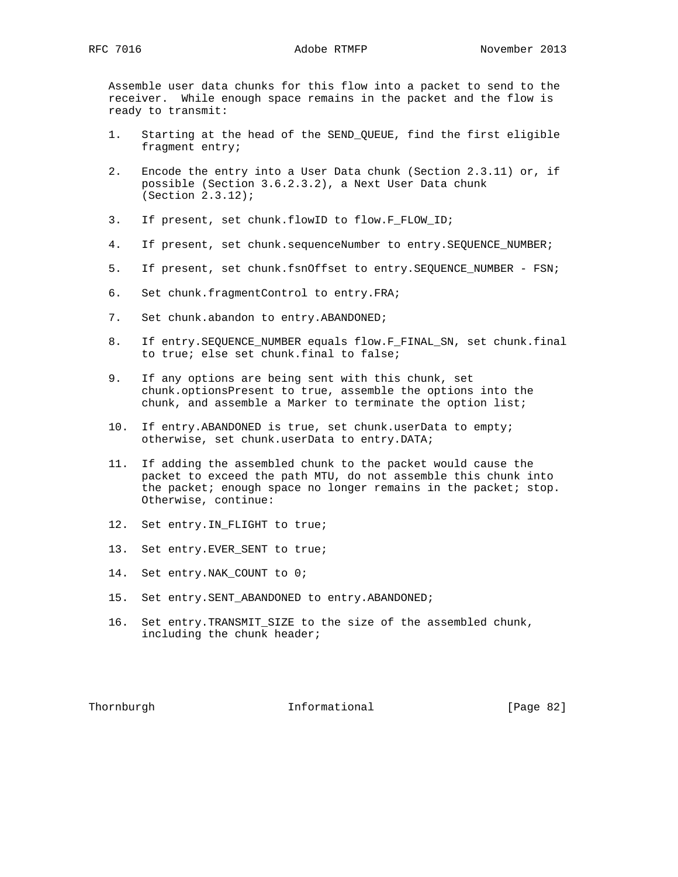Assemble user data chunks for this flow into a packet to send to the receiver. While enough space remains in the packet and the flow is ready to transmit:

- 1. Starting at the head of the SEND\_QUEUE, find the first eligible fragment entry;
- 2. Encode the entry into a User Data chunk (Section 2.3.11) or, if possible (Section 3.6.2.3.2), a Next User Data chunk (Section 2.3.12);
- 3. If present, set chunk.flowID to flow.F\_FLOW\_ID;
- 4. If present, set chunk.sequenceNumber to entry.SEQUENCE\_NUMBER;
- 5. If present, set chunk.fsnOffset to entry.SEQUENCE\_NUMBER FSN;
- 6. Set chunk.fragmentControl to entry.FRA;
- 7. Set chunk.abandon to entry.ABANDONED;
- 8. If entry.SEQUENCE\_NUMBER equals flow.F\_FINAL\_SN, set chunk.final to true; else set chunk.final to false;
- 9. If any options are being sent with this chunk, set chunk.optionsPresent to true, assemble the options into the chunk, and assemble a Marker to terminate the option list;
- 10. If entry.ABANDONED is true, set chunk.userData to empty; otherwise, set chunk.userData to entry.DATA;
- 11. If adding the assembled chunk to the packet would cause the packet to exceed the path MTU, do not assemble this chunk into the packet; enough space no longer remains in the packet; stop. Otherwise, continue:
- 12. Set entry.IN\_FLIGHT to true;
- 13. Set entry.EVER\_SENT to true;
- 14. Set entry.NAK\_COUNT to 0;
- 15. Set entry.SENT\_ABANDONED to entry.ABANDONED;
- 16. Set entry.TRANSMIT\_SIZE to the size of the assembled chunk, including the chunk header;

Thornburgh **Informational** [Page 82]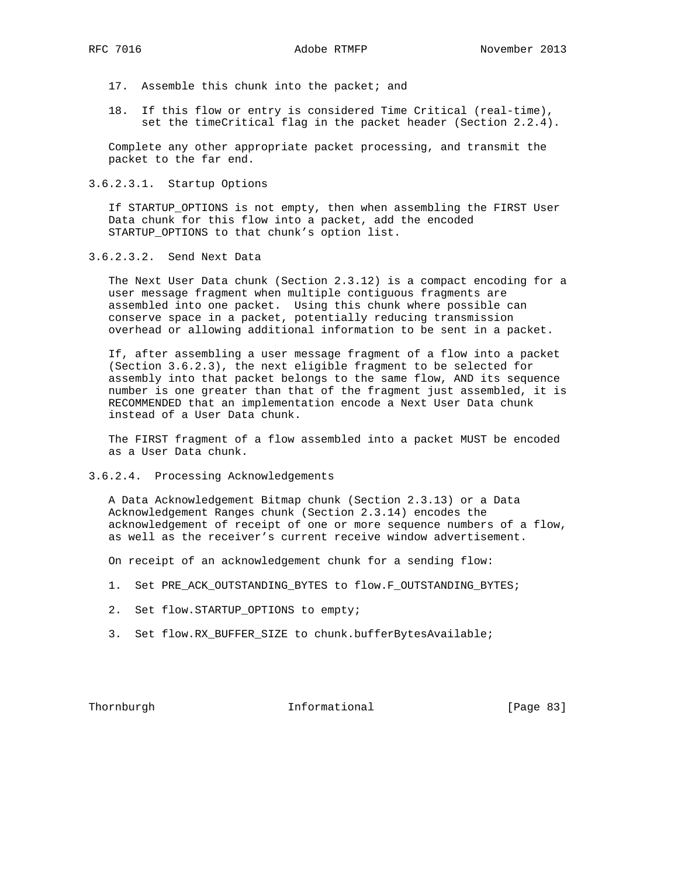- 17. Assemble this chunk into the packet; and
- 18. If this flow or entry is considered Time Critical (real-time), set the timeCritical flag in the packet header (Section 2.2.4).

 Complete any other appropriate packet processing, and transmit the packet to the far end.

3.6.2.3.1. Startup Options

 If STARTUP\_OPTIONS is not empty, then when assembling the FIRST User Data chunk for this flow into a packet, add the encoded STARTUP\_OPTIONS to that chunk's option list.

3.6.2.3.2. Send Next Data

 The Next User Data chunk (Section 2.3.12) is a compact encoding for a user message fragment when multiple contiguous fragments are assembled into one packet. Using this chunk where possible can conserve space in a packet, potentially reducing transmission overhead or allowing additional information to be sent in a packet.

 If, after assembling a user message fragment of a flow into a packet (Section 3.6.2.3), the next eligible fragment to be selected for assembly into that packet belongs to the same flow, AND its sequence number is one greater than that of the fragment just assembled, it is RECOMMENDED that an implementation encode a Next User Data chunk instead of a User Data chunk.

 The FIRST fragment of a flow assembled into a packet MUST be encoded as a User Data chunk.

3.6.2.4. Processing Acknowledgements

 A Data Acknowledgement Bitmap chunk (Section 2.3.13) or a Data Acknowledgement Ranges chunk (Section 2.3.14) encodes the acknowledgement of receipt of one or more sequence numbers of a flow, as well as the receiver's current receive window advertisement.

On receipt of an acknowledgement chunk for a sending flow:

- 1. Set PRE\_ACK\_OUTSTANDING\_BYTES to flow.F\_OUTSTANDING\_BYTES;
- 2. Set flow.STARTUP\_OPTIONS to empty;
- 3. Set flow.RX\_BUFFER\_SIZE to chunk.bufferBytesAvailable;

Thornburgh 1nformational [Page 83]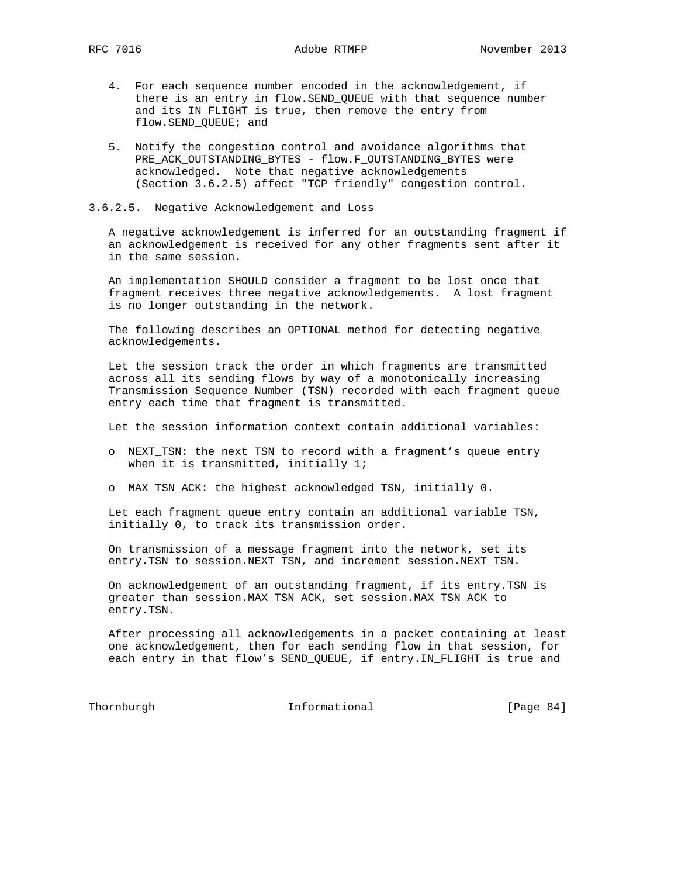- 4. For each sequence number encoded in the acknowledgement, if there is an entry in flow.SEND\_QUEUE with that sequence number and its IN\_FLIGHT is true, then remove the entry from flow.SEND\_QUEUE; and
- 5. Notify the congestion control and avoidance algorithms that PRE\_ACK\_OUTSTANDING\_BYTES - flow.F\_OUTSTANDING\_BYTES were acknowledged. Note that negative acknowledgements (Section 3.6.2.5) affect "TCP friendly" congestion control.

### 3.6.2.5. Negative Acknowledgement and Loss

 A negative acknowledgement is inferred for an outstanding fragment if an acknowledgement is received for any other fragments sent after it in the same session.

 An implementation SHOULD consider a fragment to be lost once that fragment receives three negative acknowledgements. A lost fragment is no longer outstanding in the network.

 The following describes an OPTIONAL method for detecting negative acknowledgements.

 Let the session track the order in which fragments are transmitted across all its sending flows by way of a monotonically increasing Transmission Sequence Number (TSN) recorded with each fragment queue entry each time that fragment is transmitted.

Let the session information context contain additional variables:

- o NEXT\_TSN: the next TSN to record with a fragment's queue entry when it is transmitted, initially 1;
- o MAX\_TSN\_ACK: the highest acknowledged TSN, initially 0.

 Let each fragment queue entry contain an additional variable TSN, initially 0, to track its transmission order.

 On transmission of a message fragment into the network, set its entry.TSN to session.NEXT\_TSN, and increment session.NEXT\_TSN.

 On acknowledgement of an outstanding fragment, if its entry.TSN is greater than session.MAX\_TSN\_ACK, set session.MAX\_TSN\_ACK to entry.TSN.

 After processing all acknowledgements in a packet containing at least one acknowledgement, then for each sending flow in that session, for each entry in that flow's SEND\_QUEUE, if entry.IN\_FLIGHT is true and

Thornburgh Informational [Page 84]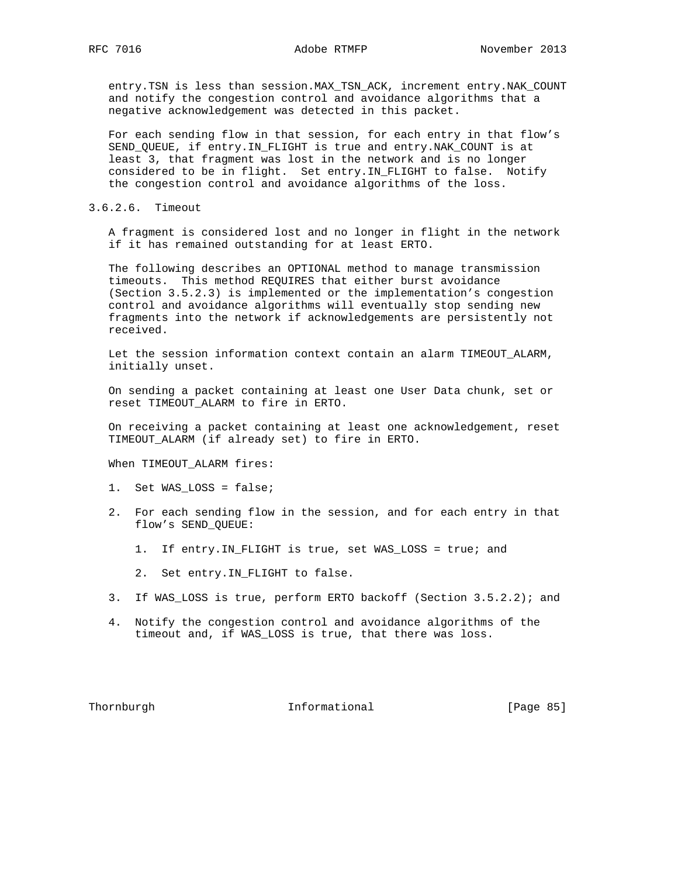entry.TSN is less than session.MAX\_TSN\_ACK, increment entry.NAK\_COUNT and notify the congestion control and avoidance algorithms that a negative acknowledgement was detected in this packet.

 For each sending flow in that session, for each entry in that flow's SEND\_QUEUE, if entry.IN\_FLIGHT is true and entry.NAK\_COUNT is at least 3, that fragment was lost in the network and is no longer considered to be in flight. Set entry.IN\_FLIGHT to false. Notify the congestion control and avoidance algorithms of the loss.

#### 3.6.2.6. Timeout

 A fragment is considered lost and no longer in flight in the network if it has remained outstanding for at least ERTO.

 The following describes an OPTIONAL method to manage transmission timeouts. This method REQUIRES that either burst avoidance (Section 3.5.2.3) is implemented or the implementation's congestion control and avoidance algorithms will eventually stop sending new fragments into the network if acknowledgements are persistently not received.

 Let the session information context contain an alarm TIMEOUT\_ALARM, initially unset.

 On sending a packet containing at least one User Data chunk, set or reset TIMEOUT\_ALARM to fire in ERTO.

 On receiving a packet containing at least one acknowledgement, reset TIMEOUT\_ALARM (if already set) to fire in ERTO.

When TIMEOUT\_ALARM fires:

- 1. Set WAS\_LOSS = false;
- 2. For each sending flow in the session, and for each entry in that flow's SEND\_QUEUE:
	- 1. If entry.IN\_FLIGHT is true, set WAS\_LOSS = true; and
	- 2. Set entry.IN\_FLIGHT to false.
- 3. If WAS\_LOSS is true, perform ERTO backoff (Section 3.5.2.2); and
- 4. Notify the congestion control and avoidance algorithms of the timeout and, if WAS\_LOSS is true, that there was loss.

Thornburgh 1nformational [Page 85]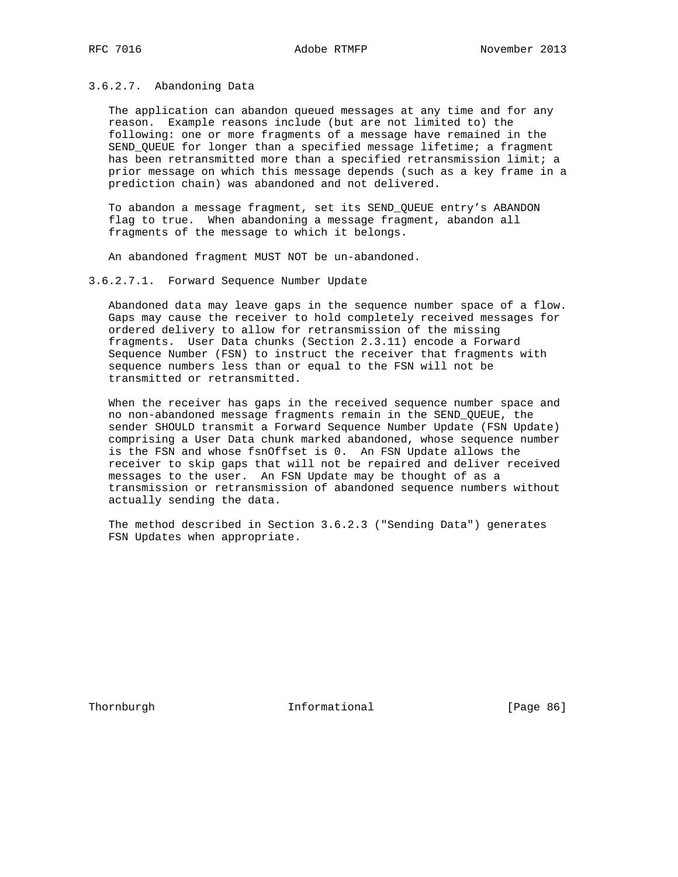3.6.2.7. Abandoning Data

 The application can abandon queued messages at any time and for any reason. Example reasons include (but are not limited to) the following: one or more fragments of a message have remained in the SEND\_QUEUE for longer than a specified message lifetime; a fragment has been retransmitted more than a specified retransmission limit; a prior message on which this message depends (such as a key frame in a prediction chain) was abandoned and not delivered.

 To abandon a message fragment, set its SEND\_QUEUE entry's ABANDON flag to true. When abandoning a message fragment, abandon all fragments of the message to which it belongs.

An abandoned fragment MUST NOT be un-abandoned.

3.6.2.7.1. Forward Sequence Number Update

 Abandoned data may leave gaps in the sequence number space of a flow. Gaps may cause the receiver to hold completely received messages for ordered delivery to allow for retransmission of the missing fragments. User Data chunks (Section 2.3.11) encode a Forward Sequence Number (FSN) to instruct the receiver that fragments with sequence numbers less than or equal to the FSN will not be transmitted or retransmitted.

 When the receiver has gaps in the received sequence number space and no non-abandoned message fragments remain in the SEND\_QUEUE, the sender SHOULD transmit a Forward Sequence Number Update (FSN Update) comprising a User Data chunk marked abandoned, whose sequence number is the FSN and whose fsnOffset is 0. An FSN Update allows the receiver to skip gaps that will not be repaired and deliver received messages to the user. An FSN Update may be thought of as a transmission or retransmission of abandoned sequence numbers without actually sending the data.

 The method described in Section 3.6.2.3 ("Sending Data") generates FSN Updates when appropriate.

Thornburgh 1nformational [Page 86]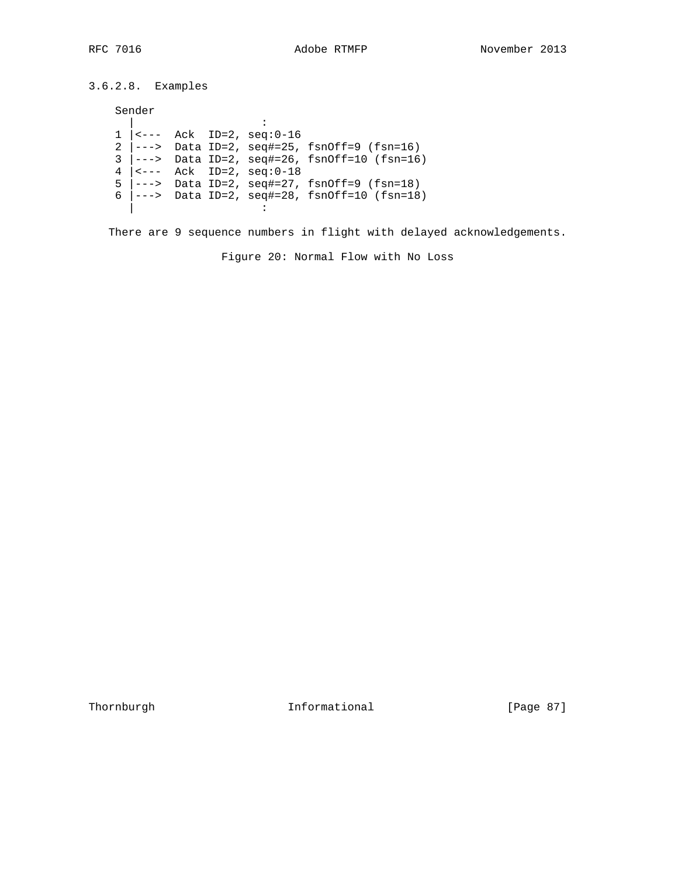3.6.2.8. Examples

Sender

 | : 1 |<--- Ack ID=2, seq:0-16 2 |---> Data ID=2, seq#=25, fsnOff=9 (fsn=16)  $3$   $\vert --->$  Data ID=2, seq#=26, fsnOff=10 (fsn=16) 4  $|$  <--- Ack ID=2,  $seq: 0-18$ 5  $\vert --->$  Data ID=2, seq#=27, fsnOff=9 (fsn=18) 6  $\vert --->$  Data ID=2, seq#=28, fsnOff=10 (fsn=18) | :

There are 9 sequence numbers in flight with delayed acknowledgements.

Figure 20: Normal Flow with No Loss

Thornburgh Informational [Page 87]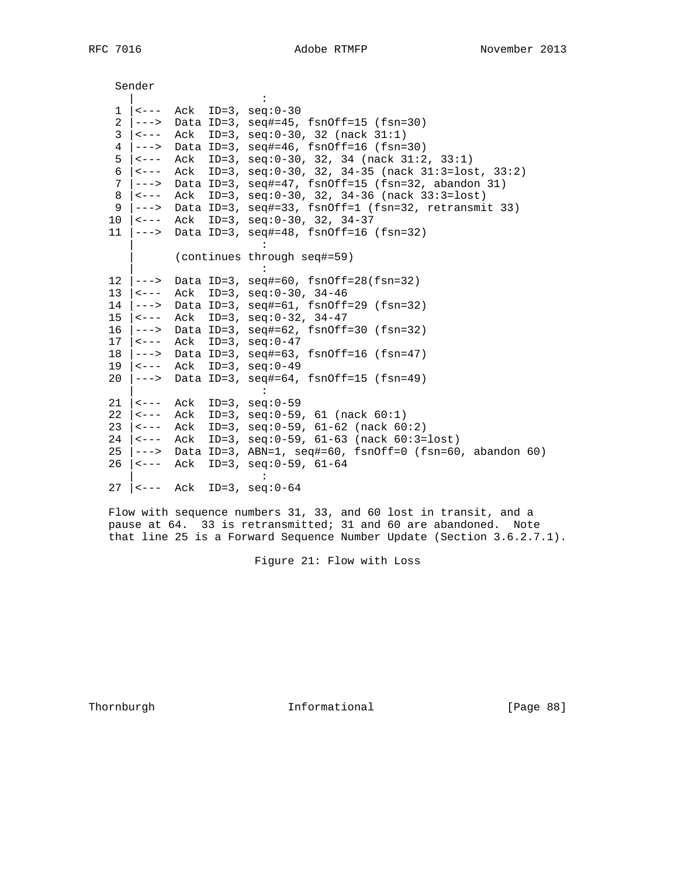| RFC |  | 7016 |
|-----|--|------|
|-----|--|------|

|                 | Sender                                       |                                                                          |
|-----------------|----------------------------------------------|--------------------------------------------------------------------------|
|                 |                                              |                                                                          |
| $\mathbf{1}$    |                                              | $ ---$ Ack ID=3, seq:0-30                                                |
|                 |                                              | 2  ---> Data ID=3, seq#=45, fsnOff=15 (fsn=30)                           |
| 3               | $\leftarrow$ $ -$                            | Ack ID=3, seq:0-30, 32 (nack 31:1)                                       |
| $4\overline{ }$ | $--->$                                       | Data ID=3, $seq#=46$ , $fsnOff=16$ ( $fsn=30$ )                          |
| 5               | $\vert$ < - - -                              | Ack ID=3, $seq: 0-30$ , 32, 34 (nack 31:2, 33:1)                         |
| 6               | $\vert$ < $\vert$ - $\vert$ -                | Ack ID=3, seq:0-30, 32, 34-35 (nack 31:3=lost, 33:2)                     |
| 7 <sup>7</sup>  | $ -----$                                     | Data ID=3, seq#=47, fsnOff=15 (fsn=32, abandon 31)                       |
| 8               | $\leftarrow$ $ -$                            | Ack ID=3, $seq: 0-30$ , 32, 34-36 (nack 33:3=lost)                       |
| 9               | $ -----$                                     | Data ID=3, seq#=33, fsnOff=1 (fsn=32, retransmit 33)                     |
|                 |                                              | 10 $ $ <--- Ack ID=3, seq:0-30, 32, 34-37                                |
|                 |                                              | 11 $ ---\rangle$ Data ID=3, seq#=48, fsnOff=16 (fsn=32)                  |
|                 |                                              |                                                                          |
|                 |                                              | (continues through seq#=59)                                              |
|                 |                                              |                                                                          |
|                 |                                              | 12 $ ---\rangle$ Data ID=3, seq#=60, fsnOff=28(fsn=32)                   |
|                 | $13 \mid \leftarrow \rightarrow \rightarrow$ | Ack ID=3, $seq: 0-30$ , $34-46$                                          |
|                 | $14$ $ -----$                                | Data ID=3, $seq#=61$ , $fsnOff=29$ ( $fsn=32$ )                          |
|                 |                                              | 15   <--- Ack ID=3, seq:0-32, 34-47                                      |
|                 |                                              | 16  ---> Data ID=3, seq#=62, fsnOff=30 (fsn=32)                          |
|                 |                                              | 17   $\left(- - - \text{ack} \text{ID=3}, \text{seq}: 0-47\right)$       |
|                 |                                              | 18 $ ---\rangle$ Data ID=3, seq#=63, fsnOff=16 (fsn=47)                  |
|                 |                                              | 19   $\left(- - - \text{ack} \text{ID=3}, \text{seq:0-49}\right)$        |
|                 |                                              | 20 $ ---\rangle$ Data ID=3, seq#=64, fsnOff=15 (fsn=49)                  |
|                 |                                              |                                                                          |
|                 |                                              | $21$   <--- Ack ID=3, seq: 0-59                                          |
|                 | $22 \mid$ <---                               | Ack ID=3, $seq: 0-59$ , 61 (nack 60:1)                                   |
| 23              | $\vert$ < $\vert$ - $\vert$ $\vert$          | Ack ID=3, $seq: 0-59$ , $61-62$ (nack $60:2$ )                           |
|                 |                                              | 24   $\left(---$ Ack ID=3, seq:0-59, 61-63 (nack 60:3=lost)              |
|                 |                                              | 25 $\vert$ ---> Data ID=3, ABN=1, seq#=60, fsnOff=0 (fsn=60, abandon 60) |
|                 |                                              | 26   <--- Ack ID=3, seq:0-59, 61-64                                      |
|                 |                                              |                                                                          |
| 27              |                                              | $ID=3$ , $seq: 0-64$<br><--- Ack                                         |

 Flow with sequence numbers 31, 33, and 60 lost in transit, and a pause at 64. 33 is retransmitted; 31 and 60 are abandoned. Note that line 25 is a Forward Sequence Number Update (Section 3.6.2.7.1).

Figure 21: Flow with Loss

Thornburgh 1nformational [Page 88]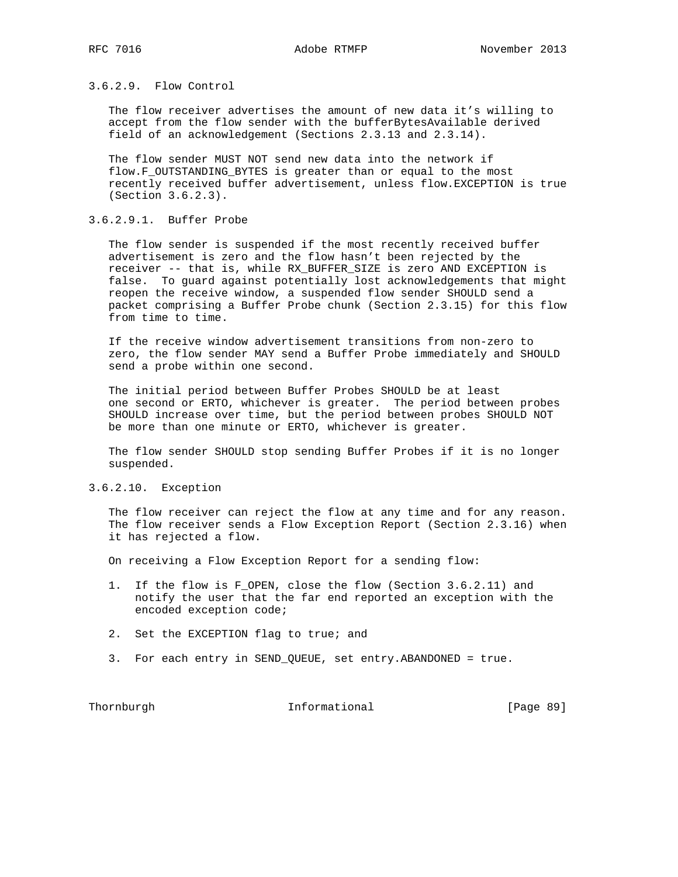## 3.6.2.9. Flow Control

 The flow receiver advertises the amount of new data it's willing to accept from the flow sender with the bufferBytesAvailable derived field of an acknowledgement (Sections 2.3.13 and 2.3.14).

 The flow sender MUST NOT send new data into the network if flow.F\_OUTSTANDING\_BYTES is greater than or equal to the most recently received buffer advertisement, unless flow.EXCEPTION is true (Section 3.6.2.3).

# 3.6.2.9.1. Buffer Probe

 The flow sender is suspended if the most recently received buffer advertisement is zero and the flow hasn't been rejected by the receiver -- that is, while RX\_BUFFER\_SIZE is zero AND EXCEPTION is false. To guard against potentially lost acknowledgements that might reopen the receive window, a suspended flow sender SHOULD send a packet comprising a Buffer Probe chunk (Section 2.3.15) for this flow from time to time.

 If the receive window advertisement transitions from non-zero to zero, the flow sender MAY send a Buffer Probe immediately and SHOULD send a probe within one second.

 The initial period between Buffer Probes SHOULD be at least one second or ERTO, whichever is greater. The period between probes SHOULD increase over time, but the period between probes SHOULD NOT be more than one minute or ERTO, whichever is greater.

 The flow sender SHOULD stop sending Buffer Probes if it is no longer suspended.

## 3.6.2.10. Exception

 The flow receiver can reject the flow at any time and for any reason. The flow receiver sends a Flow Exception Report (Section 2.3.16) when it has rejected a flow.

On receiving a Flow Exception Report for a sending flow:

- 1. If the flow is F\_OPEN, close the flow (Section 3.6.2.11) and notify the user that the far end reported an exception with the encoded exception code;
- 2. Set the EXCEPTION flag to true; and
- 3. For each entry in SEND\_QUEUE, set entry.ABANDONED = true.

Thornburgh 1nformational [Page 89]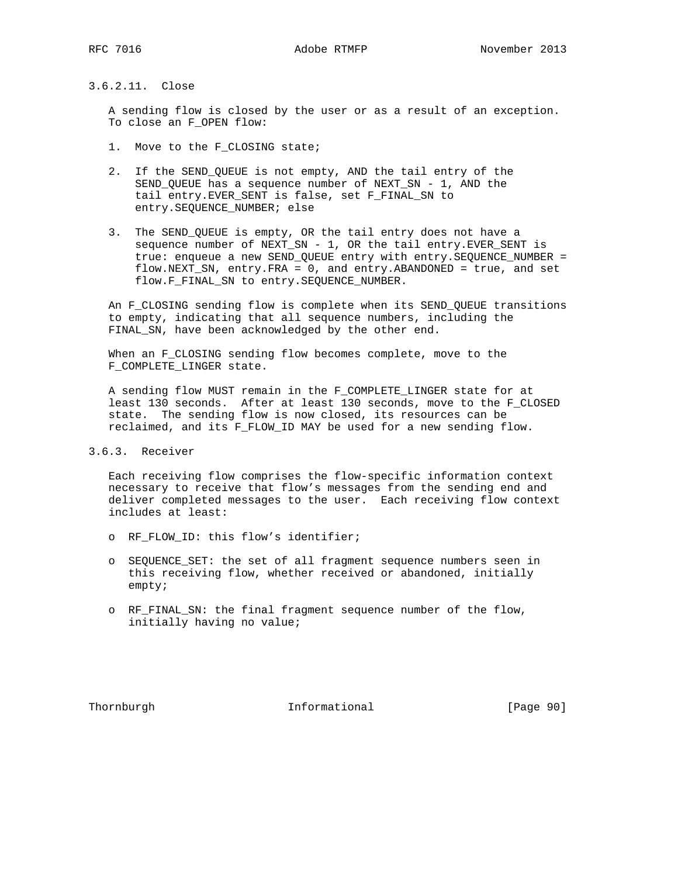## 3.6.2.11. Close

 A sending flow is closed by the user or as a result of an exception. To close an F\_OPEN flow:

- 1. Move to the F\_CLOSING state;
- 2. If the SEND\_QUEUE is not empty, AND the tail entry of the SEND\_QUEUE has a sequence number of NEXT\_SN - 1, AND the tail entry.EVER\_SENT is false, set F\_FINAL\_SN to entry.SEQUENCE\_NUMBER; else
- 3. The SEND\_QUEUE is empty, OR the tail entry does not have a sequence number of NEXT\_SN - 1, OR the tail entry.EVER\_SENT is true: enqueue a new SEND\_QUEUE entry with entry.SEQUENCE\_NUMBER = flow.NEXT\_SN, entry.FRA = 0, and entry.ABANDONED = true, and set flow.F\_FINAL\_SN to entry.SEQUENCE\_NUMBER.

 An F\_CLOSING sending flow is complete when its SEND\_QUEUE transitions to empty, indicating that all sequence numbers, including the FINAL\_SN, have been acknowledged by the other end.

 When an F\_CLOSING sending flow becomes complete, move to the F\_COMPLETE\_LINGER state.

 A sending flow MUST remain in the F\_COMPLETE\_LINGER state for at least 130 seconds. After at least 130 seconds, move to the F\_CLOSED state. The sending flow is now closed, its resources can be reclaimed, and its F\_FLOW\_ID MAY be used for a new sending flow.

## 3.6.3. Receiver

 Each receiving flow comprises the flow-specific information context necessary to receive that flow's messages from the sending end and deliver completed messages to the user. Each receiving flow context includes at least:

- o RF\_FLOW\_ID: this flow's identifier;
- o SEQUENCE\_SET: the set of all fragment sequence numbers seen in this receiving flow, whether received or abandoned, initially empty;
- o RF\_FINAL\_SN: the final fragment sequence number of the flow, initially having no value;

Thornburgh 10 Informational [Page 90]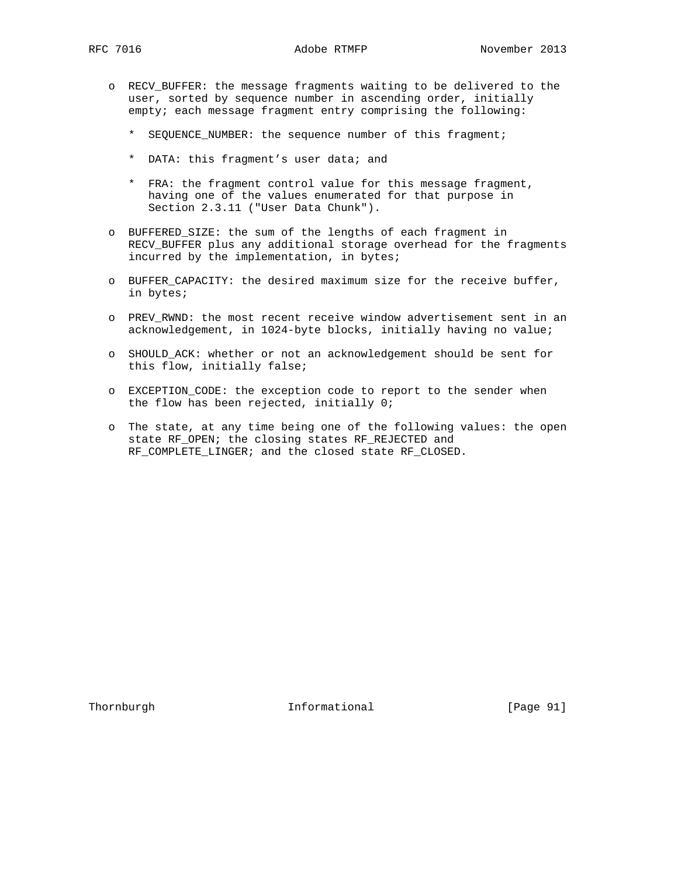- o RECV\_BUFFER: the message fragments waiting to be delivered to the user, sorted by sequence number in ascending order, initially empty; each message fragment entry comprising the following:
	- \* SEQUENCE\_NUMBER: the sequence number of this fragment;
	- \* DATA: this fragment's user data; and
	- \* FRA: the fragment control value for this message fragment, having one of the values enumerated for that purpose in Section 2.3.11 ("User Data Chunk").
- o BUFFERED\_SIZE: the sum of the lengths of each fragment in RECV\_BUFFER plus any additional storage overhead for the fragments incurred by the implementation, in bytes;
- o BUFFER\_CAPACITY: the desired maximum size for the receive buffer, in bytes;
- o PREV\_RWND: the most recent receive window advertisement sent in an acknowledgement, in 1024-byte blocks, initially having no value;
- o SHOULD\_ACK: whether or not an acknowledgement should be sent for this flow, initially false;
- o EXCEPTION\_CODE: the exception code to report to the sender when the flow has been rejected, initially 0;
- o The state, at any time being one of the following values: the open state RF\_OPEN; the closing states RF\_REJECTED and RF\_COMPLETE\_LINGER; and the closed state RF\_CLOSED.

Thornburgh 1nformational [Page 91]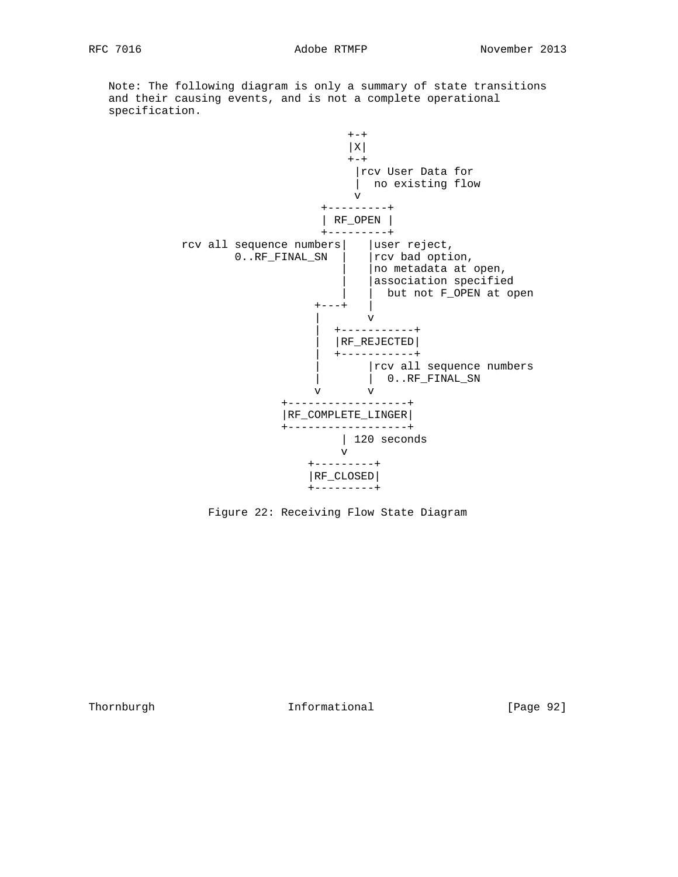Note: The following diagram is only a summary of state transitions and their causing events, and is not a complete operational specification.



Figure 22: Receiving Flow State Diagram

Thornburgh 1nformational [Page 92]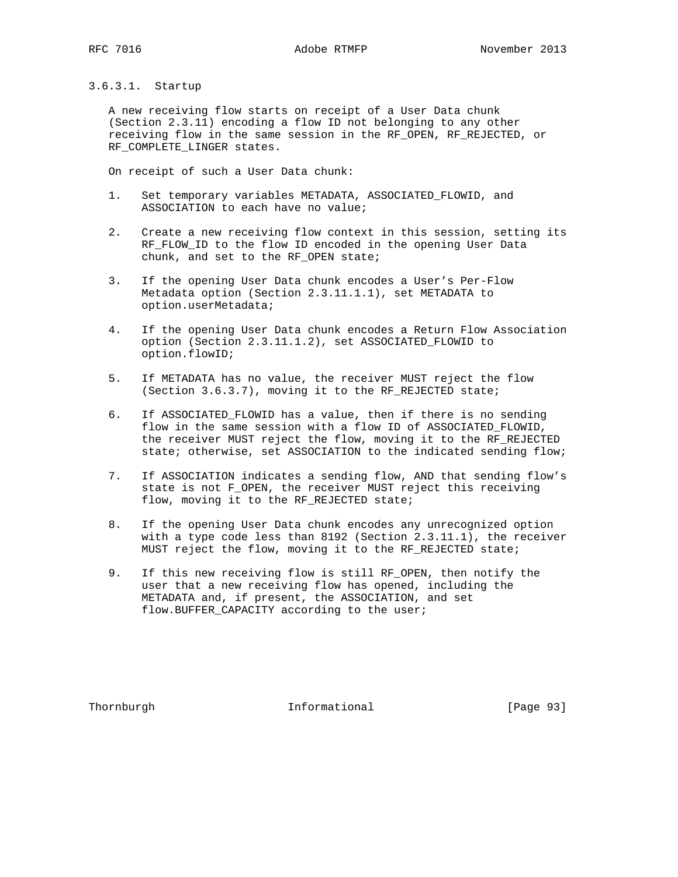3.6.3.1. Startup

 A new receiving flow starts on receipt of a User Data chunk (Section 2.3.11) encoding a flow ID not belonging to any other receiving flow in the same session in the RF\_OPEN, RF\_REJECTED, or RF\_COMPLETE\_LINGER states.

On receipt of such a User Data chunk:

- 1. Set temporary variables METADATA, ASSOCIATED\_FLOWID, and ASSOCIATION to each have no value;
- 2. Create a new receiving flow context in this session, setting its RF\_FLOW\_ID to the flow ID encoded in the opening User Data chunk, and set to the RF\_OPEN state;
- 3. If the opening User Data chunk encodes a User's Per-Flow Metadata option (Section 2.3.11.1.1), set METADATA to option.userMetadata;
- 4. If the opening User Data chunk encodes a Return Flow Association option (Section 2.3.11.1.2), set ASSOCIATED\_FLOWID to option.flowID;
- 5. If METADATA has no value, the receiver MUST reject the flow (Section 3.6.3.7), moving it to the RF\_REJECTED state;
- 6. If ASSOCIATED\_FLOWID has a value, then if there is no sending flow in the same session with a flow ID of ASSOCIATED\_FLOWID, the receiver MUST reject the flow, moving it to the RF\_REJECTED state; otherwise, set ASSOCIATION to the indicated sending flow;
- 7. If ASSOCIATION indicates a sending flow, AND that sending flow's state is not F\_OPEN, the receiver MUST reject this receiving flow, moving it to the RF\_REJECTED state;
- 8. If the opening User Data chunk encodes any unrecognized option with a type code less than 8192 (Section 2.3.11.1), the receiver MUST reject the flow, moving it to the RF\_REJECTED state;
- 9. If this new receiving flow is still RF\_OPEN, then notify the user that a new receiving flow has opened, including the METADATA and, if present, the ASSOCIATION, and set flow.BUFFER\_CAPACITY according to the user;

Thornburgh 10 Informational [Page 93]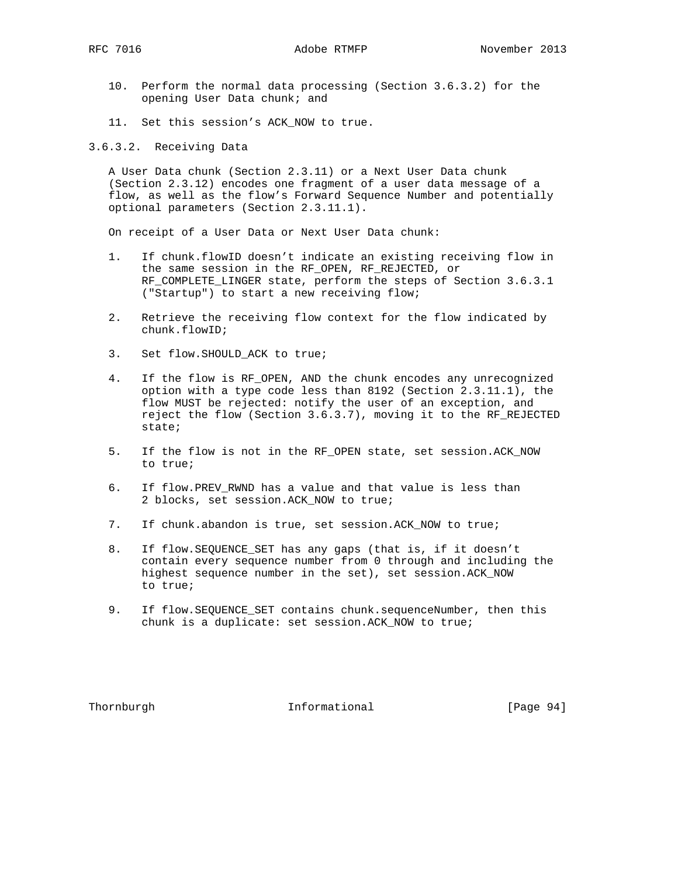- 10. Perform the normal data processing (Section 3.6.3.2) for the opening User Data chunk; and
- 11. Set this session's ACK NOW to true.
- 3.6.3.2. Receiving Data

 A User Data chunk (Section 2.3.11) or a Next User Data chunk (Section 2.3.12) encodes one fragment of a user data message of a flow, as well as the flow's Forward Sequence Number and potentially optional parameters (Section 2.3.11.1).

On receipt of a User Data or Next User Data chunk:

- 1. If chunk.flowID doesn't indicate an existing receiving flow in the same session in the RF\_OPEN, RF\_REJECTED, or RF\_COMPLETE\_LINGER state, perform the steps of Section 3.6.3.1 ("Startup") to start a new receiving flow;
- 2. Retrieve the receiving flow context for the flow indicated by chunk.flowID;
- 3. Set flow.SHOULD\_ACK to true;
- 4. If the flow is RF\_OPEN, AND the chunk encodes any unrecognized option with a type code less than 8192 (Section 2.3.11.1), the flow MUST be rejected: notify the user of an exception, and reject the flow (Section 3.6.3.7), moving it to the RF\_REJECTED state;
- 5. If the flow is not in the RF OPEN state, set session.ACK NOW to true;
- 6. If flow.PREV\_RWND has a value and that value is less than 2 blocks, set session.ACK\_NOW to true;
- 7. If chunk.abandon is true, set session.ACK\_NOW to true;
- 8. If flow.SEQUENCE\_SET has any gaps (that is, if it doesn't contain every sequence number from 0 through and including the highest sequence number in the set), set session.ACK\_NOW to true;
- 9. If flow.SEQUENCE\_SET contains chunk.sequenceNumber, then this chunk is a duplicate: set session.ACK\_NOW to true;

Thornburgh Informational [Page 94]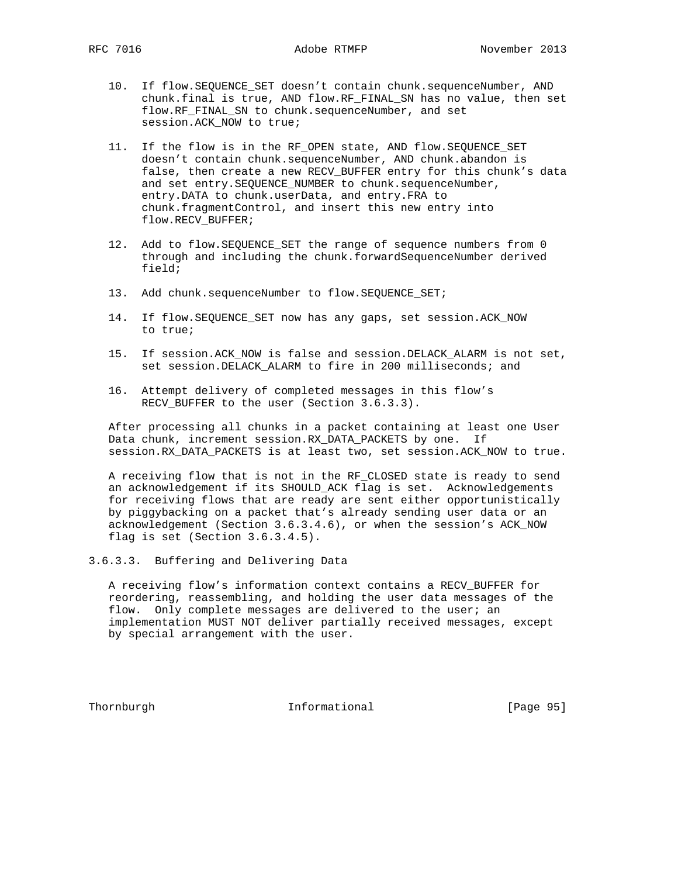- 10. If flow.SEQUENCE\_SET doesn't contain chunk.sequenceNumber, AND chunk.final is true, AND flow.RF\_FINAL\_SN has no value, then set flow.RF\_FINAL\_SN to chunk.sequenceNumber, and set session.ACK\_NOW to true;
- 11. If the flow is in the RF\_OPEN state, AND flow.SEQUENCE\_SET doesn't contain chunk.sequenceNumber, AND chunk.abandon is false, then create a new RECV\_BUFFER entry for this chunk's data and set entry. SEQUENCE\_NUMBER to chunk. sequenceNumber, entry.DATA to chunk.userData, and entry.FRA to chunk.fragmentControl, and insert this new entry into flow.RECV\_BUFFER;
- 12. Add to flow.SEQUENCE\_SET the range of sequence numbers from 0 through and including the chunk.forwardSequenceNumber derived field;
- 13. Add chunk.sequenceNumber to flow.SEQUENCE\_SET;
- 14. If flow.SEQUENCE\_SET now has any gaps, set session.ACK\_NOW to true;
- 15. If session.ACK\_NOW is false and session.DELACK\_ALARM is not set, set session.DELACK\_ALARM to fire in 200 milliseconds; and
- 16. Attempt delivery of completed messages in this flow's RECV\_BUFFER to the user (Section 3.6.3.3).

 After processing all chunks in a packet containing at least one User Data chunk, increment session.RX\_DATA\_PACKETS by one. If session.RX\_DATA\_PACKETS is at least two, set session.ACK\_NOW to true.

 A receiving flow that is not in the RF\_CLOSED state is ready to send an acknowledgement if its SHOULD\_ACK flag is set. Acknowledgements for receiving flows that are ready are sent either opportunistically by piggybacking on a packet that's already sending user data or an acknowledgement (Section 3.6.3.4.6), or when the session's ACK\_NOW flag is set (Section 3.6.3.4.5).

3.6.3.3. Buffering and Delivering Data

 A receiving flow's information context contains a RECV\_BUFFER for reordering, reassembling, and holding the user data messages of the flow. Only complete messages are delivered to the user; an implementation MUST NOT deliver partially received messages, except by special arrangement with the user.

Thornburgh Informational [Page 95]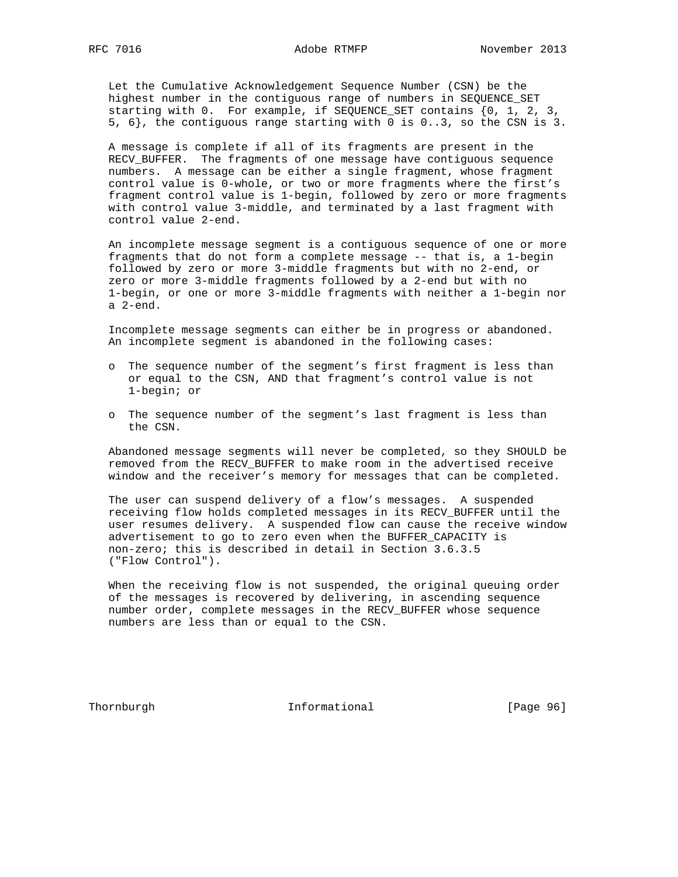Let the Cumulative Acknowledgement Sequence Number (CSN) be the highest number in the contiguous range of numbers in SEQUENCE\_SET starting with 0. For example, if SEQUENCE\_SET contains {0, 1, 2, 3, 5, 6}, the contiguous range starting with 0 is 0..3, so the CSN is 3.

 A message is complete if all of its fragments are present in the RECV\_BUFFER. The fragments of one message have contiguous sequence numbers. A message can be either a single fragment, whose fragment control value is 0-whole, or two or more fragments where the first's fragment control value is 1-begin, followed by zero or more fragments with control value 3-middle, and terminated by a last fragment with control value 2-end.

 An incomplete message segment is a contiguous sequence of one or more fragments that do not form a complete message -- that is, a 1-begin followed by zero or more 3-middle fragments but with no 2-end, or zero or more 3-middle fragments followed by a 2-end but with no 1-begin, or one or more 3-middle fragments with neither a 1-begin nor a 2-end.

 Incomplete message segments can either be in progress or abandoned. An incomplete segment is abandoned in the following cases:

- o The sequence number of the segment's first fragment is less than or equal to the CSN, AND that fragment's control value is not 1-begin; or
- o The sequence number of the segment's last fragment is less than the CSN.

 Abandoned message segments will never be completed, so they SHOULD be removed from the RECV\_BUFFER to make room in the advertised receive window and the receiver's memory for messages that can be completed.

 The user can suspend delivery of a flow's messages. A suspended receiving flow holds completed messages in its RECV\_BUFFER until the user resumes delivery. A suspended flow can cause the receive window advertisement to go to zero even when the BUFFER\_CAPACITY is non-zero; this is described in detail in Section 3.6.3.5 ("Flow Control").

 When the receiving flow is not suspended, the original queuing order of the messages is recovered by delivering, in ascending sequence number order, complete messages in the RECV\_BUFFER whose sequence numbers are less than or equal to the CSN.

Thornburgh 1nformational [Page 96]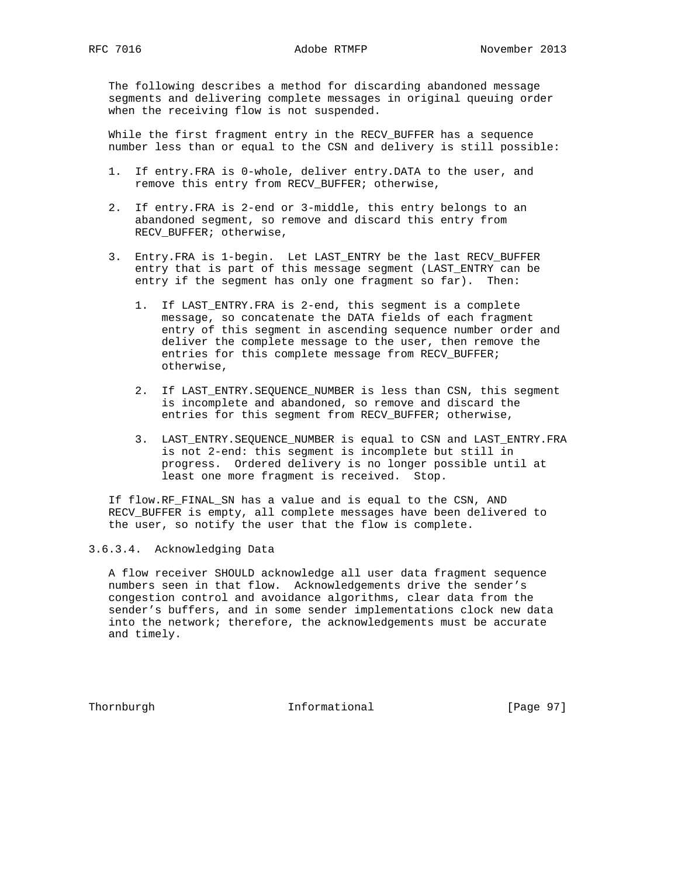The following describes a method for discarding abandoned message segments and delivering complete messages in original queuing order when the receiving flow is not suspended.

 While the first fragment entry in the RECV\_BUFFER has a sequence number less than or equal to the CSN and delivery is still possible:

- 1. If entry.FRA is 0-whole, deliver entry.DATA to the user, and remove this entry from RECV\_BUFFER; otherwise,
- 2. If entry.FRA is 2-end or 3-middle, this entry belongs to an abandoned segment, so remove and discard this entry from RECV\_BUFFER; otherwise,
- 3. Entry.FRA is 1-begin. Let LAST\_ENTRY be the last RECV\_BUFFER entry that is part of this message segment (LAST\_ENTRY can be entry if the segment has only one fragment so far). Then:
	- 1. If LAST\_ENTRY.FRA is 2-end, this segment is a complete message, so concatenate the DATA fields of each fragment entry of this segment in ascending sequence number order and deliver the complete message to the user, then remove the entries for this complete message from RECV\_BUFFER; otherwise,
	- 2. If LAST\_ENTRY.SEQUENCE\_NUMBER is less than CSN, this segment is incomplete and abandoned, so remove and discard the entries for this seqment from RECV BUFFER; otherwise,
	- 3. LAST\_ENTRY.SEQUENCE\_NUMBER is equal to CSN and LAST\_ENTRY.FRA is not 2-end: this segment is incomplete but still in progress. Ordered delivery is no longer possible until at least one more fragment is received. Stop.

 If flow.RF\_FINAL\_SN has a value and is equal to the CSN, AND RECV\_BUFFER is empty, all complete messages have been delivered to the user, so notify the user that the flow is complete.

3.6.3.4. Acknowledging Data

 A flow receiver SHOULD acknowledge all user data fragment sequence numbers seen in that flow. Acknowledgements drive the sender's congestion control and avoidance algorithms, clear data from the sender's buffers, and in some sender implementations clock new data into the network; therefore, the acknowledgements must be accurate and timely.

Thornburgh 1nformational [Page 97]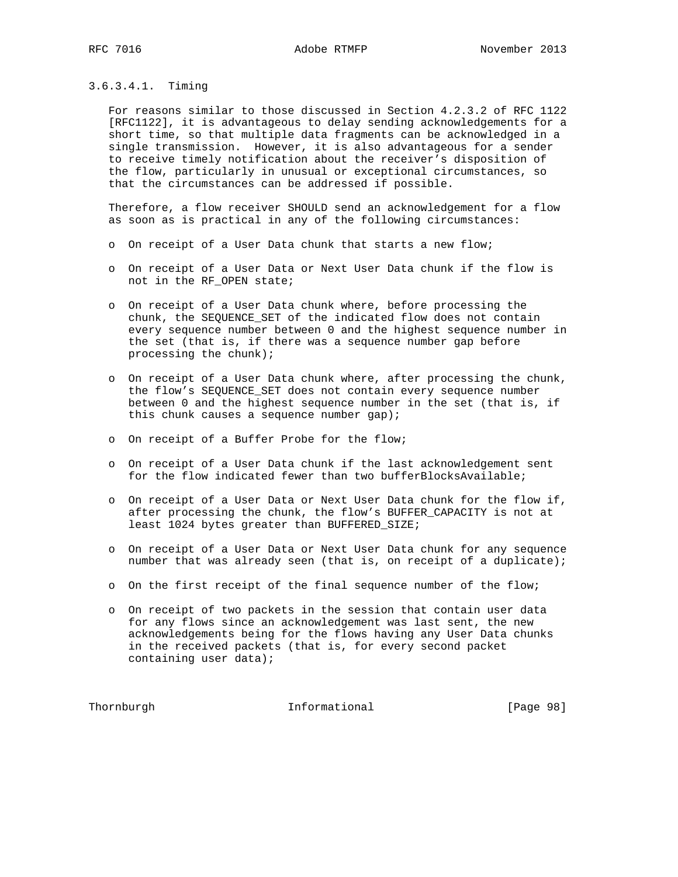## 3.6.3.4.1. Timing

 For reasons similar to those discussed in Section 4.2.3.2 of RFC 1122 [RFC1122], it is advantageous to delay sending acknowledgements for a short time, so that multiple data fragments can be acknowledged in a single transmission. However, it is also advantageous for a sender to receive timely notification about the receiver's disposition of the flow, particularly in unusual or exceptional circumstances, so that the circumstances can be addressed if possible.

 Therefore, a flow receiver SHOULD send an acknowledgement for a flow as soon as is practical in any of the following circumstances:

- o On receipt of a User Data chunk that starts a new flow;
- o On receipt of a User Data or Next User Data chunk if the flow is not in the RF\_OPEN state;
- o On receipt of a User Data chunk where, before processing the chunk, the SEQUENCE\_SET of the indicated flow does not contain every sequence number between 0 and the highest sequence number in the set (that is, if there was a sequence number gap before processing the chunk);
- o On receipt of a User Data chunk where, after processing the chunk, the flow's SEQUENCE\_SET does not contain every sequence number between 0 and the highest sequence number in the set (that is, if this chunk causes a sequence number gap);
- o On receipt of a Buffer Probe for the flow;
- o On receipt of a User Data chunk if the last acknowledgement sent for the flow indicated fewer than two bufferBlocksAvailable;
- o On receipt of a User Data or Next User Data chunk for the flow if, after processing the chunk, the flow's BUFFER\_CAPACITY is not at least 1024 bytes greater than BUFFERED\_SIZE;
- o On receipt of a User Data or Next User Data chunk for any sequence number that was already seen (that is, on receipt of a duplicate);
- o On the first receipt of the final sequence number of the flow;
- o On receipt of two packets in the session that contain user data for any flows since an acknowledgement was last sent, the new acknowledgements being for the flows having any User Data chunks in the received packets (that is, for every second packet containing user data);

Thornburgh 1nformational [Page 98]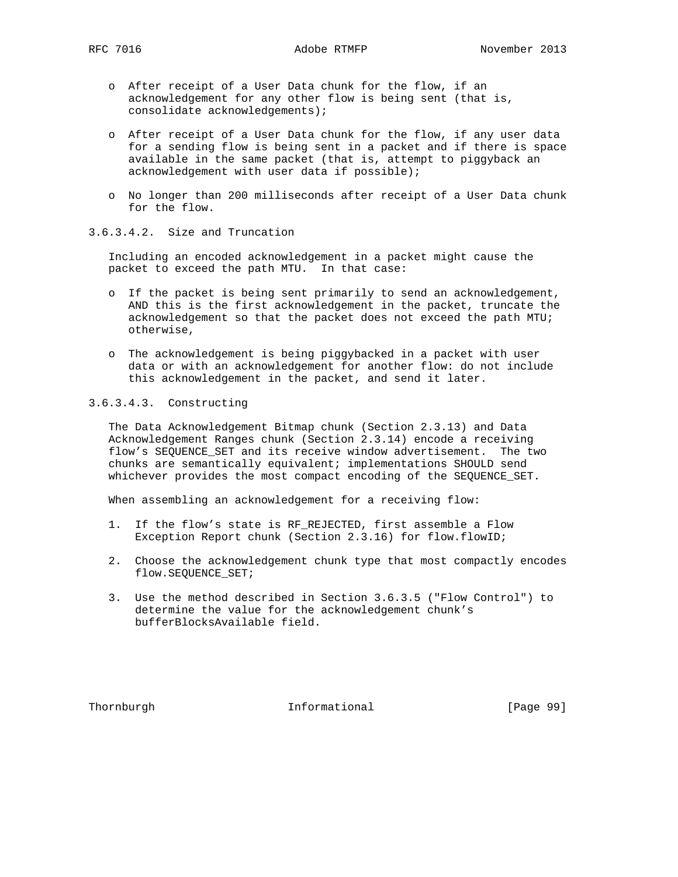- o After receipt of a User Data chunk for the flow, if an acknowledgement for any other flow is being sent (that is, consolidate acknowledgements);
- o After receipt of a User Data chunk for the flow, if any user data for a sending flow is being sent in a packet and if there is space available in the same packet (that is, attempt to piggyback an acknowledgement with user data if possible);
- o No longer than 200 milliseconds after receipt of a User Data chunk for the flow.

# 3.6.3.4.2. Size and Truncation

 Including an encoded acknowledgement in a packet might cause the packet to exceed the path MTU. In that case:

- o If the packet is being sent primarily to send an acknowledgement, AND this is the first acknowledgement in the packet, truncate the acknowledgement so that the packet does not exceed the path MTU; otherwise,
- o The acknowledgement is being piggybacked in a packet with user data or with an acknowledgement for another flow: do not include this acknowledgement in the packet, and send it later.

## 3.6.3.4.3. Constructing

 The Data Acknowledgement Bitmap chunk (Section 2.3.13) and Data Acknowledgement Ranges chunk (Section 2.3.14) encode a receiving flow's SEQUENCE\_SET and its receive window advertisement. The two chunks are semantically equivalent; implementations SHOULD send whichever provides the most compact encoding of the SEQUENCE\_SET.

When assembling an acknowledgement for a receiving flow:

- 1. If the flow's state is RF\_REJECTED, first assemble a Flow Exception Report chunk (Section 2.3.16) for flow.flowID;
- 2. Choose the acknowledgement chunk type that most compactly encodes flow.SEQUENCE\_SET;
- 3. Use the method described in Section 3.6.3.5 ("Flow Control") to determine the value for the acknowledgement chunk's bufferBlocksAvailable field.

Thornburgh **Informational** [Page 99]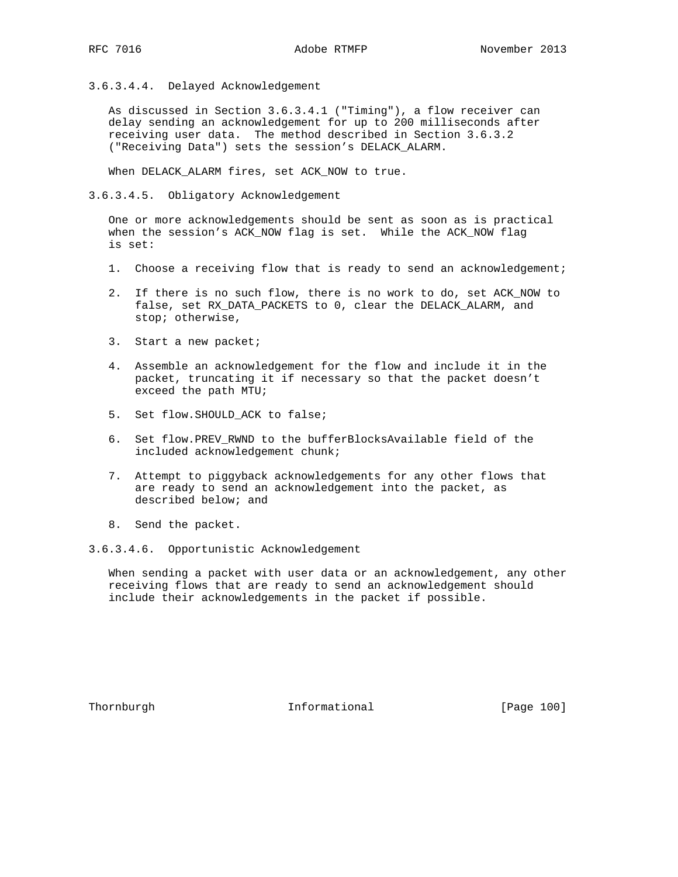3.6.3.4.4. Delayed Acknowledgement

 As discussed in Section 3.6.3.4.1 ("Timing"), a flow receiver can delay sending an acknowledgement for up to 200 milliseconds after receiving user data. The method described in Section 3.6.3.2 ("Receiving Data") sets the session's DELACK\_ALARM.

When DELACK\_ALARM fires, set ACK\_NOW to true.

3.6.3.4.5. Obligatory Acknowledgement

 One or more acknowledgements should be sent as soon as is practical when the session's ACK\_NOW flag is set. While the ACK\_NOW flag is set:

- 1. Choose a receiving flow that is ready to send an acknowledgement;
- 2. If there is no such flow, there is no work to do, set ACK\_NOW to false, set RX\_DATA\_PACKETS to 0, clear the DELACK\_ALARM, and stop; otherwise,
- 3. Start a new packet;
- 4. Assemble an acknowledgement for the flow and include it in the packet, truncating it if necessary so that the packet doesn't exceed the path MTU;
- 5. Set flow. SHOULD ACK to false;
- 6. Set flow.PREV\_RWND to the bufferBlocksAvailable field of the included acknowledgement chunk;
- 7. Attempt to piggyback acknowledgements for any other flows that are ready to send an acknowledgement into the packet, as described below; and
- 8. Send the packet.
- 3.6.3.4.6. Opportunistic Acknowledgement

 When sending a packet with user data or an acknowledgement, any other receiving flows that are ready to send an acknowledgement should include their acknowledgements in the packet if possible.

Thornburgh 100 Informational [Page 100]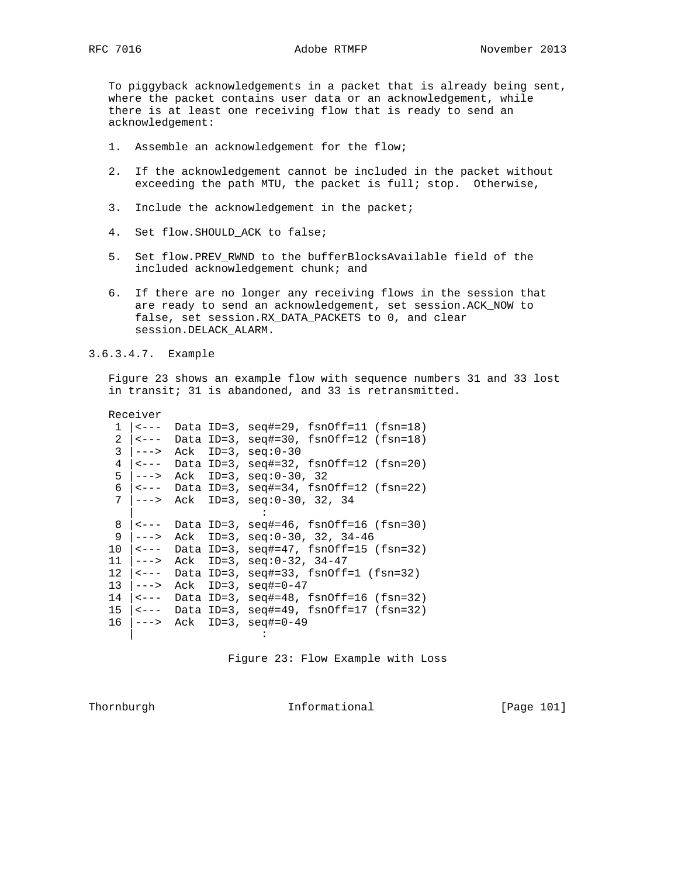To piggyback acknowledgements in a packet that is already being sent, where the packet contains user data or an acknowledgement, while there is at least one receiving flow that is ready to send an acknowledgement:

- 1. Assemble an acknowledgement for the flow;
- 2. If the acknowledgement cannot be included in the packet without exceeding the path MTU, the packet is full; stop. Otherwise,
- 3. Include the acknowledgement in the packet;
- 4. Set flow.SHOULD\_ACK to false;
- 5. Set flow.PREV\_RWND to the bufferBlocksAvailable field of the included acknowledgement chunk; and
- 6. If there are no longer any receiving flows in the session that are ready to send an acknowledgement, set session.ACK\_NOW to false, set session.RX\_DATA\_PACKETS to 0, and clear session.DELACK\_ALARM.

3.6.3.4.7. Example

 Figure 23 shows an example flow with sequence numbers 31 and 33 lost in transit; 31 is abandoned, and 33 is retransmitted.

Receiver

| $\mathbf 1$    | <---                                          |     | Data ID=3, $seq#=29$ , $fsnOff=11$ ( $fsn=18$ )     |
|----------------|-----------------------------------------------|-----|-----------------------------------------------------|
| $\overline{2}$ | $\vert$ < $\vert$ - $\vert$ -                 |     | Data ID=3, $seq#=30$ , $fsnOff=12$ ( $fsn=18$ )     |
| 3              | $--->$                                        | Ack | $ID = 3$ , $seq: 0 - 30$                            |
| 4              | $ $ < $---$                                   |     | Data ID=3, $seq#=32$ , $fsnOff=12$ ( $fsn=20$ )     |
|                | $5$ $ --->$                                   | Ack | $ID=3$ , $seq: 0-30$ , 32                           |
|                |                                               |     | 6 $ $ < - -- Data ID=3, seq#=34, fsnOff=12 (fsn=22) |
|                | $7$ $ -----$                                  |     | Ack ID=3, $seq: 0-30$ , 32, 34                      |
|                |                                               |     |                                                     |
| 8              | $  - - -  $                                   |     | Data ID=3, $seq#=46$ , $fsnOff=16$ ( $fsn=30$ )     |
| 9              | ———>                                          | Ack | ID=3, $seq: 0-30, 32, 34-46$                        |
| 10             | $ $ < $---$                                   |     | Data ID=3, $seq#=47$ , $fsnOff=15$ ( $fsn=32$ )     |
|                | $11$ $ -----$                                 | Ack | ID=3, $seq: 0-32$ , $34-47$                         |
|                | $12 \mid \le - - -$                           |     | Data ID=3, $seq#=33$ , $fsnOff=1 (fsn=32)$          |
|                | $13$ $ -----$                                 | Ack | $ID = 3$ , $seq# = 0 - 47$                          |
|                | $14$   $\leftarrow$ $ -$                      |     | Data ID=3, $seq#=48$ , $fsnOff=16$ ( $fsn=32$ )     |
|                | $15$   $\leftarrow$ $\leftarrow$ $\leftarrow$ |     | Data ID=3, $seq#=49$ , $fsnOff=17$ ( $fsn=32$ )     |
| 16             | $ -----$                                      |     | Ack ID=3, $seq#=0-49$                               |
|                |                                               |     |                                                     |

Figure 23: Flow Example with Loss

Thornburgh 1011 Informational [Page 101]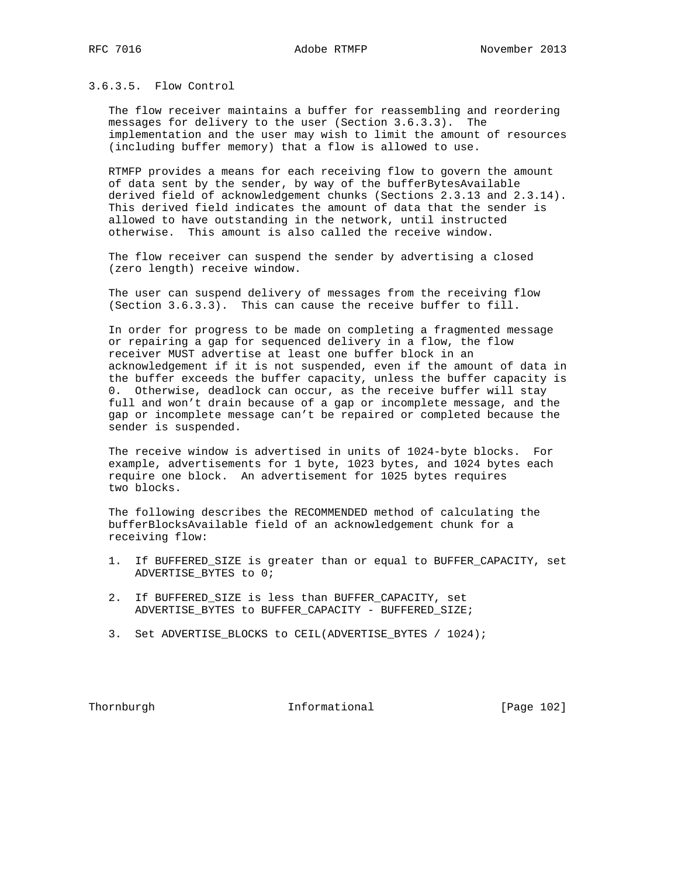3.6.3.5. Flow Control

 The flow receiver maintains a buffer for reassembling and reordering messages for delivery to the user (Section 3.6.3.3). The implementation and the user may wish to limit the amount of resources (including buffer memory) that a flow is allowed to use.

 RTMFP provides a means for each receiving flow to govern the amount of data sent by the sender, by way of the bufferBytesAvailable derived field of acknowledgement chunks (Sections 2.3.13 and 2.3.14). This derived field indicates the amount of data that the sender is allowed to have outstanding in the network, until instructed otherwise. This amount is also called the receive window.

 The flow receiver can suspend the sender by advertising a closed (zero length) receive window.

 The user can suspend delivery of messages from the receiving flow (Section 3.6.3.3). This can cause the receive buffer to fill.

 In order for progress to be made on completing a fragmented message or repairing a gap for sequenced delivery in a flow, the flow receiver MUST advertise at least one buffer block in an acknowledgement if it is not suspended, even if the amount of data in the buffer exceeds the buffer capacity, unless the buffer capacity is 0. Otherwise, deadlock can occur, as the receive buffer will stay full and won't drain because of a gap or incomplete message, and the gap or incomplete message can't be repaired or completed because the sender is suspended.

 The receive window is advertised in units of 1024-byte blocks. For example, advertisements for 1 byte, 1023 bytes, and 1024 bytes each require one block. An advertisement for 1025 bytes requires two blocks.

 The following describes the RECOMMENDED method of calculating the bufferBlocksAvailable field of an acknowledgement chunk for a receiving flow:

- 1. If BUFFERED\_SIZE is greater than or equal to BUFFER\_CAPACITY, set ADVERTISE\_BYTES to 0;
- 2. If BUFFERED\_SIZE is less than BUFFER\_CAPACITY, set ADVERTISE\_BYTES to BUFFER\_CAPACITY - BUFFERED\_SIZE;
- 3. Set ADVERTISE\_BLOCKS to CEIL(ADVERTISE\_BYTES / 1024);

Thornburgh Informational [Page 102]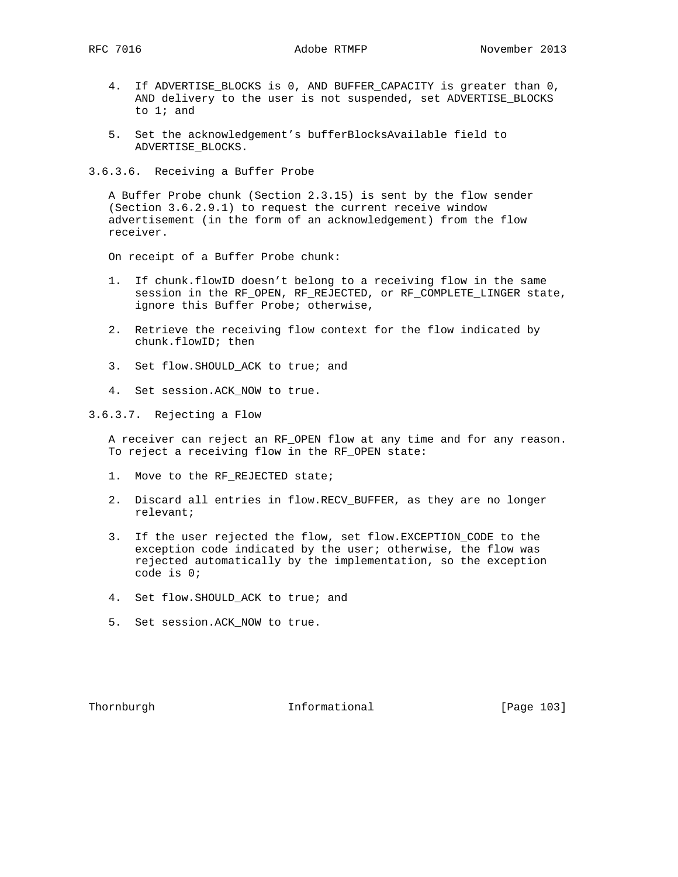- 4. If ADVERTISE\_BLOCKS is 0, AND BUFFER\_CAPACITY is greater than 0, AND delivery to the user is not suspended, set ADVERTISE\_BLOCKS to 1; and
- 5. Set the acknowledgement's bufferBlocksAvailable field to ADVERTISE\_BLOCKS.

3.6.3.6. Receiving a Buffer Probe

 A Buffer Probe chunk (Section 2.3.15) is sent by the flow sender (Section 3.6.2.9.1) to request the current receive window advertisement (in the form of an acknowledgement) from the flow receiver.

On receipt of a Buffer Probe chunk:

- 1. If chunk.flowID doesn't belong to a receiving flow in the same session in the RF\_OPEN, RF\_REJECTED, or RF\_COMPLETE\_LINGER state, ignore this Buffer Probe; otherwise,
- 2. Retrieve the receiving flow context for the flow indicated by chunk.flowID; then
- 3. Set flow.SHOULD\_ACK to true; and
- 4. Set session.ACK\_NOW to true.

3.6.3.7. Rejecting a Flow

 A receiver can reject an RF\_OPEN flow at any time and for any reason. To reject a receiving flow in the RF\_OPEN state:

- 1. Move to the RF\_REJECTED state;
- 2. Discard all entries in flow.RECV\_BUFFER, as they are no longer relevant;
- 3. If the user rejected the flow, set flow.EXCEPTION\_CODE to the exception code indicated by the user; otherwise, the flow was rejected automatically by the implementation, so the exception code is 0;
- 4. Set flow.SHOULD\_ACK to true; and
- 5. Set session.ACK\_NOW to true.

Thornburgh Informational [Page 103]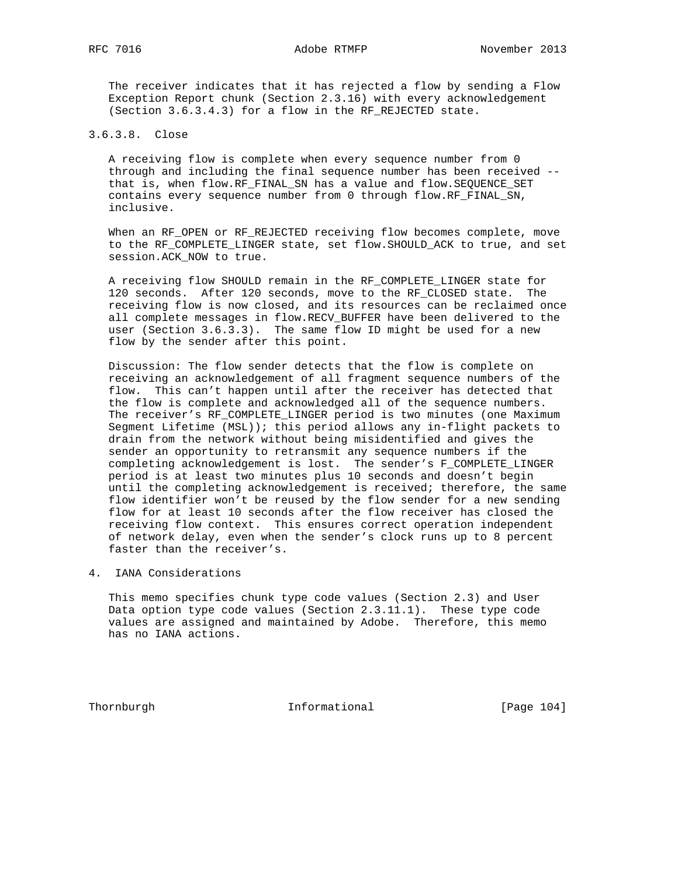The receiver indicates that it has rejected a flow by sending a Flow Exception Report chunk (Section 2.3.16) with every acknowledgement (Section 3.6.3.4.3) for a flow in the RF\_REJECTED state.

## 3.6.3.8. Close

 A receiving flow is complete when every sequence number from 0 through and including the final sequence number has been received - that is, when flow.RF\_FINAL\_SN has a value and flow.SEQUENCE\_SET contains every sequence number from 0 through flow.RF\_FINAL\_SN, inclusive.

 When an RF\_OPEN or RF\_REJECTED receiving flow becomes complete, move to the RF\_COMPLETE\_LINGER state, set flow.SHOULD\_ACK to true, and set session.ACK\_NOW to true.

 A receiving flow SHOULD remain in the RF\_COMPLETE\_LINGER state for 120 seconds. After 120 seconds, move to the RF\_CLOSED state. The receiving flow is now closed, and its resources can be reclaimed once all complete messages in flow.RECV\_BUFFER have been delivered to the user (Section 3.6.3.3). The same flow ID might be used for a new flow by the sender after this point.

 Discussion: The flow sender detects that the flow is complete on receiving an acknowledgement of all fragment sequence numbers of the flow. This can't happen until after the receiver has detected that the flow is complete and acknowledged all of the sequence numbers. The receiver's RF\_COMPLETE\_LINGER period is two minutes (one Maximum Segment Lifetime (MSL)); this period allows any in-flight packets to drain from the network without being misidentified and gives the sender an opportunity to retransmit any sequence numbers if the completing acknowledgement is lost. The sender's F\_COMPLETE\_LINGER period is at least two minutes plus 10 seconds and doesn't begin until the completing acknowledgement is received; therefore, the same flow identifier won't be reused by the flow sender for a new sending flow for at least 10 seconds after the flow receiver has closed the receiving flow context. This ensures correct operation independent of network delay, even when the sender's clock runs up to 8 percent faster than the receiver's.

4. IANA Considerations

 This memo specifies chunk type code values (Section 2.3) and User Data option type code values (Section 2.3.11.1). These type code values are assigned and maintained by Adobe. Therefore, this memo has no IANA actions.

Thornburgh Informational [Page 104]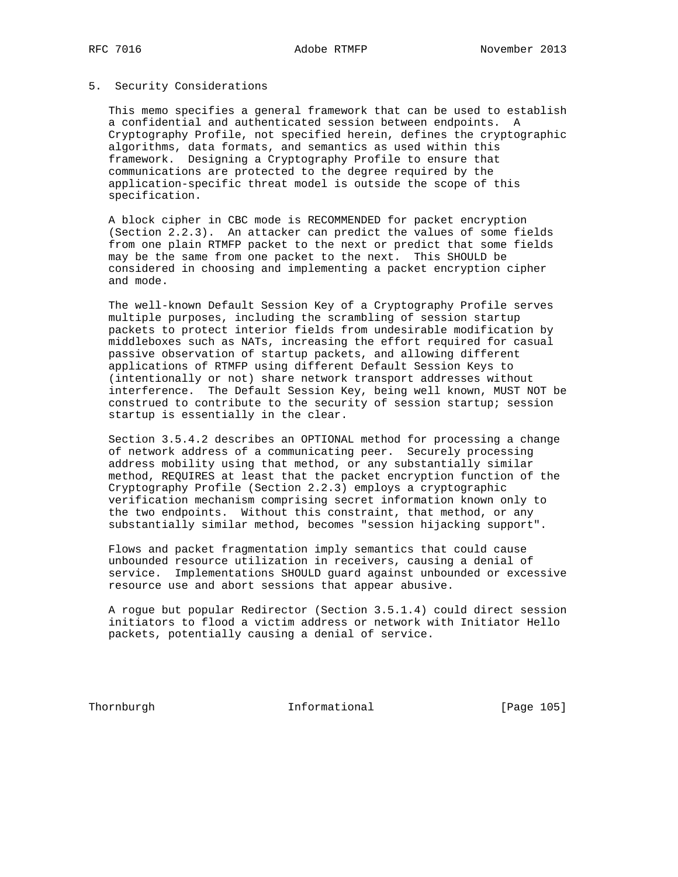#### 5. Security Considerations

 This memo specifies a general framework that can be used to establish a confidential and authenticated session between endpoints. A Cryptography Profile, not specified herein, defines the cryptographic algorithms, data formats, and semantics as used within this framework. Designing a Cryptography Profile to ensure that communications are protected to the degree required by the application-specific threat model is outside the scope of this specification.

 A block cipher in CBC mode is RECOMMENDED for packet encryption (Section 2.2.3). An attacker can predict the values of some fields from one plain RTMFP packet to the next or predict that some fields may be the same from one packet to the next. This SHOULD be considered in choosing and implementing a packet encryption cipher and mode.

 The well-known Default Session Key of a Cryptography Profile serves multiple purposes, including the scrambling of session startup packets to protect interior fields from undesirable modification by middleboxes such as NATs, increasing the effort required for casual passive observation of startup packets, and allowing different applications of RTMFP using different Default Session Keys to (intentionally or not) share network transport addresses without interference. The Default Session Key, being well known, MUST NOT be construed to contribute to the security of session startup; session startup is essentially in the clear.

 Section 3.5.4.2 describes an OPTIONAL method for processing a change of network address of a communicating peer. Securely processing address mobility using that method, or any substantially similar method, REQUIRES at least that the packet encryption function of the Cryptography Profile (Section 2.2.3) employs a cryptographic verification mechanism comprising secret information known only to the two endpoints. Without this constraint, that method, or any substantially similar method, becomes "session hijacking support".

 Flows and packet fragmentation imply semantics that could cause unbounded resource utilization in receivers, causing a denial of service. Implementations SHOULD guard against unbounded or excessive resource use and abort sessions that appear abusive.

 A rogue but popular Redirector (Section 3.5.1.4) could direct session initiators to flood a victim address or network with Initiator Hello packets, potentially causing a denial of service.

Thornburgh 105 Informational [Page 105]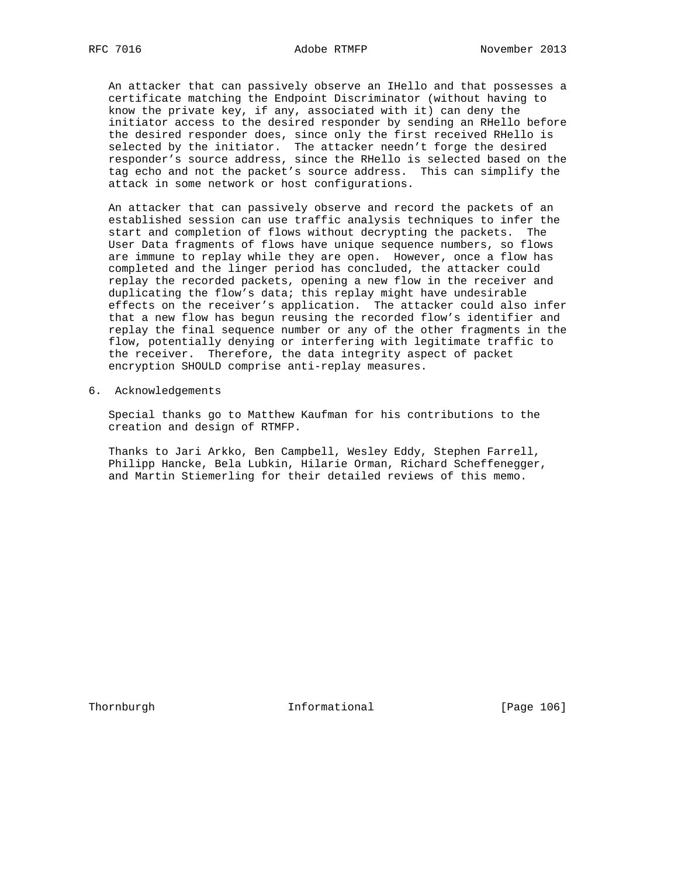An attacker that can passively observe an IHello and that possesses a certificate matching the Endpoint Discriminator (without having to know the private key, if any, associated with it) can deny the initiator access to the desired responder by sending an RHello before the desired responder does, since only the first received RHello is selected by the initiator. The attacker needn't forge the desired responder's source address, since the RHello is selected based on the tag echo and not the packet's source address. This can simplify the attack in some network or host configurations.

 An attacker that can passively observe and record the packets of an established session can use traffic analysis techniques to infer the start and completion of flows without decrypting the packets. The User Data fragments of flows have unique sequence numbers, so flows are immune to replay while they are open. However, once a flow has completed and the linger period has concluded, the attacker could replay the recorded packets, opening a new flow in the receiver and duplicating the flow's data; this replay might have undesirable effects on the receiver's application. The attacker could also infer that a new flow has begun reusing the recorded flow's identifier and replay the final sequence number or any of the other fragments in the flow, potentially denying or interfering with legitimate traffic to the receiver. Therefore, the data integrity aspect of packet encryption SHOULD comprise anti-replay measures.

6. Acknowledgements

 Special thanks go to Matthew Kaufman for his contributions to the creation and design of RTMFP.

 Thanks to Jari Arkko, Ben Campbell, Wesley Eddy, Stephen Farrell, Philipp Hancke, Bela Lubkin, Hilarie Orman, Richard Scheffenegger, and Martin Stiemerling for their detailed reviews of this memo.

Thornburgh 100 Informational [Page 106]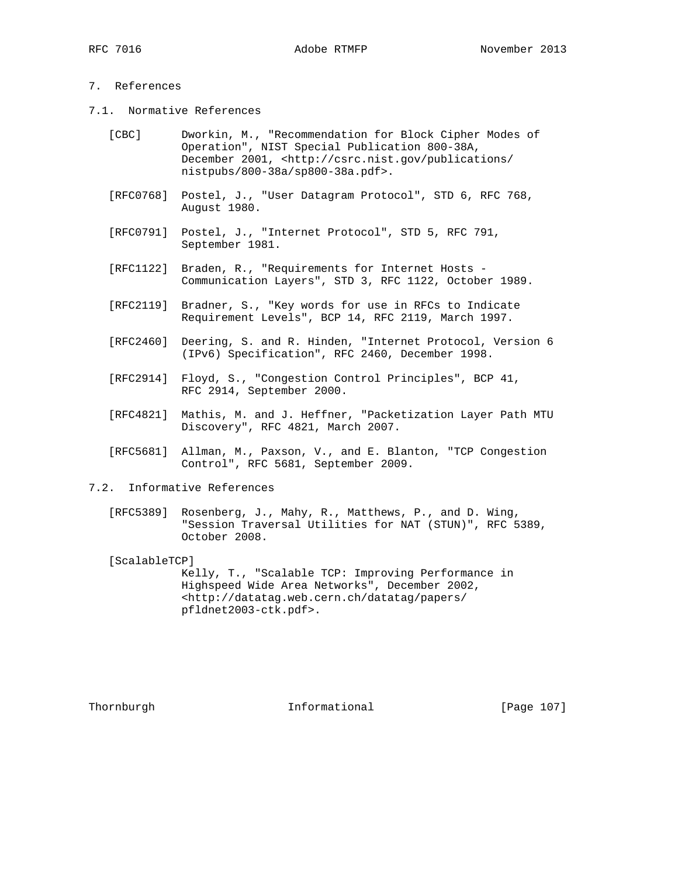# 7. References

7.1. Normative References

| [CBC] | Dworkin, M., "Recommendation for Block Cipher Modes of                     |
|-------|----------------------------------------------------------------------------|
|       | Operation", NIST Special Publication 800-38A,                              |
|       | December 2001, <http: <="" csrc.nist.gov="" publications="" td=""></http:> |
|       | $n$ istpubs/800-38a/sp800-38a.pdf>.                                        |

- [RFC0768] Postel, J., "User Datagram Protocol", STD 6, RFC 768, August 1980.
- [RFC0791] Postel, J., "Internet Protocol", STD 5, RFC 791, September 1981.
- [RFC1122] Braden, R., "Requirements for Internet Hosts Communication Layers", STD 3, RFC 1122, October 1989.
- [RFC2119] Bradner, S., "Key words for use in RFCs to Indicate Requirement Levels", BCP 14, RFC 2119, March 1997.
- [RFC2460] Deering, S. and R. Hinden, "Internet Protocol, Version 6 (IPv6) Specification", RFC 2460, December 1998.
- [RFC2914] Floyd, S., "Congestion Control Principles", BCP 41, RFC 2914, September 2000.
- [RFC4821] Mathis, M. and J. Heffner, "Packetization Layer Path MTU Discovery", RFC 4821, March 2007.
- [RFC5681] Allman, M., Paxson, V., and E. Blanton, "TCP Congestion Control", RFC 5681, September 2009.
- 7.2. Informative References
	- [RFC5389] Rosenberg, J., Mahy, R., Matthews, P., and D. Wing, "Session Traversal Utilities for NAT (STUN)", RFC 5389, October 2008.

[ScalableTCP]

 Kelly, T., "Scalable TCP: Improving Performance in Highspeed Wide Area Networks", December 2002, <http://datatag.web.cern.ch/datatag/papers/ pfldnet2003-ctk.pdf>.

Thornburgh 1071 Informational [Page 107]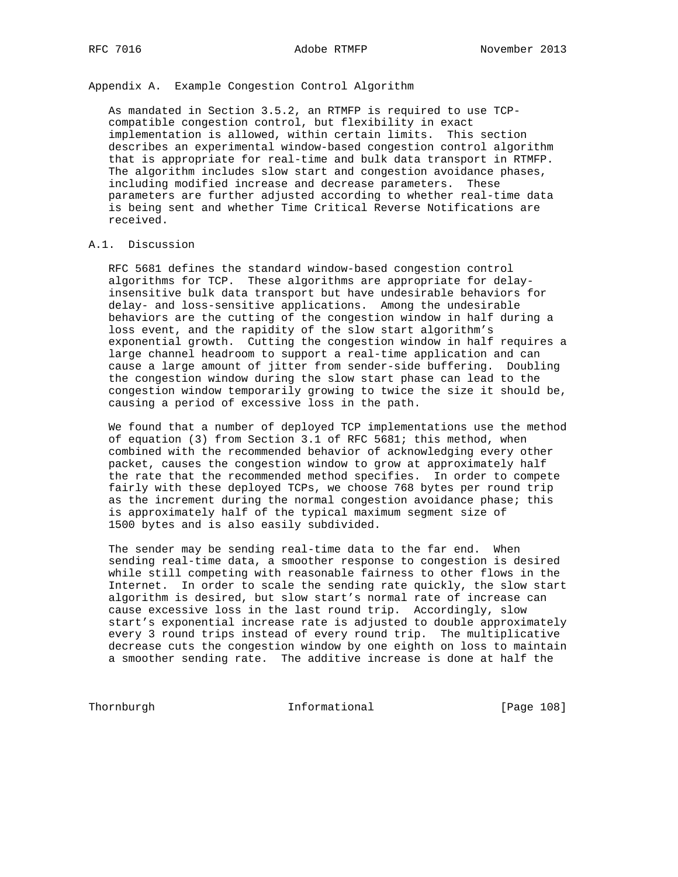Appendix A. Example Congestion Control Algorithm

 As mandated in Section 3.5.2, an RTMFP is required to use TCP compatible congestion control, but flexibility in exact implementation is allowed, within certain limits. This section describes an experimental window-based congestion control algorithm that is appropriate for real-time and bulk data transport in RTMFP. The algorithm includes slow start and congestion avoidance phases, including modified increase and decrease parameters. These parameters are further adjusted according to whether real-time data is being sent and whether Time Critical Reverse Notifications are received.

## A.1. Discussion

 RFC 5681 defines the standard window-based congestion control algorithms for TCP. These algorithms are appropriate for delay insensitive bulk data transport but have undesirable behaviors for delay- and loss-sensitive applications. Among the undesirable behaviors are the cutting of the congestion window in half during a loss event, and the rapidity of the slow start algorithm's exponential growth. Cutting the congestion window in half requires a large channel headroom to support a real-time application and can cause a large amount of jitter from sender-side buffering. Doubling the congestion window during the slow start phase can lead to the congestion window temporarily growing to twice the size it should be, causing a period of excessive loss in the path.

 We found that a number of deployed TCP implementations use the method of equation (3) from Section 3.1 of RFC 5681; this method, when combined with the recommended behavior of acknowledging every other packet, causes the congestion window to grow at approximately half the rate that the recommended method specifies. In order to compete fairly with these deployed TCPs, we choose 768 bytes per round trip as the increment during the normal congestion avoidance phase; this is approximately half of the typical maximum segment size of 1500 bytes and is also easily subdivided.

 The sender may be sending real-time data to the far end. When sending real-time data, a smoother response to congestion is desired while still competing with reasonable fairness to other flows in the Internet. In order to scale the sending rate quickly, the slow start algorithm is desired, but slow start's normal rate of increase can cause excessive loss in the last round trip. Accordingly, slow start's exponential increase rate is adjusted to double approximately every 3 round trips instead of every round trip. The multiplicative decrease cuts the congestion window by one eighth on loss to maintain a smoother sending rate. The additive increase is done at half the

Thornburgh 108 Informational [Page 108]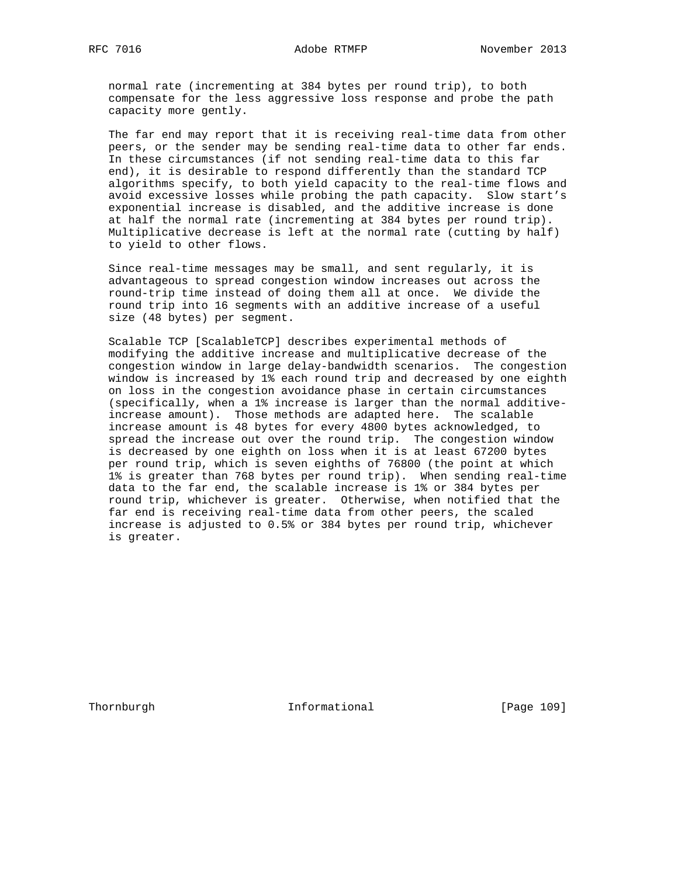normal rate (incrementing at 384 bytes per round trip), to both compensate for the less aggressive loss response and probe the path capacity more gently.

 The far end may report that it is receiving real-time data from other peers, or the sender may be sending real-time data to other far ends. In these circumstances (if not sending real-time data to this far end), it is desirable to respond differently than the standard TCP algorithms specify, to both yield capacity to the real-time flows and avoid excessive losses while probing the path capacity. Slow start's exponential increase is disabled, and the additive increase is done at half the normal rate (incrementing at 384 bytes per round trip). Multiplicative decrease is left at the normal rate (cutting by half) to yield to other flows.

 Since real-time messages may be small, and sent regularly, it is advantageous to spread congestion window increases out across the round-trip time instead of doing them all at once. We divide the round trip into 16 segments with an additive increase of a useful size (48 bytes) per segment.

 Scalable TCP [ScalableTCP] describes experimental methods of modifying the additive increase and multiplicative decrease of the congestion window in large delay-bandwidth scenarios. The congestion window is increased by 1% each round trip and decreased by one eighth on loss in the congestion avoidance phase in certain circumstances (specifically, when a 1% increase is larger than the normal additive increase amount). Those methods are adapted here. The scalable increase amount is 48 bytes for every 4800 bytes acknowledged, to spread the increase out over the round trip. The congestion window is decreased by one eighth on loss when it is at least 67200 bytes per round trip, which is seven eighths of 76800 (the point at which 1% is greater than 768 bytes per round trip). When sending real-time data to the far end, the scalable increase is 1% or 384 bytes per round trip, whichever is greater. Otherwise, when notified that the far end is receiving real-time data from other peers, the scaled increase is adjusted to 0.5% or 384 bytes per round trip, whichever is greater.

Thornburgh Informational [Page 109]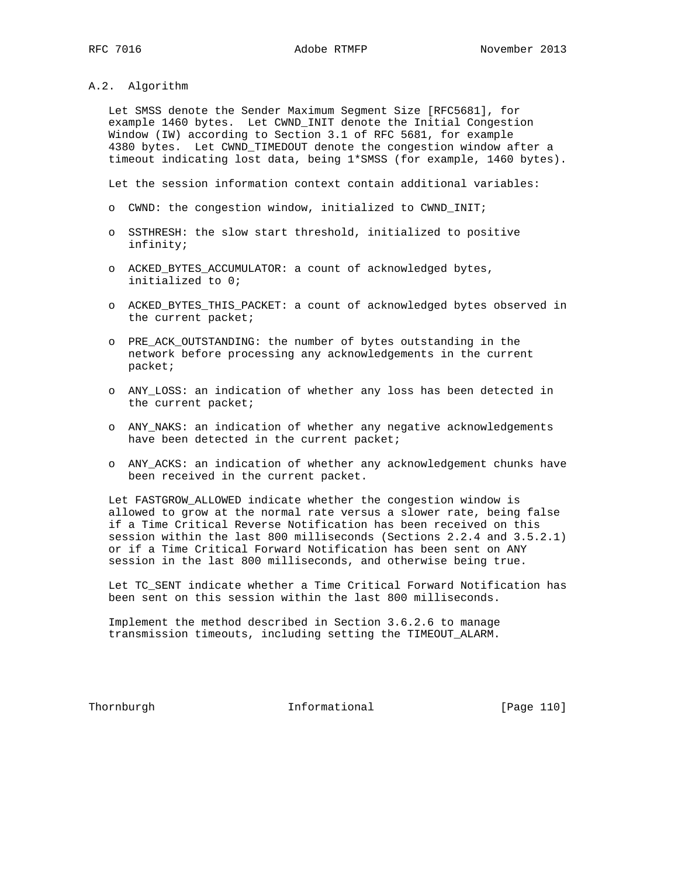## A.2. Algorithm

 Let SMSS denote the Sender Maximum Segment Size [RFC5681], for example 1460 bytes. Let CWND\_INIT denote the Initial Congestion Window (IW) according to Section 3.1 of RFC 5681, for example 4380 bytes. Let CWND\_TIMEDOUT denote the congestion window after a timeout indicating lost data, being 1\*SMSS (for example, 1460 bytes).

Let the session information context contain additional variables:

- o CWND: the congestion window, initialized to CWND\_INIT;
- o SSTHRESH: the slow start threshold, initialized to positive infinity;
- o ACKED\_BYTES\_ACCUMULATOR: a count of acknowledged bytes, initialized to 0;
- o ACKED\_BYTES\_THIS\_PACKET: a count of acknowledged bytes observed in the current packet;
- o PRE\_ACK\_OUTSTANDING: the number of bytes outstanding in the network before processing any acknowledgements in the current packet;
- o ANY\_LOSS: an indication of whether any loss has been detected in the current packet;
- o ANY\_NAKS: an indication of whether any negative acknowledgements have been detected in the current packet;
- o ANY\_ACKS: an indication of whether any acknowledgement chunks have been received in the current packet.

 Let FASTGROW\_ALLOWED indicate whether the congestion window is allowed to grow at the normal rate versus a slower rate, being false if a Time Critical Reverse Notification has been received on this session within the last 800 milliseconds (Sections 2.2.4 and 3.5.2.1) or if a Time Critical Forward Notification has been sent on ANY session in the last 800 milliseconds, and otherwise being true.

 Let TC\_SENT indicate whether a Time Critical Forward Notification has been sent on this session within the last 800 milliseconds.

 Implement the method described in Section 3.6.2.6 to manage transmission timeouts, including setting the TIMEOUT\_ALARM.

Thornburgh 10 Informational [Page 110]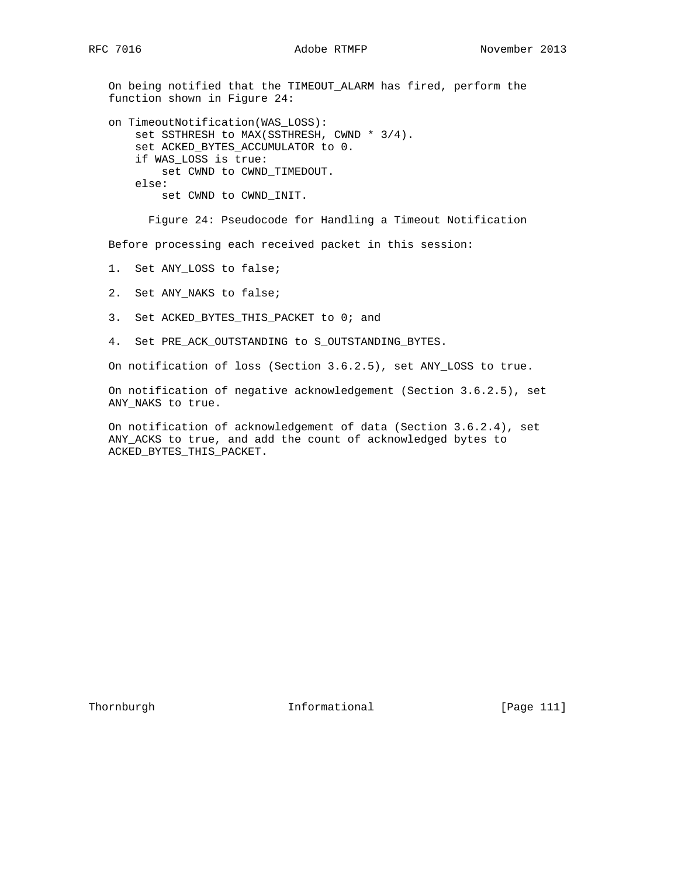On being notified that the TIMEOUT\_ALARM has fired, perform the function shown in Figure 24:

 on TimeoutNotification(WAS\_LOSS): set SSTHRESH to MAX(SSTHRESH, CWND \* 3/4). set ACKED\_BYTES\_ACCUMULATOR to 0. if WAS\_LOSS is true: set CWND to CWND\_TIMEDOUT. else: set CWND to CWND\_INIT.

Figure 24: Pseudocode for Handling a Timeout Notification

Before processing each received packet in this session:

- 1. Set ANY\_LOSS to false;
- 2. Set ANY\_NAKS to false;
- 3. Set ACKED\_BYTES\_THIS\_PACKET to 0; and
- 4. Set PRE\_ACK\_OUTSTANDING to S\_OUTSTANDING\_BYTES.

On notification of loss (Section 3.6.2.5), set ANY\_LOSS to true.

 On notification of negative acknowledgement (Section 3.6.2.5), set ANY\_NAKS to true.

 On notification of acknowledgement of data (Section 3.6.2.4), set ANY\_ACKS to true, and add the count of acknowledged bytes to ACKED\_BYTES\_THIS\_PACKET.

Thornburgh 10 Informational [Page 111]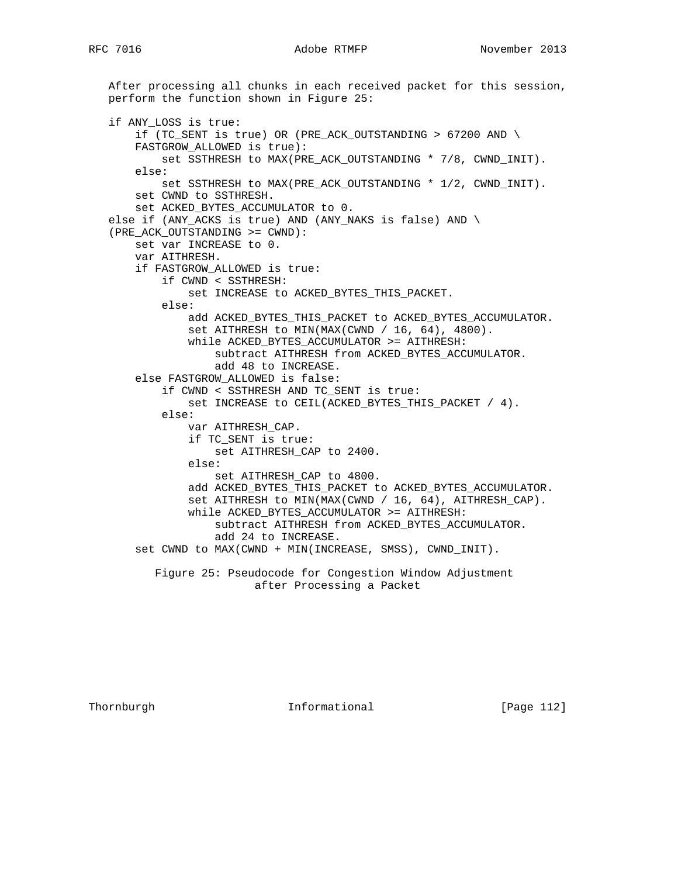After processing all chunks in each received packet for this session, perform the function shown in Figure 25: if ANY\_LOSS is true: if (TC\_SENT is true) OR (PRE\_ACK\_OUTSTANDING > 67200 AND \ FASTGROW\_ALLOWED is true): set SSTHRESH to MAX(PRE\_ACK\_OUTSTANDING \* 7/8, CWND\_INIT). else: set SSTHRESH to MAX(PRE\_ACK\_OUTSTANDING \* 1/2, CWND\_INIT). set CWND to SSTHRESH. set ACKED\_BYTES\_ACCUMULATOR to 0. else if (ANY\_ACKS is true) AND (ANY\_NAKS is false) AND \ (PRE\_ACK\_OUTSTANDING >= CWND): set var INCREASE to 0. var AITHRESH. if FASTGROW\_ALLOWED is true: if CWND < SSTHRESH: set INCREASE to ACKED\_BYTES\_THIS\_PACKET. else: add ACKED\_BYTES\_THIS\_PACKET to ACKED\_BYTES\_ACCUMULATOR. set AITHRESH to MIN(MAX(CWND / 16, 64), 4800). while ACKED BYTES ACCUMULATOR >= AITHRESH: subtract AITHRESH from ACKED\_BYTES\_ACCUMULATOR. add 48 to INCREASE. else FASTGROW\_ALLOWED is false: if CWND < SSTHRESH AND TC\_SENT is true: set INCREASE to CEIL(ACKED\_BYTES\_THIS\_PACKET / 4). else: var AITHRESH\_CAP. if TC\_SENT is true: set AITHRESH\_CAP to 2400. else: set AITHRESH\_CAP to 4800. add ACKED BYTES THIS PACKET to ACKED BYTES ACCUMULATOR. set AITHRESH to MIN(MAX(CWND / 16, 64), AITHRESH\_CAP). while ACKED\_BYTES\_ACCUMULATOR >= AITHRESH: subtract AITHRESH from ACKED\_BYTES\_ACCUMULATOR. add 24 to INCREASE. set CWND to MAX(CWND + MIN(INCREASE, SMSS), CWND\_INIT). Figure 25: Pseudocode for Congestion Window Adjustment after Processing a Packet

Thornburgh 112 Informational [Page 112]